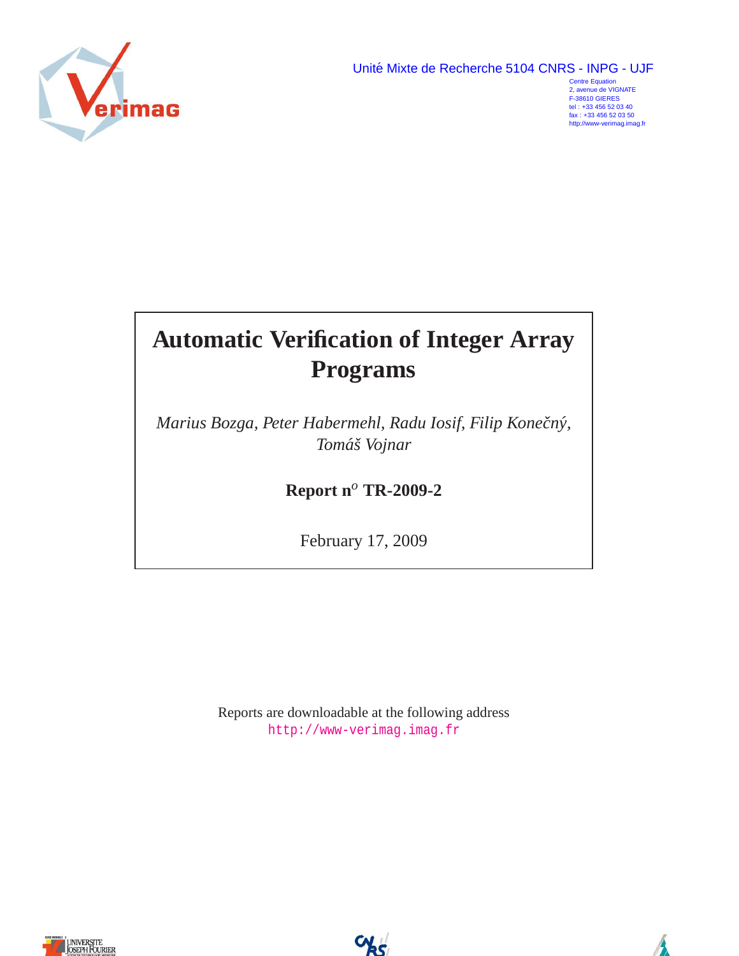Unité Mixte de Recherche 5104 CNRS - INPG - UJF

<span id="page-0-0"></span>

Centre Equation 2, avenue de VIGNATE F-38610 GIERES tel : +33 456 52 03 40 fax : +33 456 52 03 50 http://www-verimag.imag.fr

# **Automatic Verification of Integer Array Programs**

*Marius Bozga, Peter Habermehl, Radu Iosif, Filip Konecnˇ y,´ Tomaˇs Vojnar ´*

**Report n***<sup>o</sup>* **TR-2009-2**

February 17, 2009

Reports are downloadable at the following address <http://www-verimag.imag.fr>



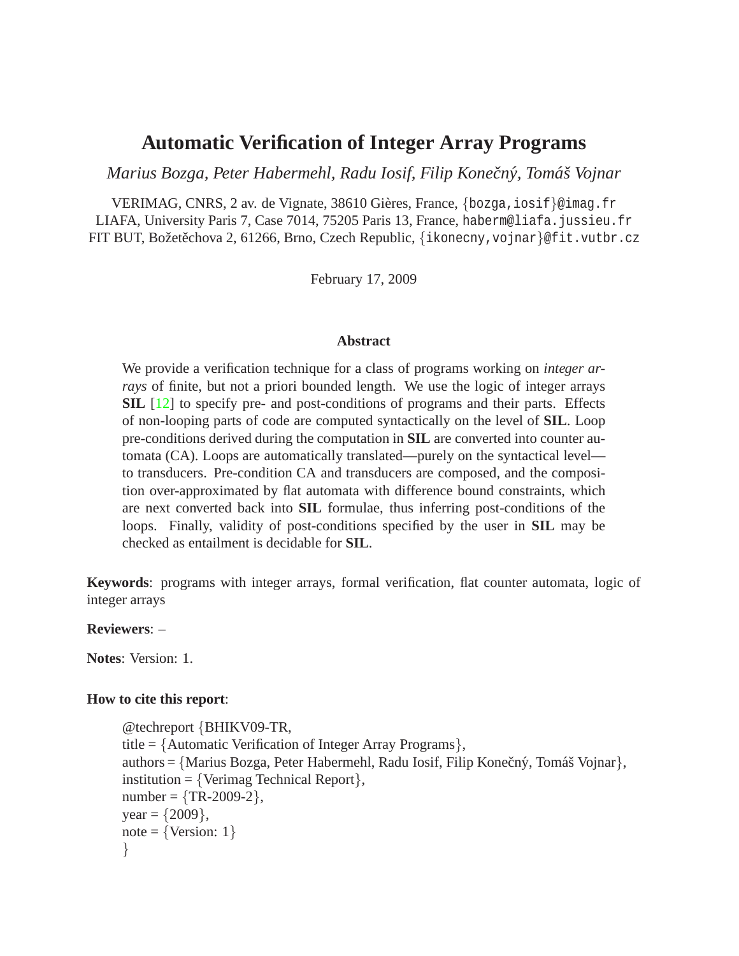# **Automatic Verification of Integer Array Programs**

*Marius Bozga, Peter Habermehl, Radu Iosif, Filip Konecnˇ y, Tom ´ aˇs Vojnar ´*

VERIMAG, CNRS, 2 av. de Vignate, 38610 Gières, France, {bozga, iosif}@imag.fr LIAFA, University Paris 7, Case 7014, 75205 Paris 13, France, haberm@liafa.jussieu.fr FIT BUT, Božetěchova 2, 61266, Brno, Czech Republic, {ikonecny, vojnar}@fit.vutbr.cz

February 17, 2009

#### **Abstract**

We provide a verification technique for a class of programs working on *integer arrays* of finite, but not a priori bounded length. We use the logic of integer arrays **SIL** [\[12\]](#page-27-0) to specify pre- and post-conditions of programs and their parts. Effects of non-looping parts of code are computed syntactically on the level of **SIL**. Loop pre-conditions derived during the computation in **SIL** are converted into counter automata (CA). Loops are automatically translated—purely on the syntactical level to transducers. Pre-condition CA and transducers are composed, and the composition over-approximated by flat automata with difference bound constraints, which are next converted back into **SIL** formulae, thus inferring post-conditions of the loops. Finally, validity of post-conditions specified by the user in **SIL** may be checked as entailment is decidable for **SIL**.

**Keywords**: programs with integer arrays, formal verification, flat counter automata, logic of integer arrays

**Reviewers**: –

**Notes**: Version: 1.

#### **How to cite this report**:

```
@techreport {BHIKV09-TR,
title = {Automatic Verification of Integer Array Programs},
authors = {Marius Bozga, Peter Habermehl, Radu Iosif, Filip Konečný, Tomáš Vojnar},
institution = \{Verimag \ Technical \ Report\},\number = {TR-2009-2},year = {2009},
note = \{Version: 1\}}
```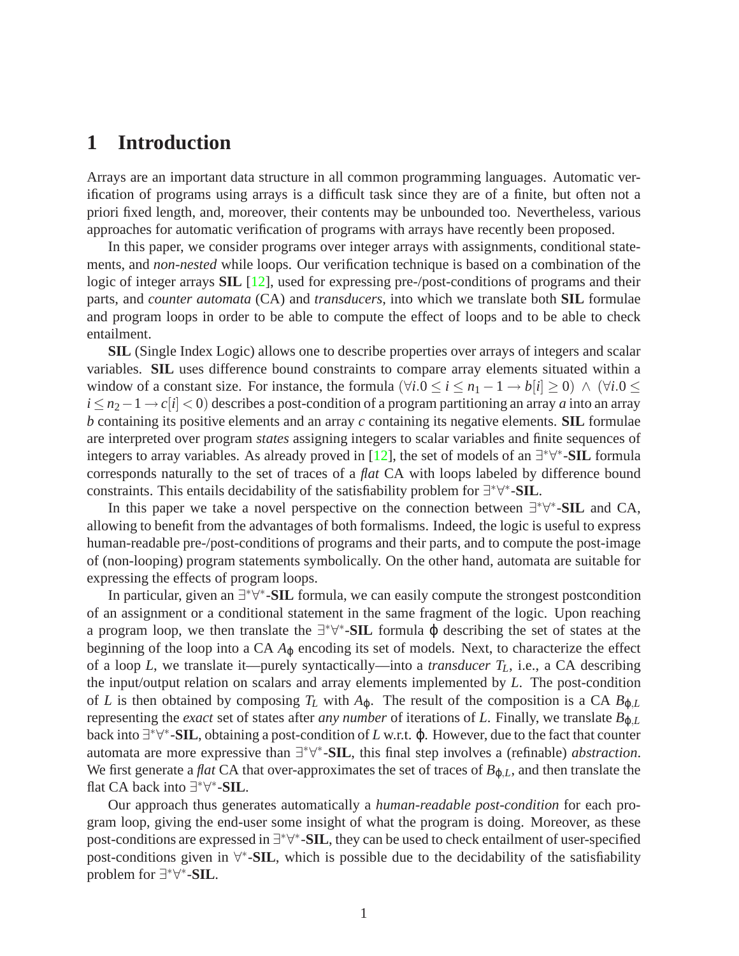# <span id="page-2-0"></span>**1 Introduction**

Arrays are an important data structure in all common programming languages. Automatic verification of programs using arrays is a difficult task since they are of a finite, but often not a priori fixed length, and, moreover, their contents may be unbounded too. Nevertheless, various approaches for automatic verification of programs with arrays have recently been proposed.

In this paper, we consider programs over integer arrays with assignments, conditional statements, and *non-nested* while loops. Our verification technique is based on a combination of the logic of integer arrays **SIL** [\[12\]](#page-27-0), used for expressing pre-/post-conditions of programs and their parts, and *counter automata* (CA) and *transducers*, into which we translate both **SIL** formulae and program loops in order to be able to compute the effect of loops and to be able to check entailment.

**SIL** (Single Index Logic) allows one to describe properties over arrays of integers and scalar variables. **SIL** uses difference bound constraints to compare array elements situated within a window of a constant size. For instance, the formula  $(\forall i.0 \le i \le n_1 - 1 \rightarrow b[i] \ge 0) \land (\forall i.0 \le$ *i* ≤ *n*<sub>2</sub> − 1 → *c*[*i*] < 0) describes a post-condition of a program partitioning an array *a* into an array *b* containing its positive elements and an array *c* containing its negative elements. **SIL** formulae are interpreted over program *states* assigning integers to scalar variables and finite sequences of integers to array variables. As already proved in [\[12\]](#page-27-0), the set of models of an ∃ ∗∀ ∗ -**SIL** formula corresponds naturally to the set of traces of a *flat* CA with loops labeled by difference bound constraints. This entails decidability of the satisfiability problem for ∃ ∗∀ ∗ -**SIL**.

In this paper we take a novel perspective on the connection between ∃ ∗∀ ∗ -**SIL** and CA, allowing to benefit from the advantages of both formalisms. Indeed, the logic is useful to express human-readable pre-/post-conditions of programs and their parts, and to compute the post-image of (non-looping) program statements symbolically. On the other hand, automata are suitable for expressing the effects of program loops.

In particular, given an ∃\*∀\*-SIL formula, we can easily compute the strongest postcondition of an assignment or a conditional statement in the same fragment of the logic. Upon reaching a program loop, we then translate the  $\exists^* \forall^*$ -**SIL** formula φ describing the set of states at the beginning of the loop into a  $CA A<sub>0</sub>$  encoding its set of models. Next, to characterize the effect of a loop *L*, we translate it—purely syntactically—into a *transducer TL*, i.e., a CA describing the input/output relation on scalars and array elements implemented by *L*. The post-condition of *L* is then obtained by composing  $T_L$  with  $A_{\varphi}$ . The result of the composition is a CA  $B_{\varphi,L}$ representing the *exact* set of states after *any number* of iterations of *L*. Finally, we translate  $B_{\omega,L}$ back into ∃ ∗∀ ∗ -**SIL**, obtaining a post-condition of *L* w.r.t. ϕ. However, due to the fact that counter automata are more expressive than ∃ ∗∀ ∗ -**SIL**, this final step involves a (refinable) *abstraction*. We first generate a *flat* CA that over-approximates the set of traces of  $B_{\varphi,L}$ , and then translate the flat CA back into ∃ ∗∀ ∗ -**SIL**.

Our approach thus generates automatically a *human-readable post-condition* for each program loop, giving the end-user some insight of what the program is doing. Moreover, as these post-conditions are expressed in ∃<sup>\*</sup>∀<sup>\*</sup>-SIL, they can be used to check entailment of user-specified post-conditions given in  $\forall^*$ -**SIL**, which is possible due to the decidability of the satisfiability problem for ∃ ∗∀ ∗ -**SIL**.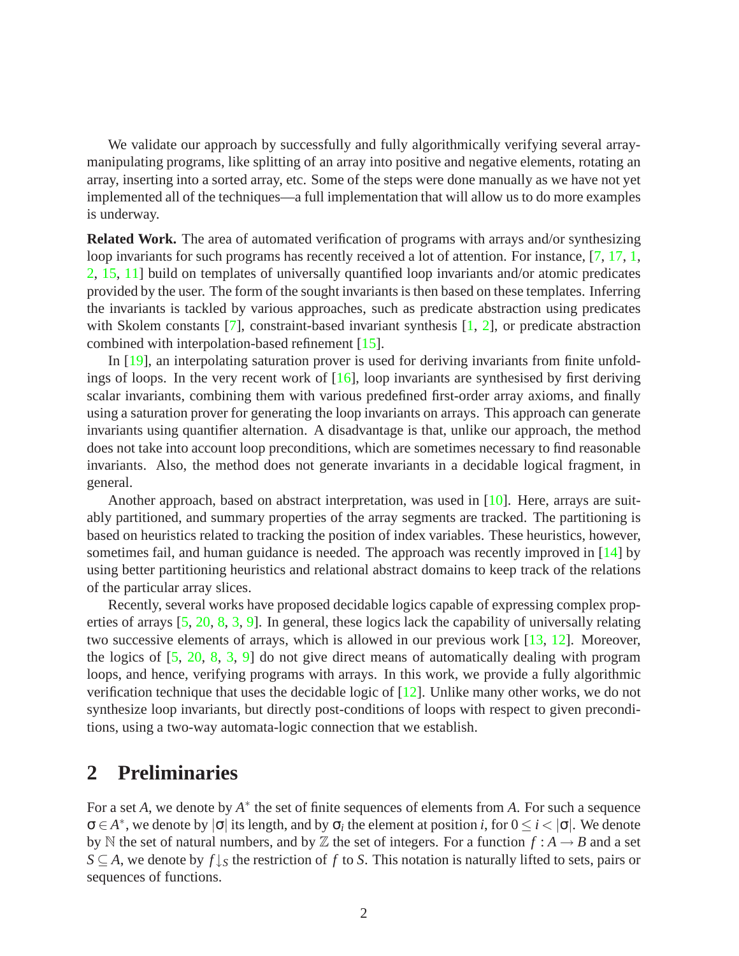We validate our approach by successfully and fully algorithmically verifying several arraymanipulating programs, like splitting of an array into positive and negative elements, rotating an array, inserting into a sorted array, etc. Some of the steps were done manually as we have not yet implemented all of the techniques—a full implementation that will allow us to do more examples is underway.

**Related Work.** The area of automated verification of programs with arrays and/or synthesizing loop invariants for such programs has recently received a lot of attention. For instance, [\[7,](#page-27-1) [17,](#page-28-0) [1,](#page-27-2) [2,](#page-27-3) [15,](#page-27-4) [11\]](#page-27-5) build on templates of universally quantified loop invariants and/or atomic predicates provided by the user. The form of the sought invariants is then based on these templates. Inferring the invariants is tackled by various approaches, such as predicate abstraction using predicates with Skolem constants [\[7\]](#page-27-1), constraint-based invariant synthesis [\[1,](#page-27-2) [2\]](#page-27-3), or predicate abstraction combined with interpolation-based refinement [\[15\]](#page-27-4).

In [\[19\]](#page-28-1), an interpolating saturation prover is used for deriving invariants from finite unfoldings of loops. In the very recent work of  $[16]$ , loop invariants are synthesised by first deriving scalar invariants, combining them with various predefined first-order array axioms, and finally using a saturation prover for generating the loop invariants on arrays. This approach can generate invariants using quantifier alternation. A disadvantage is that, unlike our approach, the method does not take into account loop preconditions, which are sometimes necessary to find reasonable invariants. Also, the method does not generate invariants in a decidable logical fragment, in general.

Another approach, based on abstract interpretation, was used in [\[10\]](#page-27-6). Here, arrays are suitably partitioned, and summary properties of the array segments are tracked. The partitioning is based on heuristics related to tracking the position of index variables. These heuristics, however, sometimes fail, and human guidance is needed. The approach was recently improved in [\[14\]](#page-27-7) by using better partitioning heuristics and relational abstract domains to keep track of the relations of the particular array slices.

Recently, several works have proposed decidable logics capable of expressing complex properties of arrays [\[5,](#page-27-8) [20,](#page-28-3) [8,](#page-27-9) [3,](#page-27-10) [9\]](#page-27-11). In general, these logics lack the capability of universally relating two successive elements of arrays, which is allowed in our previous work [\[13,](#page-27-12) [12\]](#page-27-0). Moreover, the logics of [\[5,](#page-27-8) [20,](#page-28-3) [8,](#page-27-9) [3,](#page-27-10) [9\]](#page-27-11) do not give direct means of automatically dealing with program loops, and hence, verifying programs with arrays. In this work, we provide a fully algorithmic verification technique that uses the decidable logic of [\[12\]](#page-27-0). Unlike many other works, we do not synthesize loop invariants, but directly post-conditions of loops with respect to given preconditions, using a two-way automata-logic connection that we establish.

# **2 Preliminaries**

For a set *A*, we denote by  $A^*$  the set of finite sequences of elements from *A*. For such a sequence  $\sigma \in A^*$ , we denote by  $|\sigma|$  its length, and by  $\sigma_i$  the element at position *i*, for  $0 \le i < |\sigma|$ . We denote by N the set of natural numbers, and by Z the set of integers. For a function  $f : A \rightarrow B$  and a set *S* ⊆ *A*, we denote by *f* ↓*<sup>S</sup>* the restriction of *f* to *S*. This notation is naturally lifted to sets, pairs or sequences of functions.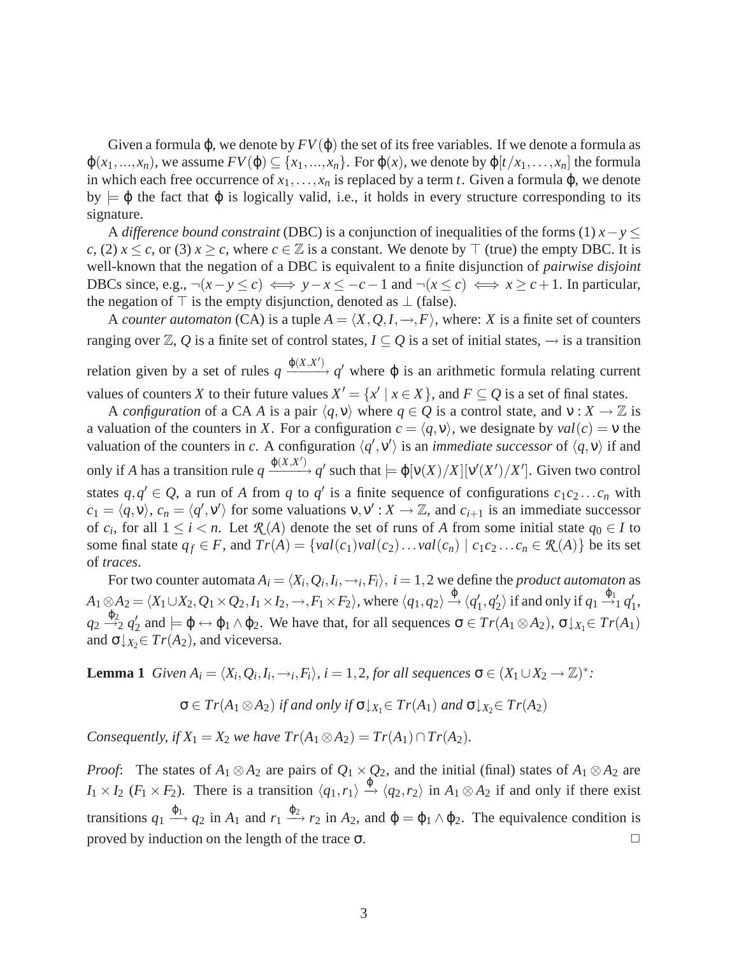Given a formula  $\varphi$ , we denote by  $FV(\varphi)$  the set of its free variables. If we denote a formula as  $\varphi(x_1,...,x_n)$ , we assume  $FV(\varphi) \subseteq \{x_1,...,x_n\}$ . For  $\varphi(x)$ , we denote by  $\varphi[t/x_1,...,x_n]$  the formula in which each free occurrence of  $x_1, \ldots, x_n$  is replaced by a term *t*. Given a formula  $\varphi$ , we denote by  $\models \varphi$  the fact that  $\varphi$  is logically valid, i.e., it holds in every structure corresponding to its signature.

A *difference bound constraint* (DBC) is a conjunction of inequalities of the forms (1) *x*−*y* ≤ *c*, (2) *x* ≤ *c*, or (3) *x* ≥ *c*, where *c* ∈  $\mathbb{Z}$  is a constant. We denote by ⊤ (true) the empty DBC. It is well-known that the negation of a DBC is equivalent to a finite disjunction of *pairwise disjoint* DBCs since, e.g.,  $\neg(x - y \leq c) \iff y - x \leq -c - 1$  and  $\neg(x \leq c) \iff x \geq c + 1$ . In particular, the negation of  $\top$  is the empty disjunction, denoted as  $\bot$  (false).

A *counter automaton* (CA) is a tuple  $A = \langle X, Q, I, \rightarrow, F \rangle$ , where: *X* is a finite set of counters ranging over  $\mathbb{Z}, Q$  is a finite set of control states,  $I \subseteq Q$  is a set of initial states,  $\rightarrow$  is a transition relation given by a set of rules  $q \xrightarrow{\phi(X,X')} q'$  where φ is an arithmetic formula relating current values of counters *X* to their future values  $X' = \{x' \mid x \in X\}$ , and  $F \subseteq Q$  is a set of final states.

A *configuration* of a CA *A* is a pair  $\langle q, v \rangle$  where  $q \in Q$  is a control state, and  $v : X \to \mathbb{Z}$  is a valuation of the counters in *X*. For a configuration  $c = \langle q, v \rangle$ , we designate by  $val(c) = v$  the valuation of the counters in *c*. A configuration  $\langle q', v' \rangle$  is an *immediate successor* of  $\langle q, v \rangle$  if and only if *A* has a transition rule  $q \xrightarrow{\phi(X,X')} q'$  such that  $\models \phi[\nu(X)/X][\nu'(X')/X']$ . Given two control states  $q, q' \in Q$ , a run of *A* from *q* to *q*<sup>'</sup> is a finite sequence of configurations  $c_1c_2...c_n$  with  $c_1 = \langle q, v \rangle$ ,  $c_n = \langle q', v' \rangle$  for some valuations  $v, v' : X \to \mathbb{Z}$ , and  $c_{i+1}$  is an immediate successor of  $c_i$ , for all  $1 \leq i < n$ . Let  $\mathcal{R}(A)$  denote the set of runs of A from some initial state  $q_0 \in I$  to some final state  $q_f \in F$ , and  $Tr(A) = \{val(c_1)val(c_2) \dots val(c_n) | c_1c_2 \dots c_n \in \mathcal{R}(A)\}\$ be its set of *traces*.

For two counter automata  $A_i = \langle X_i, Q_i, I_i, \rightarrow_i, F_i \rangle, \ i = 1,2$  we define the *product automaton* as  $A_1 \otimes A_2 = \langle X_1 \cup X_2, Q_1 \times Q_2, I_1 \times I_2, \rightarrow, F_1 \times F_2 \rangle$ , where  $\langle q_1, q_2 \rangle \stackrel{\varphi}{\rightarrow} \langle q_1', q_2' \rangle$  if and only if  $q_1 \stackrel{\varphi_1}{\rightarrow} q_1',$  $q_2 \stackrel{\varphi_2}{\rightarrow}_2 q'_2$  and  $\models \varphi \leftrightarrow \varphi_1 \land \varphi_2$ . We have that, for all sequences  $\sigma \in \mathcal{Tr}(A_1 \otimes A_2)$ ,  $\sigma \downarrow_{X_1} \in \mathcal{Tr}(A_1)$ and  $\sigma \downarrow_{X_2} \in Tr(A_2)$ , and viceversa.

<span id="page-4-0"></span>**Lemma 1** *Given*  $A_i = \langle X_i, Q_i, I_i, \rightarrow_i, F_i \rangle$ ,  $i = 1, 2$ , for all sequences  $\sigma \in (X_1 \cup X_2 \rightarrow \mathbb{Z})^*$ :

$$
\sigma \in Tr(A_1 \otimes A_2) \text{ if and only if } \sigma \downarrow_{X_1} \in Tr(A_1) \text{ and } \sigma \downarrow_{X_2} \in Tr(A_2)
$$

*Consequently, if*  $X_1 = X_2$  *we have*  $Tr(A_1 \otimes A_2) = Tr(A_1) \cap Tr(A_2)$ *.* 

*Proof*: The states of  $A_1 \otimes A_2$  are pairs of  $Q_1 \times Q_2$ , and the initial (final) states of  $A_1 \otimes A_2$  are  $I_1 \times I_2$  (*F*<sub>1</sub> × *F*<sub>2</sub>). There is a transition  $\langle q_1, r_1 \rangle \xrightarrow{\phi} \langle q_2, r_2 \rangle$  in  $A_1 \otimes A_2$  if and only if there exist transitions  $q_1 \stackrel{\varphi_1}{\longrightarrow} q_2$  in  $A_1$  and  $r_1 \stackrel{\varphi_2}{\longrightarrow} r_2$  in  $A_2$ , and  $\varphi = \varphi_1 \wedge \varphi_2$ . The equivalence condition is proved by induction on the length of the trace  $\sigma$ .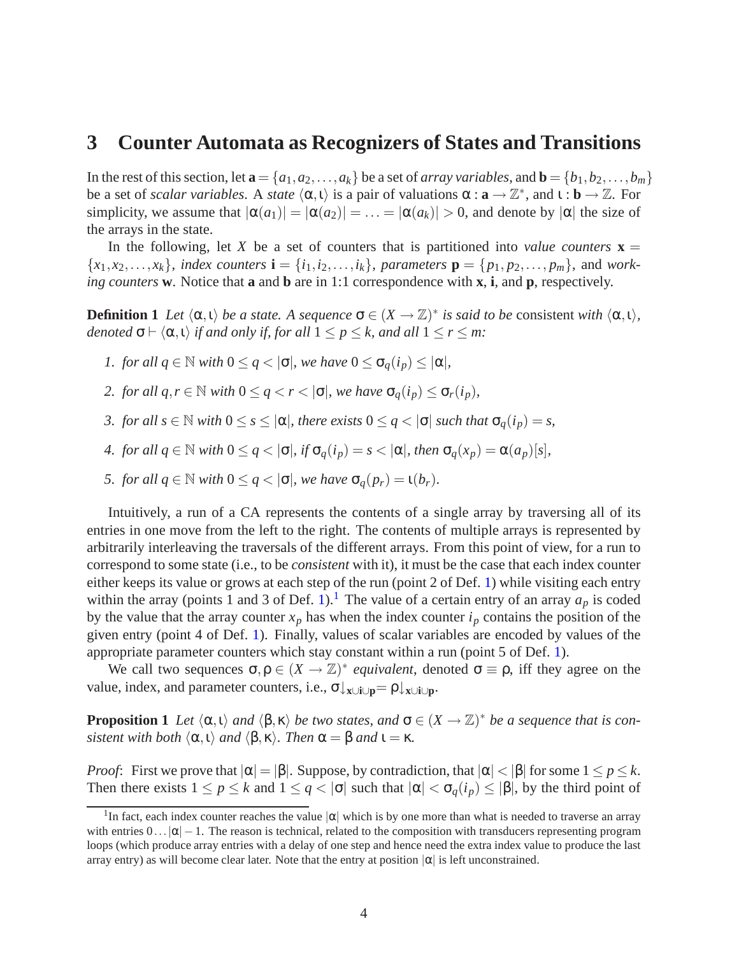### <span id="page-5-3"></span>**3 Counter Automata as Recognizers of States and Transitions**

In the rest of this section, let  $\mathbf{a} = \{a_1, a_2, \ldots, a_k\}$  be a set of *array variables*, and  $\mathbf{b} = \{b_1, b_2, \ldots, b_m\}$ be a set of *scalar variables*. A *state*  $\langle \alpha, \iota \rangle$  is a pair of valuations  $\alpha : \mathbf{a} \to \mathbb{Z}^*$ , and  $\iota : \mathbf{b} \to \mathbb{Z}$ . For simplicity, we assume that  $|\alpha(a_1)| = |\alpha(a_2)| = \ldots = |\alpha(a_k)| > 0$ , and denote by  $|\alpha|$  the size of the arrays in the state.

In the following, let *X* be a set of counters that is partitioned into *value counters*  $\mathbf{x} =$  ${x_1, x_2, \ldots, x_k}$ , *index counters*  $\mathbf{i} = {i_1, i_2, \ldots, i_k}$ , *parameters*  $\mathbf{p} = {p_1, p_2, \ldots, p_m}$ , and *working counters* **w**. Notice that **a** and **b** are in 1:1 correspondence with **x**, **i**, and **p**, respectively.

<span id="page-5-0"></span>**Definition 1** *Let*  $\langle \alpha, \iota \rangle$  *be a state. A sequence*  $\sigma \in (X \to \mathbb{Z})^*$  *is said to be* consistent *with*  $\langle \alpha, \iota \rangle$ *, denoted*  $\sigma$   $\vdash \langle \alpha, \iota \rangle$  *if and only if, for all*  $1 \leq p \leq k$ *, and all*  $1 \leq r \leq m$ *:* 

- *1. for all*  $q \in \mathbb{N}$  *with*  $0 \leq q < |\sigma|$ *, we have*  $0 \leq \sigma_q(i_p) \leq |\alpha|$ *,*
- *2. for all*  $q, r \in \mathbb{N}$  *with*  $0 \leq q < r < |\sigma|$ *, we have*  $\sigma_q(i_p) \leq \sigma_r(i_p)$ *,*
- *3. for all*  $s \in \mathbb{N}$  *with*  $0 \le s \le |\alpha|$ *, there exists*  $0 \le q < |\sigma|$  *such that*  $\sigma_q(i_p) = s$ *,*
- *4. for all*  $q \in \mathbb{N}$  *with*  $0 \leq q < |\sigma|$ *, if*  $\sigma_q(i_p) = s < |\alpha|$ *, then*  $\sigma_q(x_p) = \alpha(a_p)[s]$ *,*
- *5. for all*  $q \in \mathbb{N}$  *with*  $0 \leq q < |\sigma|$ *, we have*  $\sigma_q(p_r) = \iota(b_r)$ *.*

Intuitively, a run of a CA represents the contents of a single array by traversing all of its entries in one move from the left to the right. The contents of multiple arrays is represented by arbitrarily interleaving the traversals of the different arrays. From this point of view, for a run to correspond to some state (i.e., to be *consistent* with it), it must be the case that each index counter either keeps its value or grows at each step of the run (point 2 of Def. [1\)](#page-5-0) while visiting each entry within the array (points 1 and 3 of Def. [1\)](#page-5-0).<sup>[1](#page-5-1)</sup> The value of a certain entry of an array  $a_p$  is coded by the value that the array counter  $x_p$  has when the index counter  $i_p$  contains the position of the given entry (point 4 of Def. [1\)](#page-5-0). Finally, values of scalar variables are encoded by values of the appropriate parameter counters which stay constant within a run (point 5 of Def. [1\)](#page-5-0).

<span id="page-5-2"></span>We call two sequences  $\sigma, \rho \in (X \to \mathbb{Z})^*$  *equivalent*, denoted  $\sigma \equiv \rho$ , iff they agree on the value, index, and parameter counters, i.e., σ↓**x**∪**i**∪**p**= ρ↓**x**∪**i**∪**p**.

**Proposition 1** Let  $\langle \alpha, \iota \rangle$  and  $\langle \beta, \kappa \rangle$  be two states, and  $\sigma \in (X \to \mathbb{Z})^*$  be a sequence that is con*sistent with both*  $\langle \alpha, \iota \rangle$  *and*  $\langle \beta, \kappa \rangle$ *. Then*  $\alpha = \beta$  *and*  $\iota = \kappa$ *.* 

*Proof*: First we prove that  $|\alpha| = |\beta|$ . Suppose, by contradiction, that  $|\alpha| < |\beta|$  for some  $1 \leq p \leq k$ . Then there exists  $1 \le p \le k$  and  $1 \le q < |\sigma|$  such that  $|\alpha| < \sigma_q(i_p) \le |\beta|$ , by the third point of

<span id="page-5-1"></span><sup>&</sup>lt;sup>1</sup>In fact, each index counter reaches the value  $|\alpha|$  which is by one more than what is needed to traverse an array with entries  $0 \dots |\alpha| - 1$ . The reason is technical, related to the composition with transducers representing program loops (which produce array entries with a delay of one step and hence need the extra index value to produce the last array entry) as will become clear later. Note that the entry at position  $|\alpha|$  is left unconstrained.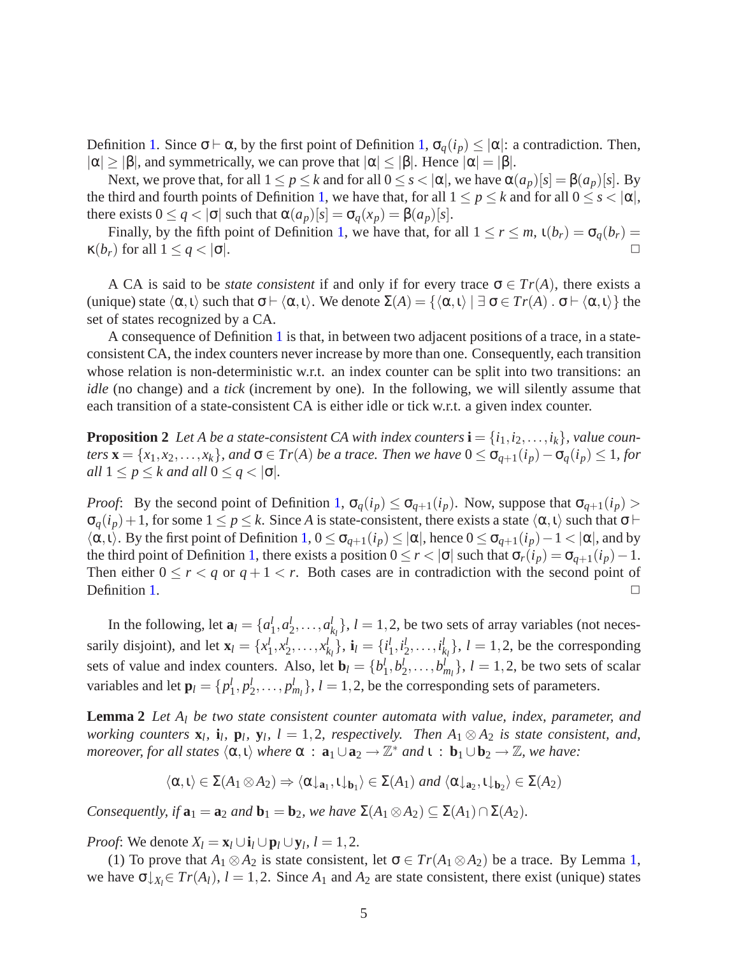Definition [1.](#page-5-0) Since σ ⊢ α, by the first point of Definition [1,](#page-5-0)  $\sigma_q(i_p) \leq |\alpha|$ : a contradiction. Then,  $|\alpha| \geq |\beta|$ , and symmetrically, we can prove that  $|\alpha| \leq |\beta|$ . Hence  $|\alpha| = |\beta|$ .

Next, we prove that, for all  $1 \le p \le k$  and for all  $0 \le s < |\alpha|$ , we have  $\alpha(a_p)[s] = \beta(a_p)[s]$ . By the third and fourth points of Definition [1,](#page-5-0) we have that, for all  $1 \le p \le k$  and for all  $0 \le s < |\alpha|$ , there exists  $0 \leq q < |\sigma|$  such that  $\alpha(a_p)[s] = \sigma_q(x_p) = \beta(a_p)[s]$ .

Finally, by the fifth point of Definition [1,](#page-5-0) we have that, for all  $1 \le r \le m$ ,  $\iota(b_r) = \sigma_q(b_r)$  $\kappa(b_r)$  for all  $1 \leq q < |\sigma|$ .

A CA is said to be *state consistent* if and only if for every trace  $\sigma \in Tr(A)$ , there exists a (unique) state  $\langle \alpha, \iota \rangle$  such that  $\sigma \vdash \langle \alpha, \iota \rangle$ . We denote  $\Sigma(A) = {\langle \alpha, \iota \rangle \mid \exists \sigma \in Tr(A) \cdot \sigma \vdash \langle \alpha, \iota \rangle}$  the set of states recognized by a CA.

A consequence of Definition [1](#page-5-0) is that, in between two adjacent positions of a trace, in a stateconsistent CA, the index counters never increase by more than one. Consequently, each transition whose relation is non-deterministic w.r.t. an index counter can be split into two transitions: an *idle* (no change) and a *tick* (increment by one). In the following, we will silently assume that each transition of a state-consistent CA is either idle or tick w.r.t. a given index counter.

**Proposition 2** *Let A be a state-consistent CA with index counters*  $\mathbf{i} = \{i_1, i_2, \ldots, i_k\}$ *, value counters*  $\mathbf{x} = \{x_1, x_2, \ldots, x_k\}$ *, and*  $\sigma \in \mathrm{Tr}(A)$  *be a trace. Then we have*  $0 \leq \sigma_{q+1}(i_p) - \sigma_q(i_p) \leq 1$ *, for all*  $1 \leq p \leq k$  *and all*  $0 \leq q < |\sigma|$ *.* 

*Proof*: By the second point of Definition [1,](#page-5-0)  $\sigma_q(i_p) \leq \sigma_{q+1}(i_p)$ . Now, suppose that  $\sigma_{q+1}(i_p)$  $\sigma_q(i_p)+1$ , for some  $1 \leq p \leq k$ . Since *A* is state-consistent, there exists a state  $\langle \alpha, \iota \rangle$  such that  $\sigma \vdash$  $\langle \alpha, \iota \rangle$ . By the first point of Definition [1,](#page-5-0)  $0 \leq \sigma_{q+1}(i_p) \leq |\alpha|$ , hence  $0 \leq \sigma_{q+1}(i_p) - 1 < |\alpha|$ , and by the third point of Definition [1,](#page-5-0) there exists a position  $0 \le r < |\sigma|$  such that  $\sigma_r(i_p) = \sigma_{q+1}(i_p) - 1$ . Then either  $0 \le r < q$  or  $q + 1 < r$ . Both cases are in contradiction with the second point of Definition [1.](#page-5-0)  $\Box$ 

In the following, let  $\mathbf{a}_l = \{a_1^l\}$  $\frac{l}{1}$ ,  $a_2^l$  $a_2^l, \ldots, a_k^l$  $\{k_{l}\}, l = 1, 2$ , be two sets of array variables (not necessarily disjoint), and let  $\mathbf{x}_l = \{x_1^l\}$  $\frac{l}{1}, x_2^l$  $\frac{l}{2}, \ldots, x_k^l$  $\{i_k\}$ , **i**<sub>l</sub> = { $i_1^l$  $\frac{l}{1}, i_2^l$  $\frac{l}{2}, \ldots, i^l_k$  $\{k_l\}$ ,  $l = 1, 2$ , be the corresponding sets of value and index counters. Also, let  $\mathbf{b}_l = \{b_1^l, b_2^l, \dots, b_{m_l}^l\}, l = 1, 2$ , be two sets of scalar variables and let  $\mathbf{p}_l = \{p_1^l, p_2^l, \dots, p_{m_l}^l\}, l = 1, 2$ , be the corresponding sets of parameters.

<span id="page-6-0"></span>**Lemma 2** *Let A<sup>l</sup> be two state consistent counter automata with value, index, parameter, and working counters*  $\mathbf{x}_l$ ,  $\mathbf{i}_l$ ,  $\mathbf{p}_l$ ,  $\mathbf{y}_l$ ,  $l = 1, 2$ , respectively. Then  $A_1 \otimes A_2$  *is state consistent, and, moreover, for all states*  $\langle \alpha, \iota \rangle$  *where*  $\alpha : \mathbf{a}_1 \cup \mathbf{a}_2 \to \mathbb{Z}^*$  *and*  $\iota : \mathbf{b}_1 \cup \mathbf{b}_2 \to \mathbb{Z}$ *, we have:* 

$$
\langle \alpha, \iota \rangle \in \Sigma(A_1 \otimes A_2) \Rightarrow \langle \alpha \downarrow_{\mathbf{a}_1}, \iota \downarrow_{\mathbf{b}_1} \rangle \in \Sigma(A_1) \text{ and } \langle \alpha \downarrow_{\mathbf{a}_2}, \iota \downarrow_{\mathbf{b}_2} \rangle \in \Sigma(A_2)
$$

*Consequently, if*  $\mathbf{a}_1 = \mathbf{a}_2$  *and*  $\mathbf{b}_1 = \mathbf{b}_2$ *, we have*  $\Sigma(A_1 \otimes A_2) \subseteq \Sigma(A_1) \cap \Sigma(A_2)$ *.* 

*Proof*: We denote  $X_l = \mathbf{x}_l \cup \mathbf{i}_l \cup \mathbf{p}_l \cup \mathbf{y}_l$ ,  $l = 1, 2$ .

(1) To prove that  $A_1 \otimes A_2$  is state consistent, let  $\sigma \in Tr(A_1 \otimes A_2)$  be a trace. By Lemma [1,](#page-4-0) we have  $\sigma \downarrow_{X_i} \in Tr(A_i)$ ,  $l = 1, 2$ . Since  $A_1$  and  $A_2$  are state consistent, there exist (unique) states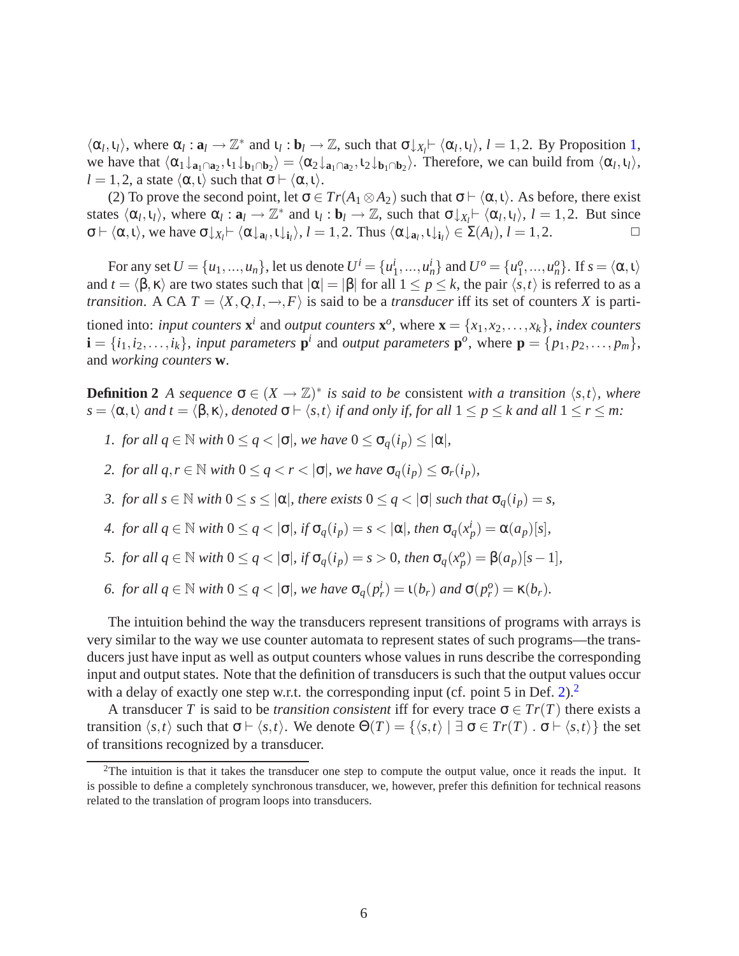$\langle \alpha_l, \iota_l \rangle$ , where  $\alpha_l : \mathbf{a}_l \to \mathbb{Z}^*$  and  $\iota_l : \mathbf{b}_l \to \mathbb{Z}$ , such that  $\sigma \downarrow_{X_l} \vdash \langle \alpha_l, \iota_l \rangle$ ,  $l = 1, 2$  $l = 1, 2$  $l = 1, 2$ . By Proposition 1, we have that  $\langle \alpha_1 \downarrow_{\mathbf{a}_1 \cap \mathbf{a}_2}, \iota_1 \downarrow_{\mathbf{b}_1 \cap \mathbf{b}_2} \rangle = \langle \alpha_2 \downarrow_{\mathbf{a}_1 \cap \mathbf{a}_2}, \iota_2 \downarrow_{\mathbf{b}_1 \cap \mathbf{b}_2} \rangle$ . Therefore, we can build from  $\langle \alpha_l, \iota_l \rangle$ ,  $l = 1, 2$ , a state  $\langle \alpha, \iota \rangle$  such that  $\sigma \vdash \langle \alpha, \iota \rangle$ .

(2) To prove the second point, let  $\sigma \in Tr(A_1 \otimes A_2)$  such that  $\sigma \vdash \langle \alpha, \iota \rangle$ . As before, there exist states  $\langle \alpha_l, \iota_l \rangle$ , where  $\alpha_l : \mathbf{a}_l \to \mathbb{Z}^*$  and  $\iota_l : \mathbf{b}_l \to \mathbb{Z}$ , such that  $\sigma \downarrow_{X_l} \vdash \langle \alpha_l, \iota_l \rangle$ ,  $l = 1, 2$ . But since  $\sigma \vdash \langle \alpha, \iota \rangle$ , we have  $\sigma \downarrow_{X_l} \vdash \langle \alpha \downarrow_{a_l}, \iota \downarrow_{i_l} \rangle$ ,  $l = 1, 2$ . Thus  $\langle \alpha \downarrow_{a_l}, \iota \downarrow_{i_l} \rangle \in \Sigma(A_l)$ ,  $l = 1, 2$ .

For any set  $U = \{u_1, ..., u_n\}$ , let us denote  $U^i = \{u_1^i\}$  $\{u_1^i, ..., u_n^i\}$  and  $U^o = \{u_1^o\}$  $\{a_1^o, ..., a_n^o\}$ . If  $s = \langle \alpha, \iota \rangle$ and  $t = \langle \beta, \kappa \rangle$  are two states such that  $|\alpha| = |\beta|$  for all  $1 \le p \le k$ , the pair  $\langle s, t \rangle$  is referred to as a *transition*. A CA  $T = \langle X, Q, I, \rightarrow, F \rangle$  is said to be a *transducer* iff its set of counters *X* is partitioned into: *input counters*  $\mathbf{x}^i$  and *output counters*  $\mathbf{x}^o$ , where  $\mathbf{x} = \{x_1, x_2, \dots, x_k\}$ , *index counters*  $\mathbf{i} = \{i_1, i_2, \ldots, i_k\}$ , *input parameters*  $\mathbf{p}^i$  and *output parameters*  $\mathbf{p}^o$ , where  $\mathbf{p} = \{p_1, p_2, \ldots, p_m\}$ , and *working counters* **w**.

<span id="page-7-0"></span>**Definition 2** A sequence  $\sigma \in (X \to \mathbb{Z})^*$  is said to be consistent with a transition  $\langle s,t \rangle$ , where  $s = \langle \alpha, \iota \rangle$  *and*  $t = \langle \beta, \kappa \rangle$ *, denoted*  $\sigma \vdash \langle s, t \rangle$  *if and only if, for all*  $1 \leq p \leq k$  *and all*  $1 \leq r \leq m$ *:* 

*1. for all*  $q \in \mathbb{N}$  *with*  $0 \leq q < |\sigma|$ *, we have*  $0 \leq \sigma_q(i_p) \leq |\alpha|$ *,* 

*2. for all*  $q, r \in \mathbb{N}$  *with*  $0 \leq q < r < |\sigma|$ *, we have*  $\sigma_q(i_p) \leq \sigma_r(i_p)$ *,* 

*3. for all*  $s \in \mathbb{N}$  *with*  $0 \le s \le |\alpha|$ *, there exists*  $0 \le q < |\sigma|$  *such that*  $\sigma_a(i_p) = s$ *,* 

*4. for all*  $q \in \mathbb{N}$  *with*  $0 \leq q < |\sigma|$ *, if*  $\sigma_q(i_p) = s < |\alpha|$ *, then*  $\sigma_q(x_p^i) = \alpha(a_p)[s]$ *,* 

5. for all 
$$
q \in \mathbb{N}
$$
 with  $0 \le q < |\sigma|$ , if  $\sigma_q(i_p) = s > 0$ , then  $\sigma_q(x_p^0) = \beta(a_p)[s-1]$ ,

6. for all 
$$
q \in \mathbb{N}
$$
 with  $0 \le q < |\sigma|$ , we have  $\sigma_q(p_r^i) = \iota(b_r)$  and  $\sigma(p_r^o) = \kappa(b_r)$ .

The intuition behind the way the transducers represent transitions of programs with arrays is very similar to the way we use counter automata to represent states of such programs—the transducers just have input as well as output counters whose values in runs describe the corresponding input and output states. Note that the definition of transducers is such that the output values occur with a delay of exactly one step w.r.t. the corresponding input (cf. point 5 in Def. [2\)](#page-7-0).<sup>[2](#page-7-1)</sup>

A transducer *T* is said to be *transition consistent* iff for every trace  $\sigma \in Tr(T)$  there exists a transition  $\langle s,t \rangle$  such that  $\sigma \vdash \langle s,t \rangle$ . We denote  $\Theta(T) = {\langle s,t \rangle \mid \exists \sigma \in Tr(T) \cdot \sigma \vdash \langle s,t \rangle}$  the set of transitions recognized by a transducer.

<span id="page-7-1"></span> $2$ The intuition is that it takes the transducer one step to compute the output value, once it reads the input. It is possible to define a completely synchronous transducer, we, however, prefer this definition for technical reasons related to the translation of program loops into transducers.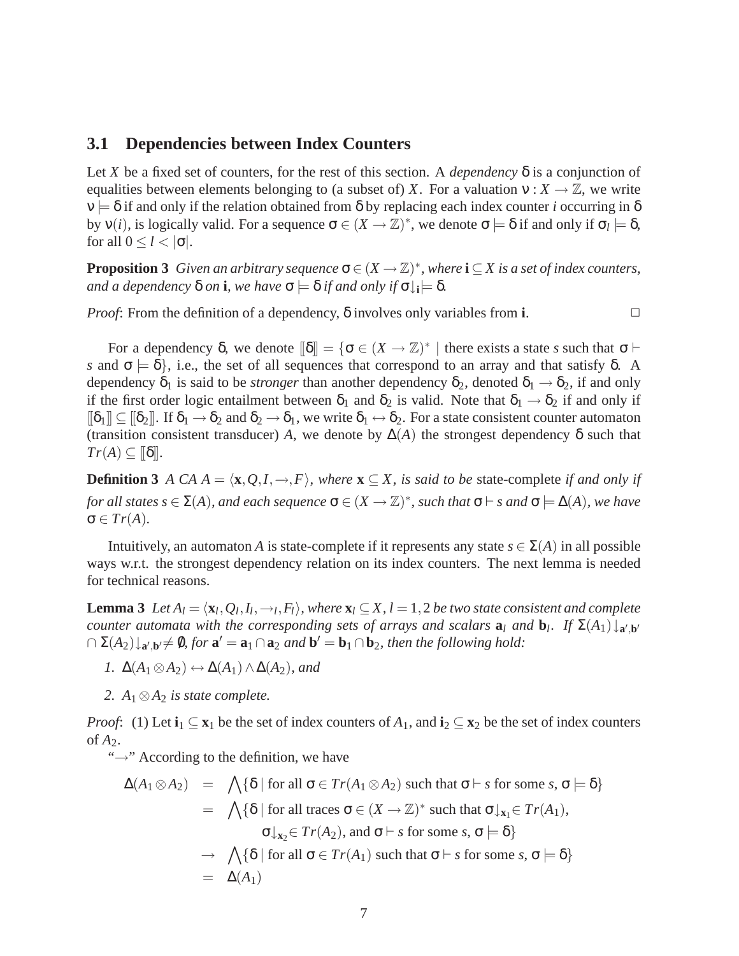#### **3.1 Dependencies between Index Counters**

Let *X* be a fixed set of counters, for the rest of this section. A *dependency* δ is a conjunction of equalities between elements belonging to (a subset of) *X*. For a valuation  $v : X \to \mathbb{Z}$ , we write  $v = \delta$  if and only if the relation obtained from  $\delta$  by replacing each index counter *i* occurring in  $\delta$ by  $v(i)$ , is logically valid. For a sequence  $\sigma \in (X \to \mathbb{Z})^*$ , we denote  $\sigma \models \delta$  if and only if  $\sigma_l \models \delta$ , for all  $0 \le l < |\sigma|$ .

<span id="page-8-0"></span>**Proposition 3** *Given an arbitrary sequence*  $\sigma \in (X \to \mathbb{Z})^*$ , *where*  $\mathbf{i} \subseteq X$  *is a set of index counters,*  $a$ nd a dependency  $\delta$  *on* **i**, we have  $\sigma \models \delta$  if and only if  $\sigma \downarrow_i \models \delta$ .

*Proof*: From the definition of a dependency,  $\delta$  involves only variables from **i**.

For a dependency  $\delta$ , we denote  $[\![\delta]\!] = {\{\sigma \in (X \to \mathbb{Z})^*\; |\; \text{there exists a state } s \text{ such that } \sigma \vdash \phi\}}$ *s* and  $\sigma = \delta$ , i.e., the set of all sequences that correspond to an array and that satisfy  $\delta$ . A dependency  $\delta_1$  is said to be *stronger* than another dependency  $\delta_2$ , denoted  $\delta_1 \rightarrow \delta_2$ , if and only if the first order logic entailment between  $\delta_1$  and  $\delta_2$  is valid. Note that  $\delta_1 \to \delta_2$  if and only if  $[\![\delta_1]\!] \subseteq [\![\delta_2]\!]$ . If  $\delta_1 \to \delta_2$  and  $\delta_2 \to \delta_1$ , we write  $\delta_1 \leftrightarrow \delta_2$ . For a state consistent counter automaton (transition consistent transducer) *A*, we denote by  $\Delta(A)$  the strongest dependency  $\delta$  such that  $Tr(A) \subseteq \lbrack\lbrack \delta \rbrack$ .

<span id="page-8-1"></span>**Definition 3** *A CA A* =  $\langle$ **x**, *Q*,*I*, →,*F* $\rangle$ , *where* **x**  $\subseteq$  *X*, *is said to be* state-complete *if and only if for all states s*  $\in$   $\Sigma(A)$ *, and each sequence*  $\sigma$   $\in$   $(X \to \mathbb{Z})^*$ *, such that*  $\sigma$   $\vdash$  *s and*  $\sigma$   $\models$   $\Delta(A)$ *, we have*  $\sigma \in Tr(A)$ .

Intuitively, an automaton *A* is state-complete if it represents any state  $s \in \Sigma(A)$  in all possible ways w.r.t. the strongest dependency relation on its index counters. The next lemma is needed for technical reasons.

<span id="page-8-2"></span>**Lemma 3** Let  $A_l = \langle \mathbf{x}_l, Q_l, I_l, \rightarrow_l, F_l \rangle$ , where  $\mathbf{x}_l \subseteq X$ ,  $l = 1, 2$  be two state consistent and complete *counter automata with the corresponding sets of arrays and scalars*  $a_l$  *and*  $b_l$ *. If*  $\Sigma(A_1) \downarrow_{a',b'}$  $\cap \Sigma(A_2) \downarrow_{\mathbf{a}',\mathbf{b}'} \neq \emptyset$ , for  $\mathbf{a}' = \mathbf{a}_1 \cap \mathbf{a}_2$  and  $\mathbf{b}' = \mathbf{b}_1 \cap \mathbf{b}_2$ , then the following hold:

- *I.*  $\Delta(A_1 \otimes A_2) \leftrightarrow \Delta(A_1) \wedge \Delta(A_2)$ *, and*
- 2.  $A_1 \otimes A_2$  *is state complete.*

*Proof*: (1) Let  $\mathbf{i}_1 \subseteq \mathbf{x}_1$  be the set of index counters of  $A_1$ , and  $\mathbf{i}_2 \subseteq \mathbf{x}_2$  be the set of index counters of  $A_2$ .

"→" According to the definition, we have

$$
\Delta(A_1 \otimes A_2) = \bigwedge \{ \delta \mid \text{for all } \sigma \in Tr(A_1 \otimes A_2) \text{ such that } \sigma \vdash s \text{ for some } s, \sigma \models \delta \}
$$
  
\n
$$
= \bigwedge \{ \delta \mid \text{for all traces } \sigma \in (X \rightarrow \mathbb{Z})^* \text{ such that } \sigma \downarrow_{x_1} \in Tr(A_1),
$$
  
\n
$$
\sigma \downarrow_{x_2} \in Tr(A_2), \text{ and } \sigma \vdash s \text{ for some } s, \sigma \models \delta \}
$$
  
\n
$$
\rightarrow \bigwedge \{ \delta \mid \text{for all } \sigma \in Tr(A_1) \text{ such that } \sigma \vdash s \text{ for some } s, \sigma \models \delta \}
$$
  
\n
$$
= \Delta(A_1)
$$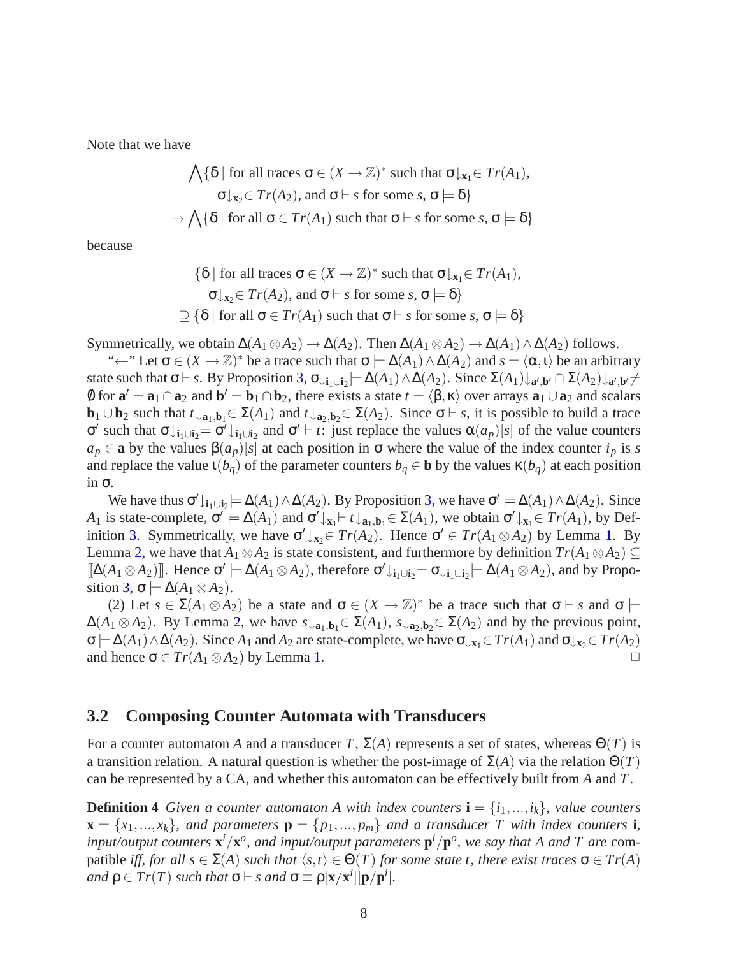Note that we have

$$
\bigwedge \{ \delta \mid \text{for all traces } \sigma \in (X \to \mathbb{Z})^* \text{ such that } \sigma \downarrow_{\mathbf{x}_1} \in Tr(A_1),
$$
  

$$
\sigma \downarrow_{\mathbf{x}_2} \in Tr(A_2), \text{ and } \sigma \vdash s \text{ for some } s, \sigma \models \delta \}
$$
  

$$
\rightarrow \bigwedge \{ \delta \mid \text{for all } \sigma \in Tr(A_1) \text{ such that } \sigma \vdash s \text{ for some } s, \sigma \models \delta \}
$$

because

$$
\{\delta \mid \text{for all traces } \sigma \in (X \to \mathbb{Z})^* \text{ such that } \sigma \downarrow_{\mathbf{x}_1} \in Tr(A_1),
$$
  

$$
\sigma \downarrow_{\mathbf{x}_2} \in Tr(A_2), \text{ and } \sigma \vdash s \text{ for some } s, \sigma \models \delta\}
$$
  

$$
\supseteq \{\delta \mid \text{for all } \sigma \in Tr(A_1) \text{ such that } \sigma \vdash s \text{ for some } s, \sigma \models \delta\}
$$

Symmetrically, we obtain  $\Delta(A_1 \otimes A_2) \to \Delta(A_2)$ . Then  $\Delta(A_1 \otimes A_2) \to \Delta(A_1) \wedge \Delta(A_2)$  follows.

"←" Let  $\sigma \in (X \to \mathbb{Z})^*$  be a trace such that  $\sigma \models \Delta(A_1) \land \Delta(A_2)$  and  $s = \langle \alpha, \iota \rangle$  be an arbitrary state such that  $\sigma \vdash s$ . By Proposition [3,](#page-8-0)  $\sigma \downarrow_{i_1 \cup i_2} \models \Delta(A_1) \wedge \Delta(A_2)$ . Since  $\Sigma(A_1) \downarrow_{a',b'} \cap \Sigma(A_2) \downarrow_{a',b'} \neq$ 0 for  $\mathbf{a}' = \mathbf{a}_1 \cap \mathbf{a}_2$  and  $\mathbf{b}' = \mathbf{b}_1 \cap \mathbf{b}_2$ , there exists a state  $t = \langle \beta, \kappa \rangle$  over arrays  $\mathbf{a}_1 \cup \mathbf{a}_2$  and scalars **b**<sub>1</sub> ∪**b**<sub>2</sub> such that  $t \downarrow_{a_1, b_1} \in \Sigma(A_1)$  and  $t \downarrow_{a_2, b_2} \in \Sigma(A_2)$ . Since  $\sigma \vdash s$ , it is possible to build a trace σ ′ such that σ↓**i**1∪**i**2= σ ′↓**i**1∪**i**<sup>2</sup> and σ ′ ⊢ *t*: just replace the values α(*ap*)[*s*] of the value counters  $a_p \in \mathbf{a}$  by the values  $\beta(a_p)[s]$  at each position in  $\sigma$  where the value of the index counter  $i_p$  is *s* and replace the value  $\iota(b_q)$  of the parameter counters  $b_q \in \mathbf{b}$  by the values  $\kappa(b_q)$  at each position in σ.

We have thus  $\sigma' \downarrow_{i_1 \cup i_2} \models \Delta(A_1) \wedge \Delta(A_2)$ . By Proposition [3,](#page-8-0) we have  $\sigma' \models \Delta(A_1) \wedge \Delta(A_2)$ . Since *A*<sub>1</sub> is state-complete,  $\sigma' \models \Delta(A_1)$  and  $\sigma' \downarrow_{\mathbf{x}_1} \vdash t \downarrow_{\mathbf{a}_1, \mathbf{b}_1} \in \Sigma(A_1)$ , we obtain  $\sigma' \downarrow_{\mathbf{x}_1} \in Tr(A_1)$ , by Def-inition [3.](#page-8-1) Symmetrically, we have  $\sigma' \downarrow_{x_2} \in Tr(A_2)$ . Hence  $\sigma' \in Tr(A_1 \otimes A_2)$  by Lemma [1.](#page-4-0) By Lemma [2,](#page-6-0) we have that  $A_1 \otimes A_2$  is state consistent, and furthermore by definition  $Tr(A_1 \otimes A_2) \subseteq$  $[[\Delta(A_1 \otimes A_2)]]$ . Hence  $\sigma' \models \Delta(A_1 \otimes A_2)$ , therefore  $\sigma' \downarrow_{i_1 \cup i_2} = \sigma \downarrow_{i_1 \cup i_2} \models \Delta(A_1 \otimes A_2)$ , and by Propo-sition [3,](#page-8-0)  $\sigma \models \Delta(A_1 \otimes A_2)$ .

(2) Let  $s \in \Sigma(A_1 \otimes A_2)$  be a state and  $\sigma \in (X \to \mathbb{Z})^*$  be a trace such that  $\sigma \vdash s$  and  $\sigma \models$  $Δ(A_1 ⊗ A_2)$ . By Lemma [2,](#page-6-0) we have  $s \downarrow_{\mathbf{a}_1, \mathbf{b}_1} ∈ Σ(A_1)$ ,  $s \downarrow_{\mathbf{a}_2, \mathbf{b}_2} ∈ Σ(A_2)$  and by the previous point,  $\sigma$   $\models \Delta(A_1) \wedge \Delta(A_2)$ . Since  $A_1$  and  $A_2$  are state-complete, we have  $\sigma \downarrow_{\mathbf{x}_1} \in Tr(A_1)$  and  $\sigma \downarrow_{\mathbf{x}_2} \in Tr(A_2)$ and hence  $\sigma \in Tr(A_1 \otimes A_2)$  by Lemma [1.](#page-4-0)  $\Box$ 

#### **3.2 Composing Counter Automata with Transducers**

For a counter automaton *A* and a transducer *T*,  $\Sigma(A)$  represents a set of states, whereas  $\Theta(T)$  is a transition relation. A natural question is whether the post-image of Σ(*A*) via the relation Θ(*T*) can be represented by a CA, and whether this automaton can be effectively built from *A* and *T*.

<span id="page-9-0"></span>**Definition 4** *Given a counter automaton A with index counters*  $\mathbf{i} = \{i_1, ..., i_k\}$ *, value counters*  $\mathbf{x} = \{x_1, ..., x_k\}$ , and parameters  $\mathbf{p} = \{p_1, ..., p_m\}$  and a transducer T with index counters **i**, *input/output counters*  $\mathbf{x}^i/\mathbf{x}^o$ *, and input/output parameters*  $\mathbf{p}^i/\mathbf{p}^o$ *, we say that A and T are* compatible *iff, for all*  $s \in \Sigma(A)$  *such that*  $\langle s,t \rangle \in \Theta(T)$  *for some state t, there exist traces*  $\sigma \in \Gamma r(A)$  $and \rho \in Tr(T) \text{ such that } \sigma \vdash s \text{ and } \sigma \equiv \rho[\mathbf{x}/\mathbf{x}^i][\mathbf{p}/\mathbf{p}^i].$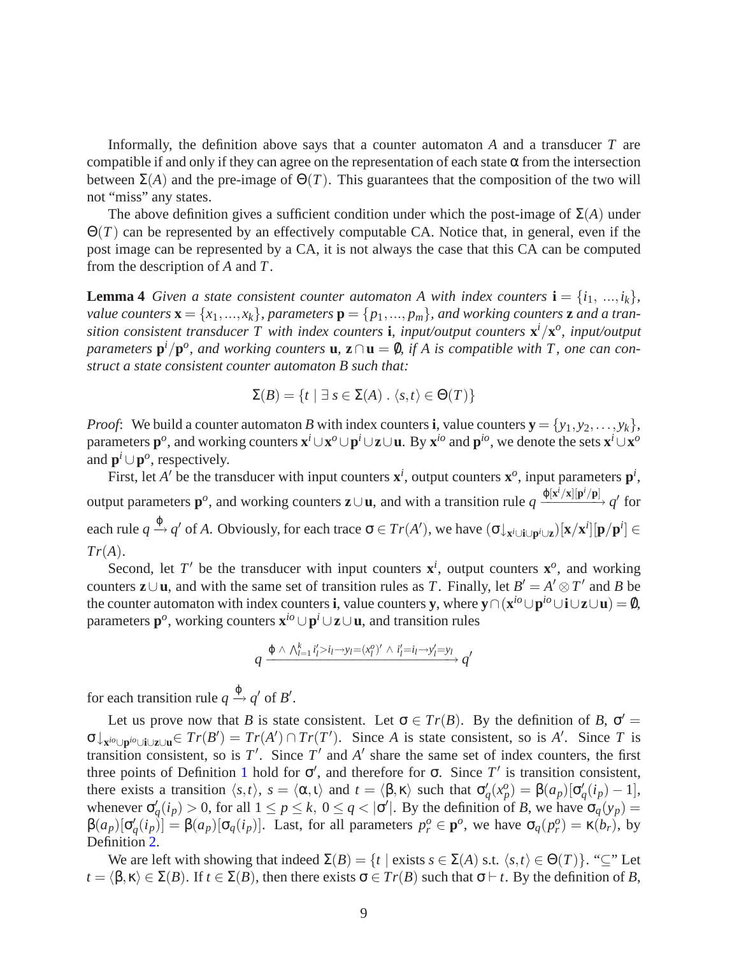Informally, the definition above says that a counter automaton *A* and a transducer *T* are compatible if and only if they can agree on the representation of each state  $\alpha$  from the intersection between  $\Sigma(A)$  and the pre-image of  $\Theta(T)$ . This guarantees that the composition of the two will not "miss" any states.

The above definition gives a sufficient condition under which the post-image of  $\Sigma(A)$  under Θ(*T*) can be represented by an effectively computable CA. Notice that, in general, even if the post image can be represented by a CA, it is not always the case that this CA can be computed from the description of *A* and *T*.

<span id="page-10-0"></span>**Lemma 4** *Given a state consistent counter automaton A with index counters*  $\mathbf{i} = \{i_1, ..., i_k\}$ , *value counters*  $\mathbf{x} = \{x_1, ..., x_k\}$ , parameters  $\mathbf{p} = \{p_1, ..., p_m\}$ , and working counters **z** and a tran*sition consistent transducer T with index counters* **i***, input/output counters* **x** *<sup>i</sup>*/**x** *o , input/output*  $\mathbf{p}$ *arameters*  $\mathbf{p}^i/\mathbf{p}^o$ , and working counters **u**,  $\mathbf{z} \cap \mathbf{u} = \emptyset$ , if A is compatible with T, one can con*struct a state consistent counter automaton B such that:*

$$
\Sigma(B) = \{ t \mid \exists s \in \Sigma(A) . \langle s, t \rangle \in \Theta(T) \}
$$

*Proof*: We build a counter automaton *B* with index counters **i**, value counters  $\mathbf{y} = \{y_1, y_2, \ldots, y_k\}$ , parameters  $\mathbf{p}^o$ , and working counters  $\mathbf{x}^i\cup\mathbf{x}^o\cup\mathbf{p}^i\cup\mathbf{z}\cup\mathbf{u}$ . By  $\mathbf{x}^{io}$  and  $\mathbf{p}^{io}$ , we denote the sets  $\mathbf{x}^i\cup\mathbf{x}^o$ and  $\mathbf{p}^i \cup \mathbf{p}^o$ , respectively.

First, let *A'* be the transducer with input counters  $\mathbf{x}^i$ , output counters  $\mathbf{x}^o$ , input parameters  $\mathbf{p}^i$ , output parameters  $\mathbf{p}^o$ , and working counters  $\mathbf{z} \cup \mathbf{u}$ , and with a transition rule  $q \xrightarrow{\phi[\mathbf{x}^i/\mathbf{x}][\mathbf{p}^i/\mathbf{p}]} q'$  for each rule  $q \xrightarrow{\phi} q'$  of A. Obviously, for each trace  $\sigma \in Tr(A')$ , we have  $(\sigma \downarrow_{\mathbf{x}^i \cup \mathbf{i} \cup \mathbf{p}^i \cup \mathbf{z}}) [\mathbf{x} / \mathbf{x}^i] [\mathbf{p} / \mathbf{p}^i] \in$ *Tr*(*A*).

Second, let T' be the transducer with input counters  $x^i$ , output counters  $x^o$ , and working counters  $z \cup u$ , and with the same set of transition rules as *T*. Finally, let  $B' = A' \otimes T'$  and *B* be the counter automaton with index counters **i**, value counters **y**, where  $\mathbf{y} \cap (\mathbf{x}^{io} \cup \mathbf{p}^{io} \cup \mathbf{i} \cup \mathbf{z} \cup \mathbf{u}) = \emptyset$ , parameters **p** *o* , working counters **x** *io* ∪**p** *<sup>i</sup>* ∪**z**∪**u**, and transition rules

$$
q \xrightarrow{\phi \wedge \bigwedge_{l=1}^k i'_l > i_l \rightarrow y_l = (x_l^o)' \wedge i'_l = i_l \rightarrow y'_l = y_l} q'
$$

for each transition rule  $q \xrightarrow{\phi} q'$  of *B'*.

Let us prove now that *B* is state consistent. Let  $\sigma \in Tr(B)$ . By the definition of *B*,  $\sigma' =$  $\sigma \downarrow_{\mathbf{x}^{io} \cup \mathbf{p}^{io} \cup \mathbf{i} \cup \mathbf{z} \cup \mathbf{u}} \in Tr(B') = Tr(A') \cap Tr(T')$ . Since *A* is state consistent, so is *A'*. Since *T* is transition consistent, so is  $T'$ . Since  $T'$  and  $A'$  share the same set of index counters, the first three points of Definition [1](#page-5-0) hold for  $\sigma'$ , and therefore for  $\sigma$ . Since T' is transition consistent, there exists a transition  $\langle s,t \rangle$ ,  $s = \langle \alpha, t \rangle$  and  $t = \langle \beta, \kappa \rangle$  such that  $\sigma'_q(x_p^o) = \beta(a_p)[\sigma'_q(i_p) - 1]$ , whenever  $\sigma'_q(i_p) > 0$ , for all  $1 \leq p \leq k$ ,  $0 \leq q < |\sigma'|$ . By the definition of *B*, we have  $\sigma_q(y_p) =$  $\beta(a_p)[\sigma'_q(i_p)] = \beta(a_p)[\sigma_q(i_p)]$ . Last, for all parameters  $p_r^o \in \mathbf{p}^o$ , we have  $\sigma_q(p_r^o) = \kappa(b_r)$ , by Definition [2.](#page-7-0)

We are left with showing that indeed  $\Sigma(B) = \{t \mid \text{exists } s \in \Sigma(A) \text{ s.t. } \langle s, t \rangle \in \Theta(T) \}$ . " $\subseteq$ " Let  $t = \langle \beta, \kappa \rangle \in \Sigma(B)$ . If  $t \in \Sigma(B)$ , then there exists  $\sigma \in \mathcal{Tr}(B)$  such that  $\sigma \vdash t$ . By the definition of *B*,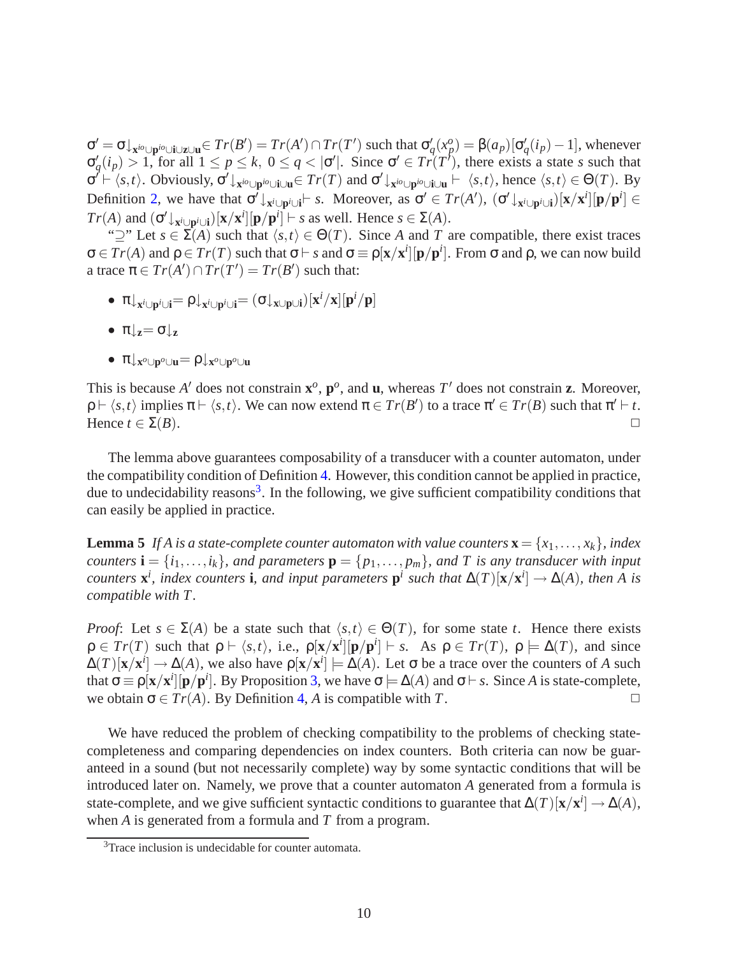$\sigma' = \sigma \downarrow_{\mathbf{x}^{io} \cup \mathbf{p}^{io} \cup \mathbf{i} \cup \mathbf{z} \cup \mathbf{u}} \in Tr(B') = Tr(A') \cap Tr(T')$  such that  $\sigma'_q(x_p^o) = \beta(a_p)[\sigma'_q(i_p) - 1]$ , whenever  $\sigma'_q(i_p) > 1$ , for all  $1 \leq p \leq k$ ,  $0 \leq q < |\sigma'|$ . Since  $\sigma' \in Tr(T')$ , there exists a state *s* such that  $\sigma' \vdash \langle s,t \rangle$ . Obviously,  $\sigma' \downarrow_{\mathbf{x}^{io} \cup \mathbf{p}^{io} \cup \mathbf{i} \cup \mathbf{u}} \in Tr(T)$  and  $\sigma' \downarrow_{\mathbf{x}^{io} \cup \mathbf{p}^{io} \cup \mathbf{i} \cup \mathbf{u}} \vdash \langle s,t \rangle$ , hence  $\langle s,t \rangle \in \Theta(T)$ . By Definition [2,](#page-7-0) we have that  $\sigma^j \downarrow_{\mathbf{x}^i \cup \mathbf{p}^i \cup \mathbf{i}} \vdash s$ . Moreover, as  $\sigma' \in Tr(A'), \ (\sigma' \downarrow_{\mathbf{x}^i \cup \mathbf{p}^i \cup \mathbf{i}}) [\mathbf{x} / \mathbf{x}^i][\mathbf{p} / \mathbf{p}^i] \in$ *Tr*(*A*) and  $(\sigma' \downarrow_{\mathbf{x}^i \cup \mathbf{p}^i \cup \mathbf{i}})[\mathbf{x} / \mathbf{x}^i][\mathbf{p} / \mathbf{p}^i] \vdash s$  as well. Hence  $s \in \Sigma(A)$ .

" $\supseteq$ " Let  $s \in \Sigma(A)$  such that  $\langle s,t \rangle \in \Theta(T)$ . Since *A* and *T* are compatible, there exist traces  $\sigma \in Tr(A)$  and  $\rho \in Tr(T)$  such that  $\sigma \vdash s$  and  $\sigma \equiv \rho[x/x^i][p/p^i]$ . From  $\sigma$  and  $\rho$ , we can now build a trace  $\pi \in Tr(A') \cap Tr(T') = Tr(B')$  such that:

- π↓**<sup>x</sup>** *<sup>i</sup>*∪**p** *<sup>i</sup>*∪**i**= ρ↓**<sup>x</sup>** *<sup>i</sup>*∪**p** *<sup>i</sup>*∪**i**= (σ↓**x**∪**p**∪**i**)[**x** *<sup>i</sup>*/**x**][**p** *<sup>i</sup>*/**p**]
- $\bullet$   $\pi|_{\mathbf{z}} = \sigma|_{\mathbf{z}}$
- $\bullet$  π $\downarrow$ <sub>x</sub><sup>*o*</sup>∪**p**<sup>*o*</sup>∪**u**

This is because *A'* does not constrain  $\mathbf{x}^o$ ,  $\mathbf{p}^o$ , and **u**, whereas *T'* does not constrain **z**. Moreover,  $\rho \vdash \langle s,t \rangle$  implies  $\pi \vdash \langle s,t \rangle$ . We can now extend  $\pi \in Tr(B')$  to a trace  $\pi' \in Tr(B)$  such that  $\pi' \vdash t$ . Hence  $t \in \Sigma(B)$ .

The lemma above guarantees composability of a transducer with a counter automaton, under the compatibility condition of Definition [4.](#page-9-0) However, this condition cannot be applied in practice, due to undecidability reasons<sup>[3](#page-11-0)</sup>. In the following, we give sufficient compatibility conditions that can easily be applied in practice.

<span id="page-11-1"></span>**Lemma 5** If A is a state-complete counter automaton with value counters  $\mathbf{x} = \{x_1, \ldots, x_k\}$ , index *counters*  $\mathbf{i} = \{i_1, \ldots, i_k\}$ *, and parameters*  $\mathbf{p} = \{p_1, \ldots, p_m\}$ *, and T is any transducer with input counters*  $\mathbf{x}^i$ *, index counters* **i***, and input parameters*  $\mathbf{p}^i$  *such that*  $\Delta(T)[\mathbf{x}/\mathbf{x}^i] \rightarrow \Delta(A)$ *, then* A is *compatible with T .*

*Proof*: Let  $s \in \Sigma(A)$  be a state such that  $\langle s,t \rangle \in \Theta(T)$ , for some state *t*. Hence there exists  $\rho \in Tr(T)$  such that  $\rho \vdash \langle s,t \rangle$ , i.e.,  $\rho[\mathbf{x}/\mathbf{x}^i][\mathbf{p}/\mathbf{p}^i] \vdash s$ . As  $\rho \in Tr(T)$ ,  $\rho \models \Delta(T)$ , and since  $\Delta(T)[\mathbf{x}/\mathbf{x}^i] \to \Delta(A)$ , we also have  $\rho[\mathbf{x}/\mathbf{x}^i] \models \Delta(A)$ . Let  $\sigma$  be a trace over the counters of *A* such that  $\sigma \equiv \rho[x/x^i][p/p^i]$ . By Proposition [3,](#page-8-0) we have  $\sigma \models \Delta(A)$  and  $\sigma \vdash s$ . Since *A* is state-complete, we obtain  $\sigma \in Tr(A)$ . By Definition [4,](#page-9-0) *A* is compatible with *T*.

We have reduced the problem of checking compatibility to the problems of checking statecompleteness and comparing dependencies on index counters. Both criteria can now be guaranteed in a sound (but not necessarily complete) way by some syntactic conditions that will be introduced later on. Namely, we prove that a counter automaton *A* generated from a formula is state-complete, and we give sufficient syntactic conditions to guarantee that  $\Delta(T)[\mathbf{x}/\mathbf{x}^i] \rightarrow \Delta(A)$ , when *A* is generated from a formula and *T* from a program.

<span id="page-11-2"></span><span id="page-11-0"></span><sup>&</sup>lt;sup>3</sup>Trace inclusion is undecidable for counter automata.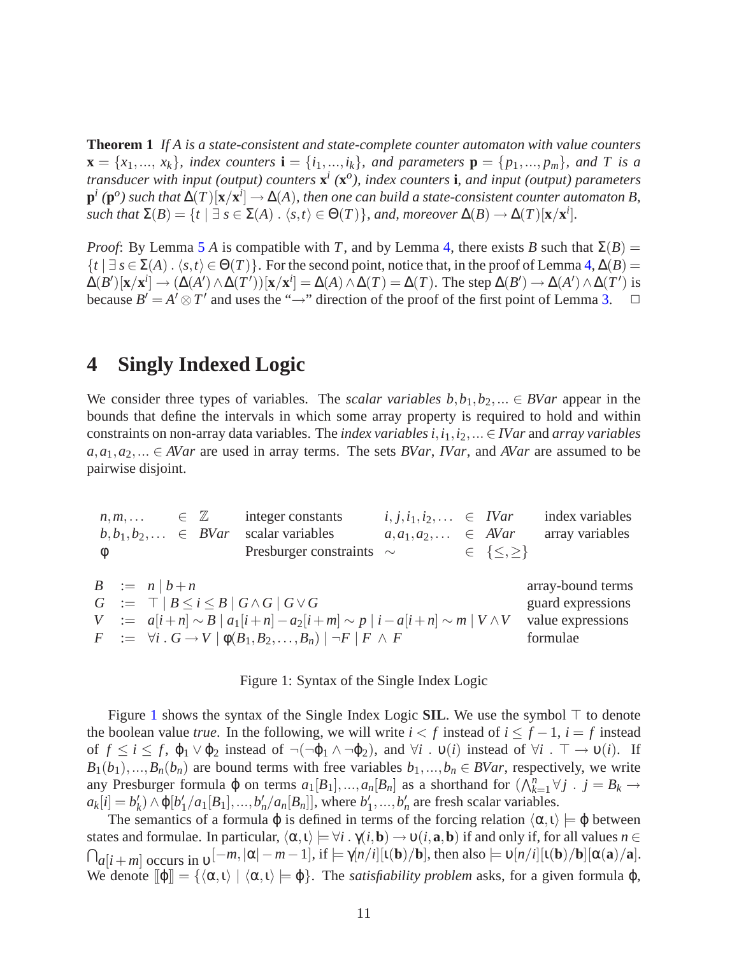**Theorem 1** *If A is a state-consistent and state-complete counter automaton with value counters*  $\mathbf{x} = \{x_1, ..., x_k\}$ *, index counters*  $\mathbf{i} = \{i_1, ..., i_k\}$ *, and parameters*  $\mathbf{p} = \{p_1, ..., p_m\}$ *, and* T is a *transducer with input (output) counters* **x** *i (***x** *o ), index counters* **i***, and input (output) parameters*  $\bf{p}^i$  ( $\bf{p}^o$ ) such that  $\Delta(T)[\bf{x}/\bf{x}^i] \rightarrow \Delta(A)$ , then one can build a state-consistent counter automaton B, *such that*  $\Sigma(B) = \{t \mid \exists s \in \Sigma(A) : \langle s, t \rangle \in \Theta(T)\}$ *, and, moreover*  $\Delta(B) \to \Delta(T)[\mathbf{x}/\mathbf{x}^i]$ *.* 

*Proof*: By Lemma [5](#page-11-1) *A* is compatible with *T*, and by Lemma [4,](#page-10-0) there exists *B* such that  $\Sigma(B)$  =  $\{t \mid \exists s \in \Sigma(A) \cdot \langle s,t \rangle \in \Theta(T)\}\.$  For the second point, notice that, in the proof of Lemma [4,](#page-10-0)  $\Delta(B)$  =  $\Delta(B')[\mathbf{x}/\mathbf{x}^i] \rightarrow (\Delta(A') \wedge \Delta(T'))[\mathbf{x}/\mathbf{x}^i] = \Delta(A) \wedge \Delta(T) = \Delta(T)$ . The step  $\Delta(B') \rightarrow \Delta(A') \wedge \Delta(T')$  is because  $B' = A' \otimes T'$  and uses the " $\rightarrow$ " direction of the proof of the first point of Lemma [3.](#page-8-2)  $\Box$ 

### **4 Singly Indexed Logic**

We consider three types of variables. The *scalar variables*  $b, b_1, b_2, ... \in BVar$  appear in the bounds that define the intervals in which some array property is required to hold and within constraints on non-array data variables. The *index variables i*,*i*1,*i*2,...∈ *IVar* and *array variables*  $a, a_1, a_2, \ldots \in AVar$  are used in array terms. The sets *BVar*, *IVar*, and *AVar* are assumed to be pairwise disjoint.

 $n,m,\ldots \in \mathbb{Z}$  integer constants  $b, b_1, b_2, \ldots \in BVar$  scalar variables φ Presburger constraints ∼ ∈ {≤,≥}  $i, j, i_1, i_2, \ldots \in IVar$  index variables  $a, a_1, a_2, \ldots \in \mathbb{A}$ Var array variables

|  | $B \quad := \quad n \mid b+n$                                                                              | array-bound terms |
|--|------------------------------------------------------------------------------------------------------------|-------------------|
|  | $G \equiv \top   B \leq i \leq B   G \wedge G   G \vee G$                                                  | guard expressions |
|  | $V = a[i+n] \sim B  a_1[i+n] - a_2[i+m] \sim p  i-a[i+n] \sim m  V \wedge V$                               | value expressions |
|  | $F$ $:=$ $\forall i$ $\cdot$ $G \rightarrow V$ $\phi(B_1, B_2, \ldots, B_n)$ $\mid \neg F \mid F \wedge F$ | formulae          |

#### <span id="page-12-0"></span>Figure 1: Syntax of the Single Index Logic

Figure [1](#page-12-0) shows the syntax of the Single Index Logic **SIL**. We use the symbol ⊤ to denote the boolean value *true*. In the following, we will write  $i < f$  instead of  $i \leq f - 1$ ,  $i = f$  instead of  $f \le i \le f$ ,  $\varphi_1 \vee \varphi_2$  instead of  $\neg(\neg \varphi_1 \wedge \neg \varphi_2)$ , and  $\forall i$  .  $\nu(i)$  instead of  $\forall i$  .  $\top \rightarrow \nu(i)$ . If  $B_1(b_1),...,B_n(b_n)$  are bound terms with free variables  $b_1,...,b_n \in BVar$ , respectively, we write any Presburger formula  $\varphi$  on terms  $a_1[B_1],..., a_n[B_n]$  as a shorthand for  $(\bigwedge_{k=1}^n \forall j \in B_k \rightarrow$  $a_k[i] = b'_k \land \phi[b'_1/a_1[B_1],...,b'_n/a_n[B_n]]$ , where  $b'_1,...,b'_n$  are fresh scalar variables.

The semantics of a formula  $\varphi$  is defined in terms of the forcing relation  $\langle \alpha, \iota \rangle \models \varphi$  between states and formulae. In particular,  $\langle \alpha, \iota \rangle \models \forall i$ .  $\gamma(i, \mathbf{b}) \rightarrow \nu(i, \mathbf{a}, \mathbf{b})$  if and only if, for all values  $n \in$  $\bigcap_{a}[i+m]$  occurs in  $v^{[-m,|\alpha|-m-1]}$ , if  $\models \gamma[n/i][\iota(\mathbf{b})/\mathbf{b}]$ , then also  $\models v[n/i][\iota(\mathbf{b})/\mathbf{b}][\alpha(\mathbf{a})/\mathbf{a}]$ . We denote  $[\![\varphi]\!] = {\{\langle \alpha, \iota \rangle | \langle \alpha, \iota \rangle \models \varphi\}}$ . The *satisfiability problem* asks, for a given formula  $\varphi$ ,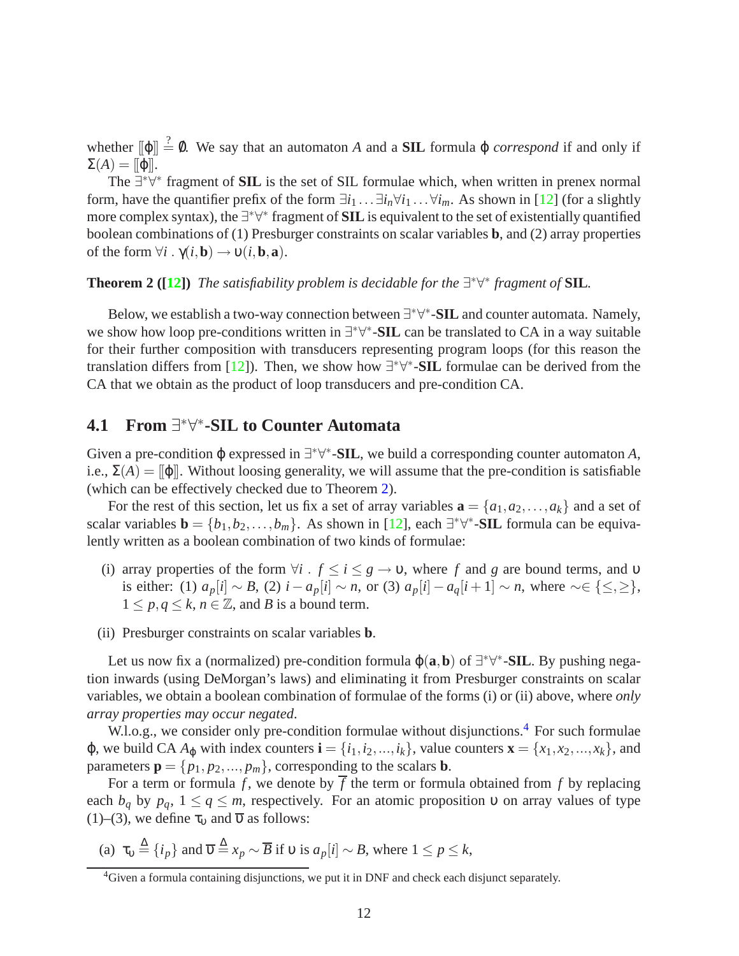whether  $[\![\varphi]\!] \stackrel{?}{=} \emptyset$ . We say that an automaton *A* and a **SIL** formula  $\varphi$  *correspond* if and only if  $\Sigma(A) = [\![\varphi]\!]$ .

The ∃<sup>\*∀\*</sup> fragment of **SIL** is the set of SIL formulae which, when written in prenex normal form, have the quantifier prefix of the form  $\exists i_1 \dots \exists i_n \forall i_1 \dots \forall i_m$ . As shown in [\[12\]](#page-27-0) (for a slightly more complex syntax), the ∃<sup>\*</sup>∀<sup>\*</sup> fragment of **SIL** is equivalent to the set of existentially quantified boolean combinations of (1) Presburger constraints on scalar variables **b**, and (2) array properties of the form  $\forall i$ .  $\gamma(i, \mathbf{b}) \rightarrow \upsilon(i, \mathbf{b}, \mathbf{a})$ .

#### <span id="page-13-0"></span>**Theorem 2** ([\[12\]](#page-27-0)) *The satisfiability problem is decidable for the*  $\exists^* \forall^*$  *fragment of* **SIL***.*

Below, we establish a two-way connection between  $\exists^* \forall^*$ -**SIL** and counter automata. Namely, we show how loop pre-conditions written in  $\exists^* \forall^*$ -**SIL** can be translated to CA in a way suitable for their further composition with transducers representing program loops (for this reason the translation differs from [\[12\]](#page-27-0)). Then, we show how  $\exists^* \forall^*$ -**SIL** formulae can be derived from the CA that we obtain as the product of loop transducers and pre-condition CA.

# <span id="page-13-2"></span>**4.1 From** ∃ ∗∀ ∗ **-SIL to Counter Automata**

Given a pre-condition φ expressed in ∃\*∀\*-**SIL**, we build a corresponding counter automaton *A*, i.e.,  $\Sigma(A) = \|\varphi\|$ . Without loosing generality, we will assume that the pre-condition is satisfiable (which can be effectively checked due to Theorem [2\)](#page-13-0).

For the rest of this section, let us fix a set of array variables  $\mathbf{a} = \{a_1, a_2, \ldots, a_k\}$  and a set of scalar variables  $\mathbf{b} = \{b_1, b_2, \dots, b_m\}$ . As shown in [\[12\]](#page-27-0), each  $\exists^* \forall^*$ -**SIL** formula can be equivalently written as a boolean combination of two kinds of formulae:

- (i) array properties of the form  $\forall i$  .  $f \le i \le g \rightarrow v$ , where f and g are bound terms, and v is either: (1)  $a_p[i] \sim B$ , (2)  $i - a_p[i] \sim n$ , or (3)  $a_p[i] - a_q[i+1] \sim n$ , where ∼∈ {≤,≥},  $1 \leq p, q \leq k, n \in \mathbb{Z}$ , and *B* is a bound term.
- (ii) Presburger constraints on scalar variables **b**.

Let us now fix a (normalized) pre-condition formula  $\varphi(\mathbf{a}, \mathbf{b})$  of  $\exists^* \forall^*$ -**SIL**. By pushing negation inwards (using DeMorgan's laws) and eliminating it from Presburger constraints on scalar variables, we obtain a boolean combination of formulae of the forms (i) or (ii) above, where *only array properties may occur negated*.

W.l.o.g., we consider only pre-condition formulae without disjunctions.<sup>[4](#page-13-1)</sup> For such formulae  $\varphi$ , we build CA  $A_{\varphi}$  with index counters  $\mathbf{i} = \{i_1, i_2, ..., i_k\}$ , value counters  $\mathbf{x} = \{x_1, x_2, ..., x_k\}$ , and parameters  $\mathbf{p} = \{p_1, p_2, ..., p_m\}$ , corresponding to the scalars **b**.

For a term or formula f, we denote by  $\overline{f}$  the term or formula obtained from f by replacing each  $b_q$  by  $p_q$ ,  $1 \le q \le m$ , respectively. For an atomic proposition v on array values of type (1)–(3), we define  $\tau_{\rm v}$  and  $\overline{\nu}$  as follows:

(a)  $\tau_v \stackrel{\Delta}{=} \{i_p\}$  and  $\overline{\nu} \stackrel{\Delta}{=} x_p \sim \overline{B}$  if  $v$  is  $a_p[i] \sim B$ , where  $1 \le p \le k$ ,

<span id="page-13-1"></span><sup>&</sup>lt;sup>4</sup>Given a formula containing disjunctions, we put it in DNF and check each disjunct separately.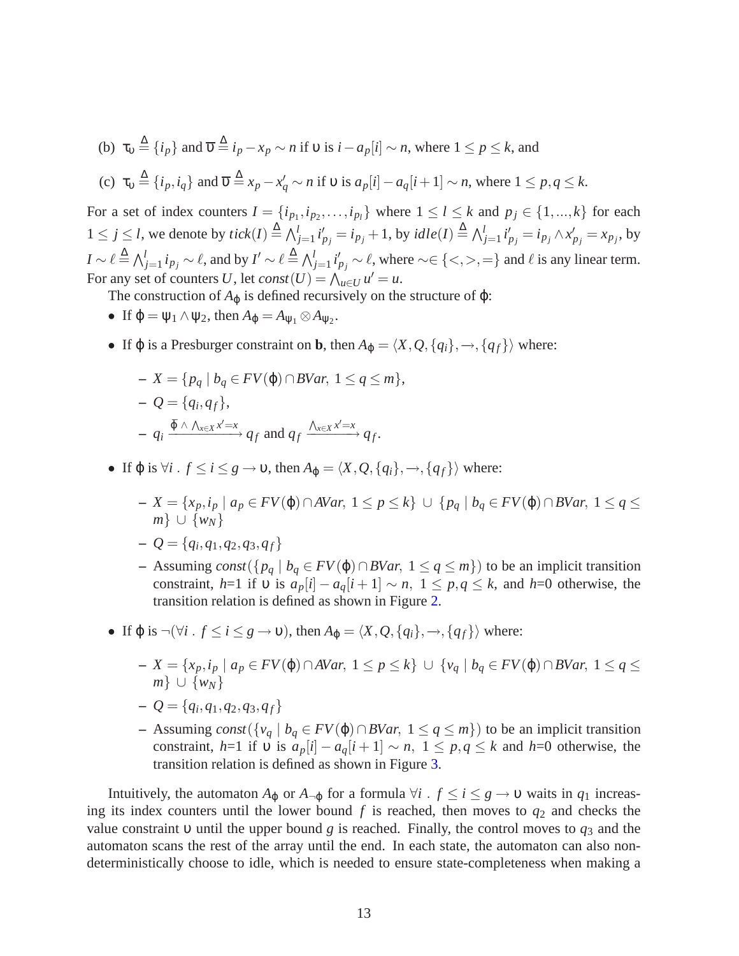(b)  $\tau_v \stackrel{\Delta}{=} \{i_p\}$  and  $\overline{\nu} \stackrel{\Delta}{=} i_p - x_p \sim n$  if  $\upsilon$  is  $i - a_p[i] \sim n$ , where  $1 \le p \le k$ , and

(c) 
$$
\tau_v \stackrel{\Delta}{=} \{i_p, i_q\}
$$
 and  $\overline{v} \stackrel{\Delta}{=} x_p - x'_q \sim n$  if v is  $a_p[i] - a_q[i+1] \sim n$ , where  $1 \leq p, q \leq k$ .

For a set of index counters  $I = \{i_{p_1}, i_{p_2}, \ldots, i_{p_l}\}$  where  $1 \le l \le k$  and  $p_j \in \{1, \ldots, k\}$  for each  $1 \le j \le l$ , we denote by  $tick(I) \stackrel{\Delta}{=} \bigwedge_{j=1}^{l} i'_{p_j} = i_{p_j} + 1$ , by  $idle(I) \stackrel{\Delta}{=} \bigwedge_{j=1}^{l} i'_{p_j} = i_{p_j} \wedge x'_{p_j} = x_{p_j}$ , by *I* ∼  $\ell \triangleq \bigwedge_{j=1}^{l} i_{p_j} \sim \ell$ , and by *I*' ∼  $\ell \triangleq \bigwedge_{j=1}^{l} i'_{p_j} \sim \ell$ , where ∼∈ {<,>,=} and  $\ell$  is any linear term. For any set of counters *U*, let  $const(U) = \bigwedge_{u \in U} u' = u$ .

- The construction of  $A_{\varphi}$  is defined recursively on the structure of  $\varphi$ :
- If  $\varphi = \psi_1 \wedge \psi_2$ , then  $A_{\varphi} = A_{\psi_1} \otimes A_{\psi_2}$ .
- If  $\varphi$  is a Presburger constraint on **b**, then  $A_{\varphi} = \langle X, Q, \{q_i\}, \rightarrow, \{q_f\} \rangle$  where:

$$
- X = \{ p_q \mid b_q \in FV(\varphi) \cap BVar, 1 \le q \le m \},
$$
  

$$
- Q = \{ q_i, q_f \},
$$
  

$$
- q_i \xrightarrow{\bar{\varphi} \wedge \wedge_{x \in X} x' = x} q_f \text{ and } q_f \xrightarrow{\wedge_{x \in X} x' = x} q_f.
$$

- If  $\varphi$  is  $\forall i$  .  $f \le i \le g \rightarrow v$ , then  $A_{\varphi} = \langle X, Q, \{q_i\}, \rightarrow, \{q_f\} \rangle$  where:
	- **–** *X* = {*xp*,*i<sup>p</sup>* | *a<sup>p</sup>* ∈ *FV*(ϕ)∩*AVar*, 1 ≤ *p* ≤ *k*} ∪ {*p<sup>q</sup>* | *b<sup>q</sup>* ∈ *FV*(ϕ)∩*BVar*, 1 ≤ *q* ≤ *m*} ∪ {*wN*}

$$
-Q = \{q_i, q_1, q_2, q_3, q_f\}
$$

- **–** Assuming *const*({*p<sup>q</sup>* | *b<sup>q</sup>* ∈ *FV*(ϕ)∩*BVar*, 1 ≤ *q* ≤ *m*}) to be an implicit transition constraint, *h*=1 if v is  $a_p[i] - a_q[i+1] \sim n$ ,  $1 \leq p, q \leq k$ , and *h*=0 otherwise, the transition relation is defined as shown in Figure [2.](#page-15-0)
- If  $\varphi$  is  $\neg(\forall i : f \le i \le g \rightarrow v)$ , then  $A_{\varphi} = \langle X, Q, \{q_i\}, \rightarrow, \{q_f\} \rangle$  where:
	- **–** *X* = {*xp*,*i<sup>p</sup>* | *a<sup>p</sup>* ∈ *FV*(ϕ)∩*AVar*, 1 ≤ *p* ≤ *k*} ∪ {*v<sup>q</sup>* | *b<sup>q</sup>* ∈ *FV*(ϕ)∩*BVar*, 1 ≤ *q* ≤ *m*} ∪  $\{w_N\}$
	- $Q = \{q_i, q_1, q_2, q_3, q_f\}$
	- **–** Assuming *const*({*v<sup>q</sup>* | *b<sup>q</sup>* ∈ *FV*(ϕ)∩*BVar*, 1 ≤ *q* ≤ *m*}) to be an implicit transition constraint, *h*=1 if v is  $a_p[i] - a_q[i+1] \sim n$ ,  $1 \leq p, q \leq k$  and *h*=0 otherwise, the transition relation is defined as shown in Figure [3.](#page-16-0)

Intuitively, the automaton  $A_{\varphi}$  or  $A_{\neg \varphi}$  for a formula  $\forall i$  .  $f \le i \le g \rightarrow v$  waits in  $q_1$  increasing its index counters until the lower bound  $f$  is reached, then moves to  $q_2$  and checks the value constraint υ until the upper bound *g* is reached. Finally, the control moves to *q*<sup>3</sup> and the automaton scans the rest of the array until the end. In each state, the automaton can also nondeterministically choose to idle, which is needed to ensure state-completeness when making a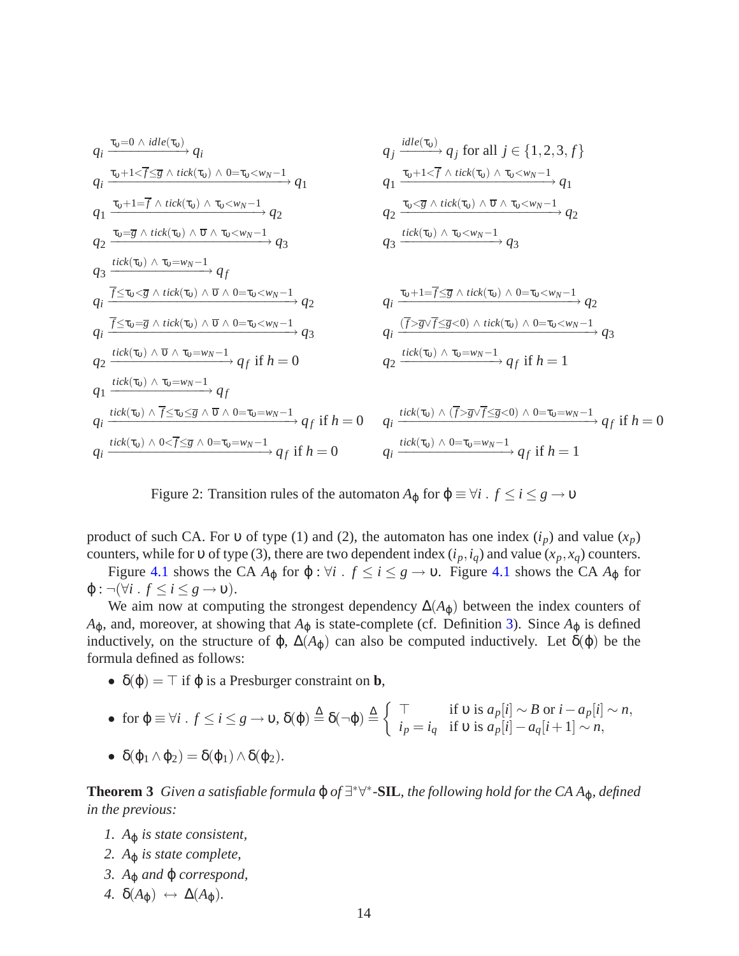$$
q_{i} \xrightarrow{\tau_{v} = 0 \land idle(\tau_{v})} q_{i}
$$
\n
$$
q_{i} \xrightarrow{\tau_{v} + 1 < \overline{f} \leq \overline{g} \land tick(\tau_{v}) \land 0 = \tau_{v} < w_{N} - 1} \rightarrow q_{1}
$$
\n
$$
q_{1} \xrightarrow{\tau_{v} + 1 < \overline{f} \land tick(\tau_{v}) \land \tau_{v} < w_{N} - 1} \rightarrow q_{1}
$$
\n
$$
q_{2} \xrightarrow{\tau_{v} = \overline{g} \land tick(\tau_{v}) \land \tau_{v} < w_{N} - 1} \rightarrow q_{2}
$$
\n
$$
q_{2} \xrightarrow{\tau_{v} = \overline{g} \land tick(\tau_{v}) \land \tau_{v} < w_{N} - 1} \rightarrow q_{2}
$$
\n
$$
q_{3} \xrightarrow{\text{tick}(\tau_{v}) \land \tau_{v} = w_{N} - 1} q_{3}
$$
\n
$$
q_{4} \xrightarrow{\overline{f} \leq \tau_{v} \leq \overline{g} \land tick(\tau_{v}) \land \overline{v} \land 0 = \tau_{v} < w_{N} - 1} \rightarrow q_{3}
$$
\n
$$
q_{5} \xrightarrow{\text{tick}(\tau_{v}) \land \tau_{v} = w_{N} - 1} q_{5}
$$
\n
$$
q_{6} \xrightarrow{\overline{f} \leq \tau_{v} \leq \overline{g} \land tick(\tau_{v}) \land \overline{v} \land 0 = \tau_{v} < w_{N} - 1} \rightarrow q_{3}
$$
\n
$$
q_{7} \xrightarrow{\text{tick}(\tau_{v}) \land \overline{v} \land \tau_{v} = w_{N} - 1} \rightarrow q_{3}
$$
\n
$$
q_{8} \xrightarrow{\text{tick}(\tau_{v}) \land \overline{v} \land \tau_{v} = w_{N} - 1} \rightarrow q_{3}
$$
\n
$$
q_{9} \xrightarrow{\text{tick}(\tau_{v}) \land \tau_{v} = w_{N} - 1} \rightarrow q_{3}
$$
\n
$$
q_{1} \xrightarrow{\text{tick}(\tau_{v}) \land \tau_{v} = w_{N} - 1} \rightarrow q_{5}
$$
\n

<span id="page-15-0"></span>Figure 2: Transition rules of the automaton  $A_{\varphi}$  for  $\varphi \equiv \forall i$  .  $f \le i \le g \rightarrow v$ 

product of such CA. For v of type (1) and (2), the automaton has one index  $(i_p)$  and value  $(x_p)$ counters, while for v of type (3), there are two dependent index  $(i_p, i_q)$  and value  $(x_p, x_q)$  counters.

Figure [4.1](#page-17-0) shows the CA  $A_{\varphi}$  for  $\varphi$ :  $\forall i$  .  $f \le i \le g \rightarrow v$ . Figure 4.1 shows the CA  $A_{\varphi}$  for  $\varphi$ :  $\neg(\forall i \cdot f \leq i \leq g \rightarrow v).$ 

We aim now at computing the strongest dependency  $\Delta(A_{\varphi})$  between the index counters of  $A_{\phi}$ , and, moreover, at showing that  $A_{\phi}$  is state-complete (cf. Definition [3\)](#page-8-1). Since  $A_{\phi}$  is defined inductively, on the structure of  $\varphi$ ,  $\Delta(A_{\varphi})$  can also be computed inductively. Let  $\delta(\varphi)$  be the formula defined as follows:

•  $\delta(\varphi) = \top$  if  $\varphi$  is a Presburger constraint on **b**,

• for 
$$
\varphi \equiv \forall i
$$
.  $f \le i \le g \to v$ ,  $\delta(\varphi) \stackrel{\Delta}{=} \delta(\neg \varphi) \stackrel{\Delta}{=} \left\{ \begin{array}{ll} \top & \text{if } v \text{ is } a_p[i] \sim B \text{ or } i - a_p[i] \sim n, \\ i_p = i_q & \text{if } v \text{ is } a_p[i] - a_q[i+1] \sim n, \end{array} \right.$ 

• 
$$
\delta(\varphi_1 \wedge \varphi_2) = \delta(\varphi_1) \wedge \delta(\varphi_2).
$$

**Theorem 3** *Given a satisfiable formula*  $\varphi$  *of* ∃\* $\forall$ \*-**SIL**, the following hold for the CA A<sub> $\varphi$ </sub>, defined *in the previous:*

- *1. A*<sup>ϕ</sup> *is state consistent,*
- *2. A*<sup>ϕ</sup> *is state complete,*
- *3. A*<sup>ϕ</sup> *and* ϕ *correspond,*
- $4. \delta(A_{\phi}) \leftrightarrow \Delta(A_{\phi}).$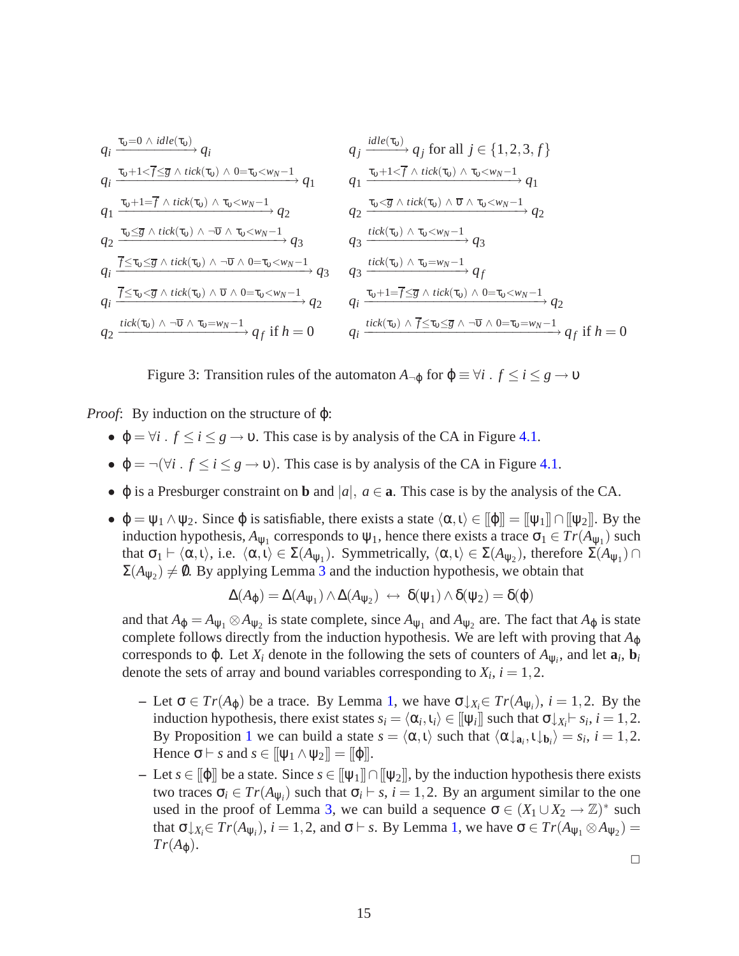$$
q_{i} \xrightarrow{\tau_{\upsilon}=0 \ \land \text{idle}(\tau_{\upsilon})} q_{i} \qquad \qquad q_{j} \xrightarrow{\text{idle}(\tau_{\upsilon})} q_{j} \text{ for all } j \in \{1,2,3,f\}
$$
\n
$$
q_{i} \xrightarrow{\tau_{\upsilon}+1 < \overline{f} \leq \overline{g} \ \land \text{tick}(\tau_{\upsilon}) \ \land 0 = \tau_{\upsilon} < w_{N}-1} q_{1} \qquad \qquad q_{1} \xrightarrow{\tau_{\upsilon}+1 < \overline{f} \ \land \text{tick}(\tau_{\upsilon}) \ \land \tau_{\upsilon} < w_{N}-1} q_{2} \qquad \qquad q_{2} \xrightarrow{\tau_{\upsilon} \leq \overline{g} \ \land \text{tick}(\tau_{\upsilon}) \ \land \neg \overline{\upsilon} \ \land \tau_{\upsilon} < w_{N}-1} q_{2} \qquad \qquad q_{2} \xrightarrow{\text{tick}(\tau_{\upsilon}) \ \land \neg \overline{\upsilon} \ \land \tau_{\upsilon} < w_{N}-1} q_{3} \qquad \qquad q_{3} \xrightarrow{\text{tick}(\tau_{\upsilon}) \ \land \tau_{\upsilon} < w_{N}-1} q_{3} \qquad \qquad q_{4} \xrightarrow{\text{tick}(\tau_{\upsilon}) \ \land \tau_{\upsilon} < w_{N}-1} q_{5}
$$
\n
$$
q_{i} \xrightarrow{\overline{f} \leq \tau_{\upsilon} \leq \overline{g} \ \land \text{tick}(\tau_{\upsilon}) \ \land \neg \overline{\upsilon} \ \land 0 = \tau_{\upsilon} < w_{N}-1} q_{3} \qquad \qquad q_{3} \xrightarrow{\text{tick}(\tau_{\upsilon}) \ \land \tau_{\upsilon} = w_{N}-1} q_{f}
$$
\n
$$
q_{i} \xrightarrow{\overline{f} \leq \tau_{\upsilon} \leq \overline{g} \ \land \text{tick}(\tau_{\upsilon}) \ \land \neg \overline{\upsilon} \ \land 0 = \tau_{\upsilon} < w_{N}-1} q_{2} \qquad \qquad q_{i} \xrightarrow{\text{tick}(\tau_{\upsilon}) \ \land \ \overline{f} \leq \tau_{\upsilon} \leq \overline{g} \ \land \neg \overline{\upsilon} \ \land 0 = w
$$

<span id="page-16-0"></span>Figure 3: Transition rules of the automaton  $A_{\neg \phi}$  for  $\phi \equiv \forall i$  .  $f \le i \le g \rightarrow v$ 

*Proof*: By induction on the structure of ϕ:

- $\varphi = \forall i$ .  $f \le i \le g \rightarrow v$ . This case is by analysis of the CA in Figure [4.1.](#page-16-0)
- $\varphi = \neg(\forall i : f \leq i \leq g \rightarrow \nu)$ . This case is by analysis of the CA in Figure [4.1.](#page-17-0)
- $\varphi$  is a Presburger constraint on **b** and  $|a|, a \in \mathbf{a}$ . This case is by the analysis of the CA.
- $\varphi = \psi_1 \wedge \psi_2$ . Since  $\varphi$  is satisfiable, there exists a state  $\langle \alpha, \iota \rangle \in [\varphi] = [\psi_1] \cap [\psi_2]$ . By the induction hypothesis,  $A_{\psi_1}$  corresponds to  $\psi_1$ , hence there exists a trace  $\sigma_1 \in Tr(A_{\psi_1})$  such that  $\sigma_1 \vdash \langle \alpha, \iota \rangle$ , i.e.  $\langle \alpha, \iota \rangle \in \Sigma(A_{\psi_1})$ . Symmetrically,  $\langle \alpha, \iota \rangle \in \Sigma(A_{\psi_2})$ , therefore  $\Sigma(A_{\psi_1}) \cap$  $\Sigma(A_{\Psi_2}) \neq \emptyset$ . By applying Lemma [3](#page-8-2) and the induction hypothesis, we obtain that

$$
\Delta(A_{\varphi}) = \Delta(A_{\psi_1}) \wedge \Delta(A_{\psi_2}) \leftrightarrow \delta(\psi_1) \wedge \delta(\psi_2) = \delta(\varphi)
$$

and that  $A_{\phi} = A_{\psi_1} \otimes A_{\psi_2}$  is state complete, since  $A_{\psi_1}$  and  $A_{\psi_2}$  are. The fact that  $A_{\phi}$  is state complete follows directly from the induction hypothesis. We are left with proving that *A*<sub>Φ</sub> corresponds to  $\varphi$ . Let  $X_i$  denote in the following the sets of counters of  $A_{\psi_i}$ , and let  $\mathbf{a}_i$ ,  $\mathbf{b}_i$ denote the sets of array and bound variables corresponding to  $X_i$ ,  $i = 1, 2$ .

- $\blacktriangle$  Let σ ∈ *Tr*(*A*<sub>ϕ</sub>) be a trace. By Lemma [1,](#page-4-0) we have σ  $\downarrow$ <sub>*X<sub>i</sub>*</sub>∈ *Tr*(*A*<sub>Ψ*i*</sub>), *i* = 1,2. By the induction hypothesis, there exist states  $s_i = \langle \alpha_i, \iota_i \rangle \in [\![\psi_i]\!]$  such that  $\sigma \downarrow_{X_i} \vdash s_i$ ,  $i = 1, 2$ . By Proposition [1](#page-5-2) we can build a state  $s = \langle \alpha, \iota \rangle$  such that  $\langle \alpha \downarrow_{\mathbf{a}_i}, \iota \downarrow_{\mathbf{b}_i} \rangle = s_i$ ,  $i = 1, 2$ . Hence  $\sigma \vdash s$  and  $s \in [\![\psi_1 \wedge \psi_2]\!] = [\![\phi]\!]$ .
- **–** Let *s* ∈ [[ϕ]] be a state. Since *s* ∈ [[ψ1]]∩[[ψ2]], by the induction hypothesis there exists two traces  $\sigma_i \in Tr(A_{\Psi_i})$  such that  $\sigma_i \vdash s$ ,  $i = 1, 2$ . By an argument similar to the one used in the proof of Lemma [3,](#page-8-2) we can build a sequence  $\sigma \in (X_1 \cup X_2 \to \mathbb{Z})^*$  such that  $\sigma \downarrow_{X_i} \in Tr(A_{\psi_i})$ ,  $i = 1, 2$  $i = 1, 2$  $i = 1, 2$ , and  $\sigma \vdash s$ . By Lemma 1, we have  $\sigma \in Tr(A_{\psi_1} \otimes A_{\psi_2}) =$  $Tr(A_{\omega}).$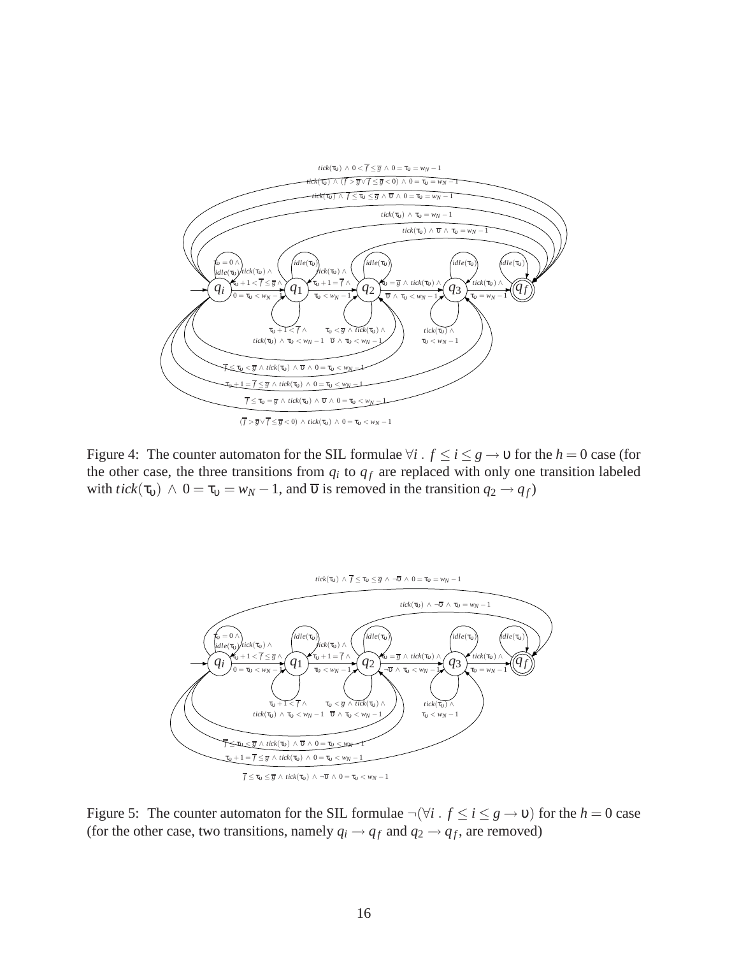

<span id="page-17-0"></span>Figure 4: The counter automaton for the SIL formulae  $\forall i$  .  $f \le i \le g \rightarrow v$  for the  $h = 0$  case (for the other case, the three transitions from  $q_i$  to  $q_f$  are replaced with only one transition labeled with *tick*( $\tau$ <sub>0</sub>)  $\wedge$  0 =  $\tau$ <sub>0</sub> = *w<sub>N</sub>* − 1, and  $\overline{\upsilon}$  is removed in the transition  $q_2 \rightarrow q_f$ )



Figure 5: The counter automaton for the SIL formulae  $\neg(\forall i \cdot f \le i \le g \rightarrow v)$  for the  $h = 0$  case (for the other case, two transitions, namely  $q_i \rightarrow q_f$  and  $q_2 \rightarrow q_f$ , are removed)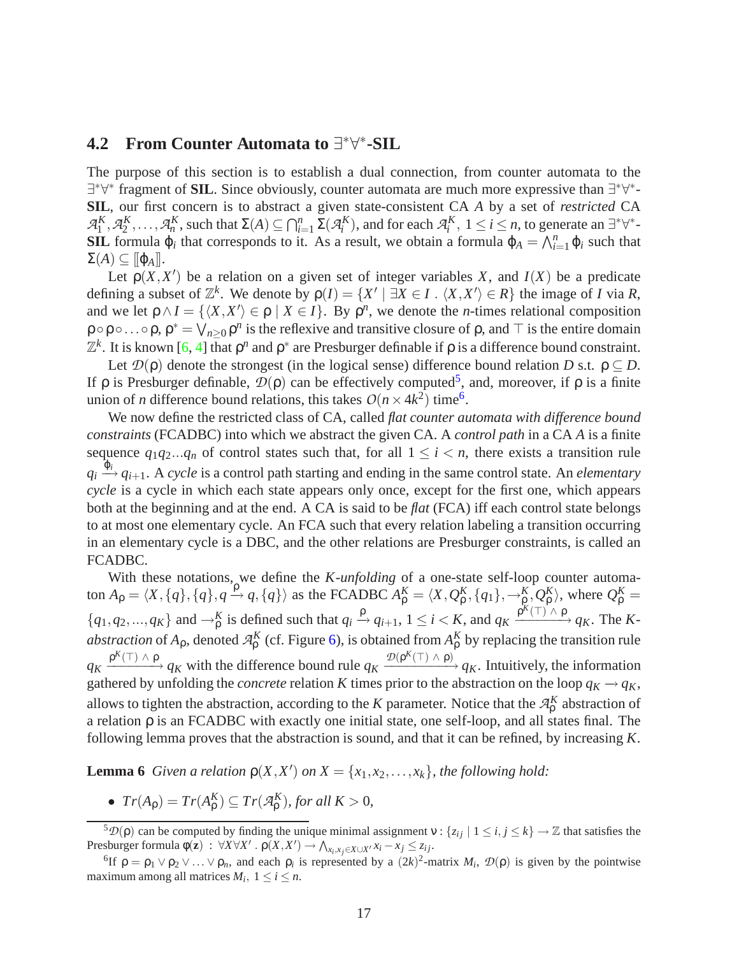# <span id="page-18-3"></span>**4.2** From Counter Automata to  $\exists^* \forall^*$ -SIL

The purpose of this section is to establish a dual connection, from counter automata to the ∃\*∀\* fragment of **SIL**. Since obviously, counter automata are much more expressive than ∃\*∀\*-**SIL**, our first concern is to abstract a given state-consistent CA *A* by a set of *restricted* CA  $\mathcal{A}_1^K, \mathcal{A}_2^K, \ldots, \mathcal{A}_n^K$ , such that  $\Sigma(A) \subseteq \bigcap_{i=1}^n \Sigma(\mathcal{A}_i^K)$ , and for each  $\mathcal{A}_i^K$ ,  $1 \le i \le n$ , to generate an  $\exists^* \forall^*$ -**SIL** formula  $\varphi_i$  that corresponds to it. As a result, we obtain a formula  $\varphi_A = \bigwedge_{i=1}^n \varphi_i$  such that  $\Sigma(A) \subseteq [\![\varphi_A]\!]$ .

Let  $p(X, X')$  be a relation on a given set of integer variables X, and  $I(X)$  be a predicate defining a subset of  $\mathbb{Z}^k$ . We denote by  $\rho(I) = \{X' \mid \exists X \in I \,:\, \langle X, X' \rangle \in R\}$  the image of *I* via *R*, and we let  $\rho \wedge I = \{ \langle X, X' \rangle \in \rho \mid X \in I \}$ . By  $\rho^n$ , we denote the *n*-times relational composition  $\rho \circ \rho \circ \ldots \circ \rho$ ,  $\rho^* = \bigvee_{n \geq 0} \rho^n$  is the reflexive and transitive closure of  $\rho$ , and  $\top$  is the entire domain  $\mathbb{Z}^k$ . It is known [\[6,](#page-27-13) [4\]](#page-27-14) that  $ρ^n$  and  $ρ^*$  are Presburger definable if  $ρ$  is a difference bound constraint.

Let  $\mathcal{D}(\rho)$  denote the strongest (in the logical sense) difference bound relation *D* s.t.  $\rho \subset D$ . If  $ρ$  is Presburger definable,  $D(ρ)$  can be effectively computed<sup>[5](#page-18-0)</sup>, and, moreover, if  $ρ$  is a finite union of *n* difference bound relations, this takes  $O(n \times 4k^2)$  time<sup>[6](#page-18-1)</sup>.

We now define the restricted class of CA, called *flat counter automata with difference bound constraints* (FCADBC) into which we abstract the given CA. A *control path* in a CA *A* is a finite sequence  $q_1q_2...q_n$  of control states such that, for all  $1 \leq i \leq n$ , there exists a transition rule  $q_i \stackrel{\tilde{\varphi}_i}{\longrightarrow} q_{i+1}$ . A *cycle* is a control path starting and ending in the same control state. An *elementary cycle* is a cycle in which each state appears only once, except for the first one, which appears both at the beginning and at the end. A CA is said to be *flat* (FCA) iff each control state belongs to at most one elementary cycle. An FCA such that every relation labeling a transition occurring in an elementary cycle is a DBC, and the other relations are Presburger constraints, is called an FCADBC.

With these notations, we define the *K-unfolding* of a one-state self-loop counter automaton  $A_{\rho} = \langle X, \{q\}, \{q\}, q \stackrel{\rho}{\rightarrow} q, \{q\} \rangle$  as the FCADBC  $A_{\rho}^{K} = \langle X, Q_{\rho}^{K}, \{q_1\}, \rightarrow_{\rho}^{K}, Q_{\rho}^{K} \rangle$ , where  $Q_{\rho}^{K} =$  $\{q_1, q_2, ..., q_K\}$  and  $\rightarrow_{\rho}^K$  is defined such that  $q_i \xrightarrow{\rho} q_{i+1}$ ,  $1 \leq i \leq K$ , and  $q_K \xrightarrow{\rho^K(\top) \land \rho} q_K$ . The K*abstraction* of  $A_\rho$ , denoted  $A_\rho^K$  (cf. Figure [6\)](#page-19-0), is obtained from  $A_\rho^K$  by replacing the transition rule  $q_K \xrightarrow{\mathcal{D}(P^K(\top) \wedge \rho)} q_K$  with the difference bound rule  $q_K \xrightarrow{\mathcal{D}(P^K(\top) \wedge \rho)} q_K$ . Intuitively, the information gathered by unfolding the *concrete* relation *K* times prior to the abstraction on the loop  $q_K \rightarrow q_K$ , allows to tighten the abstraction, according to the *K* parameter. Notice that the  $\mathcal{A}_{\rho}^K$  abstraction of a relation ρ is an FCADBC with exactly one initial state, one self-loop, and all states final. The following lemma proves that the abstraction is sound, and that it can be refined, by increasing *K*.

<span id="page-18-2"></span>**Lemma 6** *Given a relation*  $p(X, X')$  *on*  $X = \{x_1, x_2, \ldots, x_k\}$ *, the following hold:* 

•  $Tr(A_{\rho}) = Tr(A_{\rho}^K) \subseteq Tr(\mathcal{A}_{\rho}^K)$ *, for all*  $K > 0$ *,* 

<span id="page-18-0"></span><sup>&</sup>lt;sup>5</sup>D(ρ) can be computed by finding the unique minimal assignment v : {*z*<sub>*ij*</sub> | 1 ≤ *i*, *j* ≤ *k*} → ℤ that satisfies the Presburger formula  $\phi(\mathbf{z}) : \forall X \forall X' \cdot \phi(X, X') \rightarrow \bigwedge_{x_i, x_j \in X \cup X'} x_i - x_j \leq z_{ij}$ .

<span id="page-18-1"></span><sup>&</sup>lt;sup>6</sup>If  $\rho = \rho_1 \vee \rho_2 \vee \ldots \vee \rho_n$ , and each  $\rho_i$  is represented by a  $(2k)^2$ -matrix  $M_i$ ,  $\mathcal{D}(\rho)$  is given by the pointwise maximum among all matrices  $M_i$ ,  $1 \le i \le n$ .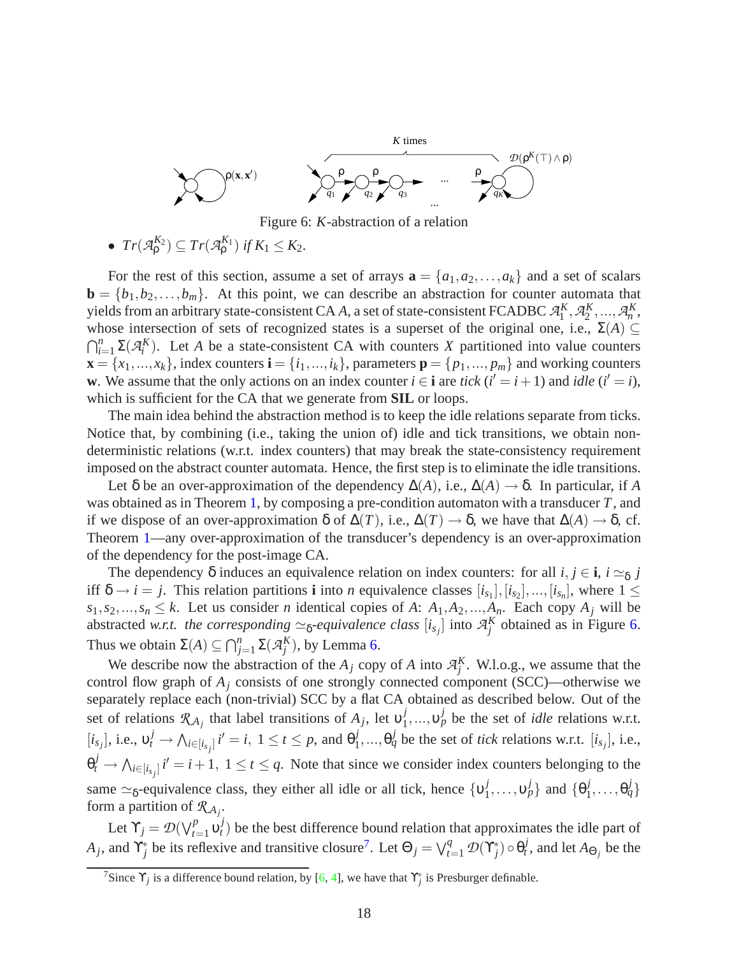

<span id="page-19-0"></span>Figure 6: *K*-abstraction of a relation

• 
$$
Tr(\mathcal{A}_{\rho}^{K_2}) \subseteq Tr(\mathcal{A}_{\rho}^{K_1})
$$
 if  $K_1 \leq K_2$ .

For the rest of this section, assume a set of arrays  $\mathbf{a} = \{a_1, a_2, \ldots, a_k\}$  and a set of scalars  $\mathbf{b} = \{b_1, b_2, \dots, b_m\}$ . At this point, we can describe an abstraction for counter automata that yields from an arbitrary state-consistent CA *A*, a set of state-consistent FCADBC  $\mathcal{A}_1^K$ ,  $\mathcal{A}_2^K$ , ...,  $\mathcal{A}_n^K$ , whose intersection of sets of recognized states is a superset of the original one, i.e.,  $\Sigma(A) \subseteq$  $\bigcap_{i=1}^n \Sigma(\mathcal{A}_i^K)$ . Let *A* be a state-consistent CA with counters *X* partitioned into value counters  $\mathbf{x} = \{x_1, \ldots, x_k\}$ , index counters  $\mathbf{i} = \{i_1, \ldots, i_k\}$ , parameters  $\mathbf{p} = \{p_1, \ldots, p_m\}$  and working counters **w**. We assume that the only actions on an index counter  $i \in \mathbf{i}$  are *tick* ( $i' = i + 1$ ) and *idle* ( $i' = i$ ), which is sufficient for the CA that we generate from **SIL** or loops.

The main idea behind the abstraction method is to keep the idle relations separate from ticks. Notice that, by combining (i.e., taking the union of) idle and tick transitions, we obtain nondeterministic relations (w.r.t. index counters) that may break the state-consistency requirement imposed on the abstract counter automata. Hence, the first step is to eliminate the idle transitions.

Let  $\delta$  be an over-approximation of the dependency  $\Delta(A)$ , i.e.,  $\Delta(A) \rightarrow \delta$ . In particular, if *A* was obtained as in Theorem [1,](#page-11-2) by composing a pre-condition automaton with a transducer *T*, and if we dispose of an over-approximation δ of ∆(*T*), i.e., ∆(*T*) → δ, we have that ∆(*A*) → δ, cf. Theorem [1—](#page-11-2)any over-approximation of the transducer's dependency is an over-approximation of the dependency for the post-image CA.

The dependency  $\delta$  induces an equivalence relation on index counters: for all  $i, j \in \mathbf{i}$ ,  $i \simeq_{\delta} j$ iff  $\delta \rightarrow i = j$ . This relation partitions **i** into *n* equivalence classes  $[i_{s_1}], [i_{s_2}], ..., [i_{s_n}]$ , where  $1 \leq$  $s_1, s_2, \ldots, s_n \leq k$ . Let us consider *n* identical copies of *A*:  $A_1, A_2, \ldots, A_n$ . Each copy  $A_j$  will be abstracted *w.r.t. the corresponding*  $\simeq$ <sub>δ</sub>-equivalence class  $[i_{s_j}]$  into  $\mathcal{A}_j^K$  obtained as in Figure [6.](#page-19-0) Thus we obtain  $\Sigma(A) \subseteq \bigcap_{j=1}^n \Sigma(\mathcal{A}_j^K)$ , by Lemma [6.](#page-18-2)

We describe now the abstraction of the  $A_j$  copy of  $A$  into  $A_j^K$ . W.l.o.g., we assume that the control flow graph of  $A_j$  consists of one strongly connected component (SCC)—otherwise we separately replace each (non-trivial) SCC by a flat CA obtained as described below. Out of the set of relations  $\mathcal{R}_{A_j}$  that label transitions of  $A_j$ , let  $v_1^j$  $\mathbf{v}_1^j, \dots, \mathbf{v}_p^j$  be the set of *idle* relations w.r.t.  $[i_{s_j}]$ , i.e.,  $v_t^j \to \bigwedge_{i \in [i_{s_j}]} i' = i, 1 \le t \le p$ , and  $\theta_1^j$  $j_1^j, ..., \theta_q^j$  be the set of *tick* relations w.r.t.  $[i_{s_j}]$ , i.e.,  $\theta_t^j \to \bigwedge_{i \in [i_{s_j}]} i' = i+1, 1 \le t \le q$ . Note that since we consider index counters belonging to the same  $\simeq$ <sub>δ</sub>-equivalence class, they either all idle or all tick, hence  $\{v_1^j\}$  $\{0, \ldots, \nu_p^j\}$  and  $\{\theta_1^j\}$  $\{i_1^j,\ldots,\theta_q^j\}$ form a partition of  $\mathcal{R}_{A_j}$ .

Let  $\Upsilon_j = \mathcal{D}(\bigvee_{t=1}^p \mathfrak{v}_t^j)$  $t$ <sup>t</sup>) be the best difference bound relation that approximates the idle part of *A*<sub>*j*</sub>, and  $\Upsilon_j^*$  be its reflexive and transitive closure<sup>[7](#page-19-1)</sup>. Let  $\Theta_j = \bigvee_{t=1}^q \mathcal{D}(\Upsilon_j^*) \circ \Theta_t^j$  $t^j$ , and let  $A_{\Theta_j}$  be the

<span id="page-19-1"></span><sup>&</sup>lt;sup>7</sup>Since  $\Upsilon_j$  is a difference bound relation, by [\[6,](#page-27-13) [4\]](#page-27-14), we have that  $\Upsilon_j^*$  is Presburger definable.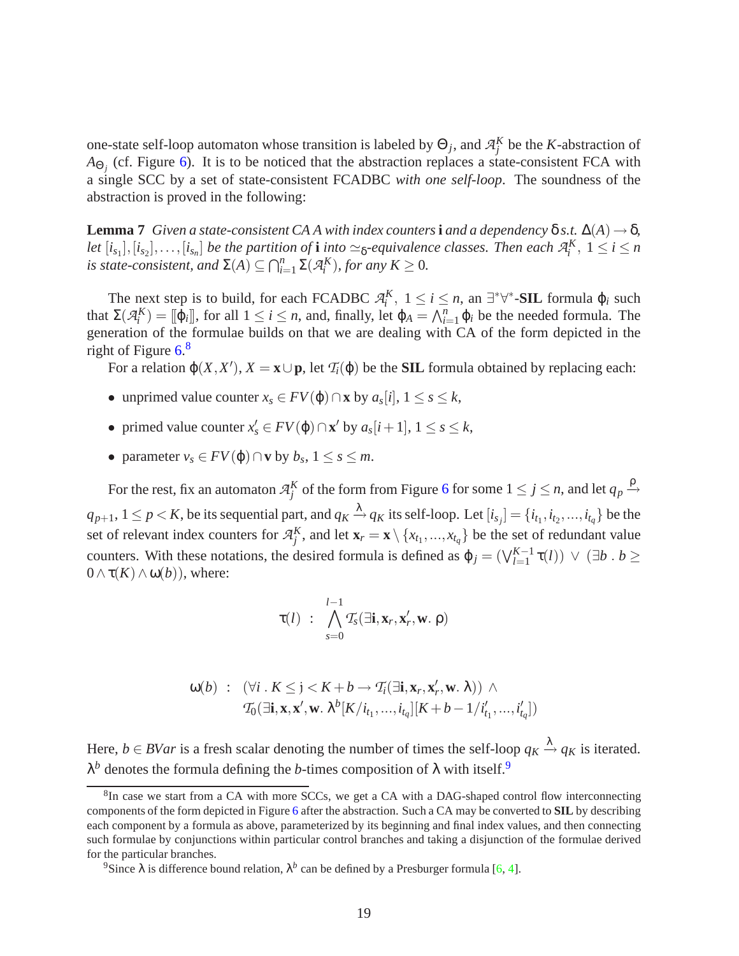one-state self-loop automaton whose transition is labeled by  $\Theta_j$ , and  $\mathcal{A}_j^K$  be the *K*-abstraction of  $A_{\Theta_j}$  (cf. Figure [6\)](#page-19-0). It is to be noticed that the abstraction replaces a state-consistent FCA with a single SCC by a set of state-consistent FCADBC *with one self-loop*. The soundness of the abstraction is proved in the following:

**Lemma 7** *Given a state-consistent CA A with index counters* **i** *and a dependency*  $\delta$  *s.t.*  $\Delta(A) \rightarrow \delta$ *,* let  $[i_{s_1}], [i_{s_2}], \ldots, [i_{s_n}]$  be the partition of **i** into  $\simeq$ <sub>δ</sub>-equivalence classes. Then each  $\mathcal{A}_i^K$ ,  $1 \leq i \leq n$ *is state-consistent, and*  $\Sigma(A) \subseteq \bigcap_{i=1}^n \Sigma(\mathcal{A}_i^K)$ *, for any*  $K \geq 0$ *.* 

The next step is to build, for each FCADBC  $A_i^K$ ,  $1 \le i \le n$ , an  $\exists^* \forall^*$ -**SIL** formula  $\varphi_i$  such that  $\Sigma(\mathcal{A}_i^K) = [[\varphi_i]],$  for all  $1 \le i \le n$ , and, finally, let  $\varphi_A = \bigwedge_{i=1}^n \varphi_i$  be the needed formula. The generation of the formulae builds on that we are dealing with CA of the form depicted in the right of Figure [6.](#page-19-0) [8](#page-20-0)

For a relation  $\varphi(X, X')$ ,  $X = \mathbf{x} \cup \mathbf{p}$ , let  $\mathcal{T}_i(\varphi)$  be the **SIL** formula obtained by replacing each:

- $\bullet$  unprimed value counter *x<sub>s</sub>* ∈ *FV*( $\phi$ )∩**x** by *a<sub>s</sub>*[*i*], 1 ≤ *s* ≤ *k*,
- primed value counter  $x'_s \in FV(\varphi) \cap \mathbf{x}'$  by  $a_s[i+1], 1 \leq s \leq k$ ,
- parameter  $v_s \in FV(\varphi) \cap v$  by  $b_s$ ,  $1 \leq s \leq m$ .

For the rest, fix an automaton  $\mathcal{A}_j^K$  of the form from Figure [6](#page-19-0) for some  $1 \le j \le n$ , and let  $q_p \xrightarrow{\rho}$  $q_{p+1}, 1 \le p < K$ , be its sequential part, and  $q_K \xrightarrow{\lambda} q_K$  its self-loop. Let  $[i_{s_j}] = \{i_{t_1}, i_{t_2}, ..., i_{t_q}\}$  be the set of relevant index counters for  $\mathcal{A}_{j}^{K}$ , and let  $\mathbf{x}_{r} = \mathbf{x} \setminus \{x_{t_1},...,x_{t_q}\}$  be the set of redundant value counters. With these notations, the desired formula is defined as  $\varphi_j = (\bigvee_{l=1}^{K-1} \tau(l)) \vee (\exists b \cdot b \geq 1)$  $0 \wedge \tau(K) \wedge \omega(b)$ , where:

$$
\tau(l) \; : \; \bigwedge_{s=0}^{l-1} T_s(\exists \mathbf{i}, \mathbf{x}_r, \mathbf{x}'_r, \mathbf{w}, \, \rho)
$$

$$
\begin{array}{rcl}\n\omega(b) & \colon & (\forall i \, . \, K \leq j < K + b \rightarrow \mathcal{T}_i(\exists \mathbf{i}, \mathbf{x}_r, \mathbf{x}'_r, \mathbf{w}, \lambda)) \ \wedge \\
& \mathcal{T}_0(\exists \mathbf{i}, \mathbf{x}, \mathbf{x}', \mathbf{w}, \lambda^b[K/i_{t_1}, \dots, i_{t_q}][K + b - 1/i'_{t_1}, \dots, i'_{t_q}])\n\end{array}
$$

Here,  $b \in BVar$  is a fresh scalar denoting the number of times the self-loop  $q_K \xrightarrow{\lambda} q_K$  is iterated. λ<sup>b</sup> denotes the formula defining the *b*-times composition of λ with itself.<sup>[9](#page-20-1)</sup>

<span id="page-20-0"></span><sup>&</sup>lt;sup>8</sup>In case we start from a CA with more SCCs, we get a CA with a DAG-shaped control flow interconnecting components of the form depicted in Figure [6](#page-19-0) after the abstraction. Such a CA may be converted to **SIL** by describing each component by a formula as above, parameterized by its beginning and final index values, and then connecting such formulae by conjunctions within particular control branches and taking a disjunction of the formulae derived for the particular branches.

<span id="page-20-1"></span><sup>&</sup>lt;sup>9</sup>Since  $\lambda$  is difference bound relation,  $\lambda^b$  can be defined by a Presburger formula [\[6,](#page-27-13) [4\]](#page-27-14).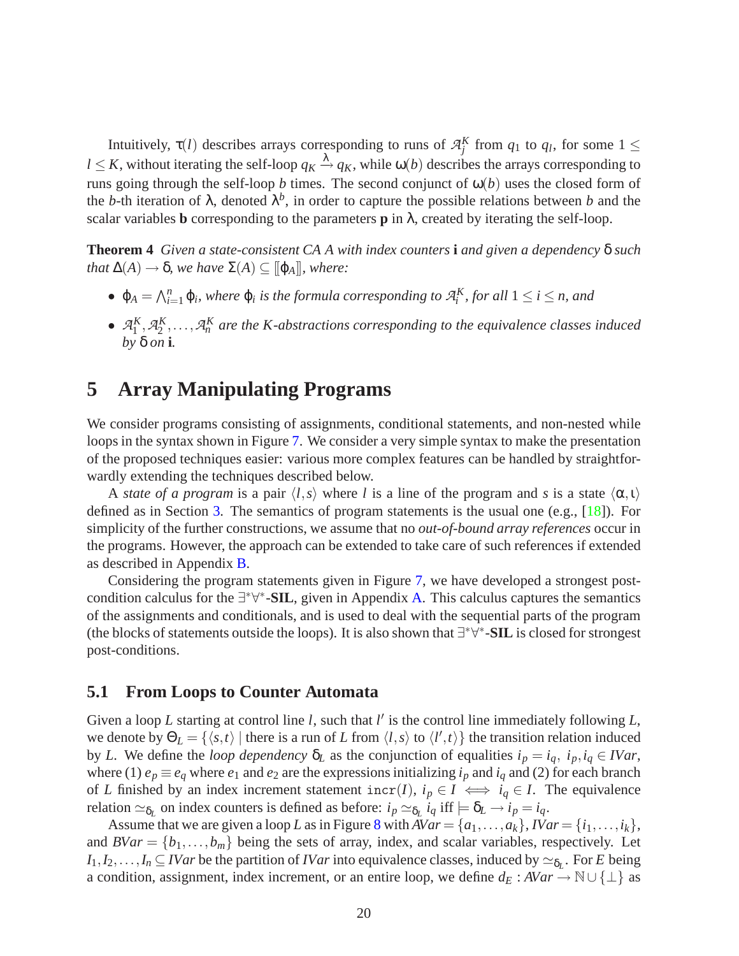Intuitively,  $\tau(l)$  describes arrays corresponding to runs of  $\mathcal{A}_{j}^{K}$  from  $q_1$  to  $q_l$ , for some  $1 \leq$  $l \leq K$ , without iterating the self-loop  $q_K \xrightarrow{\lambda} q_K$ , while  $\omega(b)$  describes the arrays corresponding to runs going through the self-loop *b* times. The second conjunct of  $\omega(b)$  uses the closed form of the *b*-th iteration of  $\lambda$ , denoted  $\lambda^b$ , in order to capture the possible relations between *b* and the scalar variables **b** corresponding to the parameters **p** in  $\lambda$ , created by iterating the self-loop.

**Theorem 4** *Given a state-consistent CA A with index counters* **i** *and given a dependency* δ *such that*  $\Delta(A) \rightarrow \delta$ *, we have*  $\Sigma(A) \subseteq [\![\varphi_A]\!]$ *, where:* 

- $\varphi_A = \bigwedge_{i=1}^n \varphi_i$ , where  $\varphi_i$  is the formula corresponding to  $\mathcal{A}_i^K$ , for all  $1 \leq i \leq n$ , and
- $\mathcal{A}_1^K$ ,  $\mathcal{A}_2^K$ ,...,  $\mathcal{A}_n^K$  are the K-abstractions corresponding to the equivalence classes induced *by* δ *on* **i***.*

# **5 Array Manipulating Programs**

We consider programs consisting of assignments, conditional statements, and non-nested while loops in the syntax shown in Figure [7.](#page-22-0) We consider a very simple syntax to make the presentation of the proposed techniques easier: various more complex features can be handled by straightforwardly extending the techniques described below.

A *state of a program* is a pair  $\langle l, s \rangle$  where *l* is a line of the program and *s* is a state  $\langle \alpha, \iota \rangle$ defined as in Section [3.](#page-5-3) The semantics of program statements is the usual one (e.g., [\[18\]](#page-28-4)). For simplicity of the further constructions, we assume that no *out-of-bound array references* occur in the programs. However, the approach can be extended to take care of such references if extended as described in Appendix [B.](#page-31-0)

Considering the program statements given in Figure [7,](#page-22-0) we have developed a strongest post-condition calculus for the ∃<sup>\*</sup>∀<sup>\*</sup>-SIL, given in Appendix [A.](#page-29-0) This calculus captures the semantics of the assignments and conditionals, and is used to deal with the sequential parts of the program (the blocks of statements outside the loops). It is also shown that ∃ ∗∀ ∗ -**SIL** is closed for strongest post-conditions.

#### <span id="page-21-0"></span>**5.1 From Loops to Counter Automata**

Given a loop *L* starting at control line *l*, such that *l'* is the control line immediately following *L*, we denote by  $\Theta_L = \{\langle s,t\rangle |$  there is a run of *L* from  $\langle l,s\rangle$  to  $\langle l',t\rangle\}$  the transition relation induced by *L*. We define the *loop dependency* δ*<sup>L</sup>* as the conjunction of equalities *i<sup>p</sup>* = *iq*, *ip*,*i<sup>q</sup>* ∈ *IVar*, where (1)  $e_p \equiv e_q$  where  $e_1$  and  $e_2$  are the expressions initializing  $i_p$  and  $i_q$  and (2) for each branch of *L* finished by an index increment statement  $\text{incr}(I)$ ,  $i_p \in I \iff i_q \in I$ . The equivalence relation  $\simeq_{\delta_L}$  on index counters is defined as before:  $i_p \simeq_{\delta_L} i_q$  iff  $\models \delta_L \rightarrow i_p = i_q$ .

Assume that we are given a loop *L* as in Figure [8](#page-23-0) with  $AVar = \{a_1, \ldots, a_k\}$ ,  $IVar = \{i_1, \ldots, i_k\}$ , and  $BVar = \{b_1, \ldots, b_m\}$  being the sets of array, index, and scalar variables, respectively. Let  $I_1, I_2, \ldots, I_n \subseteq IVar$  be the partition of *IVar* into equivalence classes, induced by  $\simeq_{\delta_L}$ . For *E* being a condition, assignment, index increment, or an entire loop, we define  $d_E : AVar \rightarrow \mathbb{N} \cup \{\perp\}$  as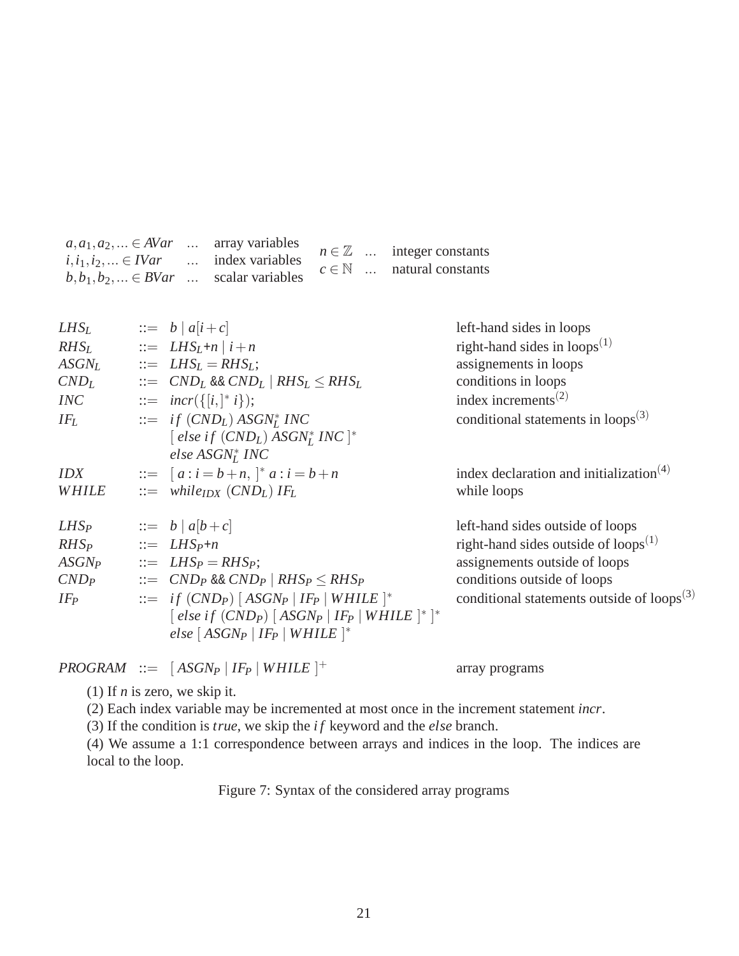| $a, a_1, a_2, \ldots \in AVar$ array variables  |  |  |                                      |
|-------------------------------------------------|--|--|--------------------------------------|
| $i, i_1, i_2, \ldots \in IVar$ index variables  |  |  | $n \in \mathbb{Z}$ integer constants |
|                                                 |  |  | $c \in \mathbb{N}$ natural constants |
| $b, b_1, b_2, \ldots \in BVar$ scalar variables |  |  |                                      |

| $LHS_{L}$         | $\therefore$ b   a[i + c]                                                                                                                                                     | left-hand sides in loops                                         |
|-------------------|-------------------------------------------------------------------------------------------------------------------------------------------------------------------------------|------------------------------------------------------------------|
| $RHS_{L}$         | $\therefore$ $LHS_L + n   i + n$                                                                                                                                              | right-hand sides in $\text{loops}^{(1)}$                         |
| $ASGN_{L}$        | $\therefore$ $LHS_L = RHS_L$ ;                                                                                                                                                | assignements in loops                                            |
| $CND_{L}$         | $\therefore$ CND <sub>L</sub> & CND <sub>L</sub> RHS <sub>L</sub> $\leq$ RHS <sub>L</sub>                                                                                     | conditions in loops                                              |
| <b>INC</b>        | $ ::= \; \textit{incr}(\{[i, ]^* \; i\});$                                                                                                                                    | index increments <sup><math>(2)</math></sup>                     |
| $IF_L$            | $\therefore$ if $(CND_L) ASGN_I^*$ INC<br>[ else if $(CND_L)$ ASGN <sup>*</sup> INC  *<br>else $ASGN_I^*$ INC                                                                 | conditional statements in $\text{loops}^{(3)}$                   |
| <i><b>IDX</b></i> | $\therefore$ $[a : i = b + n, \,  ^* a : i = b + n]$                                                                                                                          | index declaration and initialization <sup><math>(4)</math></sup> |
| WHILE             | $\therefore$ while <sub>IDX</sub> (CND <sub>L</sub> ) IF <sub>L</sub>                                                                                                         | while loops                                                      |
| $LHS_P$           | $\therefore$ b   a[b + c]                                                                                                                                                     | left-hand sides outside of loops                                 |
| $RHS_P$           | $\mathcal{L} = LHS_P + n$                                                                                                                                                     | right-hand sides outside of loops $^{(1)}$                       |
| $ASGN_P$          | $\therefore$ $LHS_P = RHS_P;$                                                                                                                                                 | assignements outside of loops                                    |
| $CND_P$           | $\therefore$ CND <sub>P</sub> & CND <sub>P</sub>   RHS <sub>P</sub> $\leq$ RHS <sub>P</sub>                                                                                   | conditions outside of loops                                      |
| $IF_{P}$          | $\therefore$ if $(CND_P)$ [ASGN <sub>P</sub>   IF <sub>P</sub>   WHILE  *<br>$\int$ else if $(CND_P)$ $[ASGN_P   IF_P   WHILE   *   * ]$<br>else $[ASGN_P   IF_P   WHILE  ^*$ | conditional statements outside of $\text{loops}^{(3)}$           |
|                   |                                                                                                                                                                               |                                                                  |

 $PROGRAM ::= [ASGN_P | IF_P | WHICH]^+$ 

array programs

(1) If *n* is zero, we skip it.

(2) Each index variable may be incremented at most once in the increment statement *incr*.

(3) If the condition is *true*, we skip the *i f* keyword and the *else* branch.

(4) We assume a 1:1 correspondence between arrays and indices in the loop. The indices are local to the loop.

<span id="page-22-0"></span>Figure 7: Syntax of the considered array programs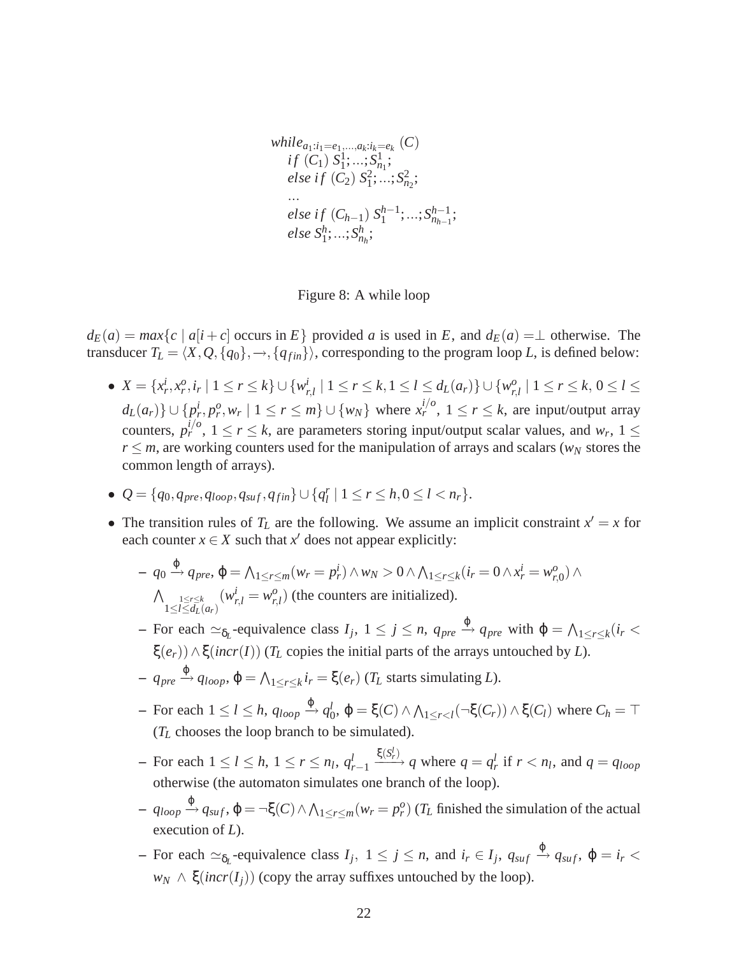$$
\begin{aligned}\nwhile_{a_1:i_1=e_1,\ldots,a_k:i_k=e_k} (C) \\
if (C_1) S_1^1; \ldots; S_{n_1}^1; \\
else if (C_2) S_1^2; \ldots; S_{n_2}^2; \\
\ldots \\
else if (C_{h-1}) S_1^{h-1}; \ldots; S_{n_{h-1}}^{h-1}; \\
else S_1^h; \ldots; S_{n_h}^h;\n\end{aligned}
$$

<span id="page-23-0"></span>Figure 8: A while loop

 $d_E(a) = max\{c \mid a[i+c] \text{ occurs in } E\}$  provided *a* is used in *E*, and  $d_E(a) = \perp$  otherwise. The transducer  $T_L = \langle X, Q, \{q_0\}, \rightarrow, \{q_{fin}\}\rangle$ , corresponding to the program loop *L*, is defined below:

- $X = \{x_r^i, x_r^o, i_r \mid 1 \le r \le k\} \cup \{w_i^i\}$  $r_{r,l}$  |  $1 \leq r \leq k, 1 \leq l \leq d_L(a_r)$ } ∪ { $w_{r,n}^o$  $_{r,l}^{o}$  | 1  $\leq r \leq k$ , 0  $\leq l \leq$  $d_L(a_r)\}\cup\{p_r^i, p_r^o, w_r \mid 1 \leq r \leq m\}\cup\{w_N\}$  where  $x_r^{i/o}$ ,  $1 \leq r \leq k$ , are input/output array counters,  $p_r^{i/o}$ ,  $1 \le r \le k$ , are parameters storing input/output scalar values, and  $w_r$ ,  $1 \le$  $r \leq m$ , are working counters used for the manipulation of arrays and scalars ( $w_N$  stores the common length of arrays).
- $\bullet$   $Q = \{q_0, q_{pre}, q_{loop}, q_{suf}, q_{fin}\} \cup \{q_l^r\}$  $\binom{r}{l}$  | 1  $\leq r \leq h, 0 \leq l < n_r$  }.
- The transition rules of  $T_L$  are the following. We assume an implicit constraint  $x' = x$  for each counter  $x \in X$  such that  $x'$  does not appear explicitly:

$$
- q_0 \xrightarrow{\varphi} q_{pre}, \varphi = \bigwedge_{1 \leq r \leq m} (w_r = p_r^i) \wedge w_N > 0 \wedge \bigwedge_{1 \leq r \leq k} (i_r = 0 \wedge x_r^i = w_{r,0}^o) \wedge \bigwedge_{1 \leq l \leq d_L(a_r)} (w_{r,l}^i = w_{r,l}^o)
$$
 (the counters are initialized).

 $\rightarrow$  For each  $\approx$ <sub>δ</sub><sub>*L*</sub>-equivalence class *I<sub>j</sub>*, 1 ≤ *j* ≤ *n*, *q<sub>pre</sub>*  $\stackrel{\varphi}{\rightarrow}$  *q<sub>pre</sub>* with  $\varphi = \bigwedge_{1 \leq r \leq k} (i_r <$ ξ $(e_r)$ )  $\wedge$  ξ(*incr*(*I*)) (*T<sub>L</sub>* copies the initial parts of the arrays untouched by *L*).

- $\rightarrow$  *q<sub>pre</sub>*  $\stackrel{\varphi}{\rightarrow}$  *q*<sub>*loop*</sub>,  $\varphi$  =  $\bigwedge_{1 \leq r \leq k} i_r$  = ξ(*e<sub>r</sub>*) (*T*<sub>*L*</sub> starts simulating *L*).
- $-$  For each  $1 \leq l \leq h$ ,  $q_{loop} \xrightarrow{\varphi} q_l^l$  $\mathcal{L}_0^l$ ,  $\varphi = \xi(C) \land \bigwedge_{1 \leq r < l} (\neg \xi(C_r)) \land \xi(C_l)$  where  $C_h = \top$ (*T<sup>L</sup>* chooses the loop branch to be simulated).
- $-$  For each  $1 \leq l \leq h, 1 \leq r \leq n_l, q_l^l$ *r*−1  $\frac{\xi(S_r^l)}{r}$  *q* where  $q = q_r^l$  if  $r < n_l$ , and  $q = q_{loop}$ otherwise (the automaton simulates one branch of the loop).
- $-$  *q*<sub>*loop*</sub>  $\stackrel{\varphi}{\rightarrow}$  *q*<sub>*suf*</sub></sub>,  $\varphi$  = ¬ξ(*C*) ∧  $\bigwedge_{1 \leq r \leq m} (w_r = p_r^o)$  (*T*<sub>*L*</sub> finished the simulation of the actual execution of *L*).
- $-$  For each  $\approx_{\delta_L}$ -equivalence class  $I_j$ ,  $1 \le j \le n$ , and  $i_r \in I_j$ ,  $q_{suf} \stackrel{\varphi}{\rightarrow} q_{suf}$ ,  $\varphi = i_r <$  $w_N \wedge \xi(incr(I_i))$  (copy the array suffixes untouched by the loop).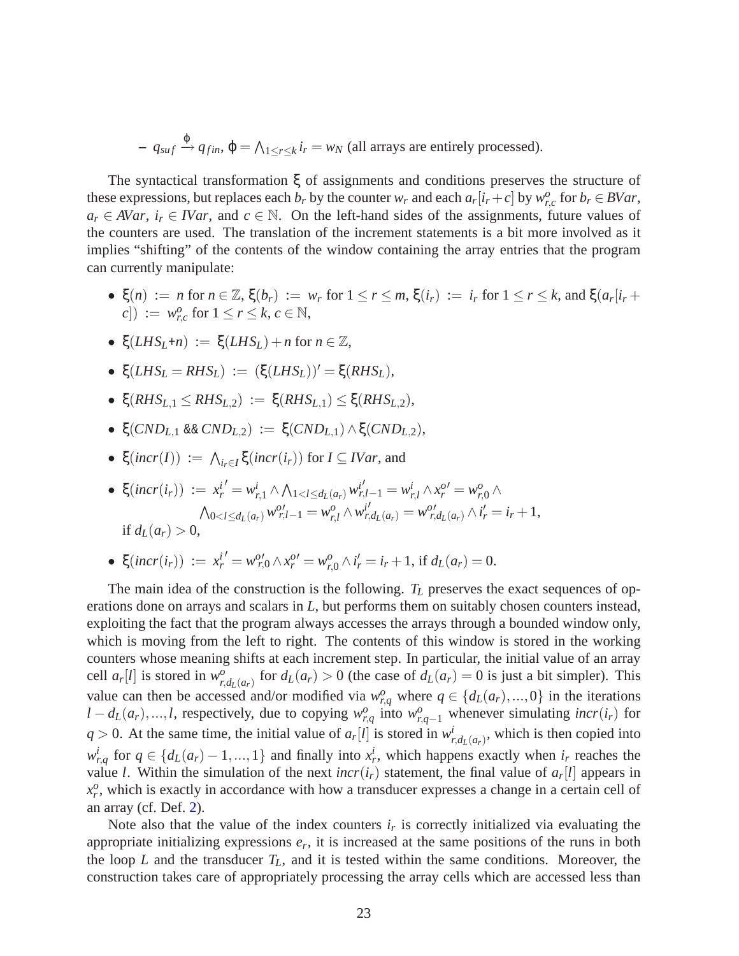$-$  *q*<sub>*suf*</sub>  $\stackrel{\varphi}{\rightarrow}$  *q<sub>fin</sub>*,  $\varphi$  =  $\bigwedge_{1 \leq r \leq k} i_r = w_N$  (all arrays are entirely processed).

The syntactical transformation ξ of assignments and conditions preserves the structure of these expressions, but replaces each  $b_r$  by the counter  $w_r$  and each  $a_r[i_r+c]$  by  $w_{r,c}^o$  for  $b_r \in BVar$ ,  $a_r \in AVar$ ,  $i_r \in IVar$ , and  $c \in \mathbb{N}$ . On the left-hand sides of the assignments, future values of the counters are used. The translation of the increment statements is a bit more involved as it implies "shifting" of the contents of the window containing the array entries that the program can currently manipulate:

- $\bullet \xi(n) := n \text{ for } n \in \mathbb{Z}, \xi(b_r) := w_r \text{ for } 1 \le r \le m, \xi(i_r) := i_r \text{ for } 1 \le r \le k, \text{ and } \xi(a_r[i_r + \xi(c_r)) = a_r \text{ for } 1 \le r \le k, \xi(c_r) = a_r \text{ for } 1 \le r \le k$  $(c)$  :=  $w_{r,c}^o$  for  $1 \le r \le k$ ,  $c \in \mathbb{N}$ ,
- $\xi(LHS_L+n) := \xi(LHS_L) + n$  for  $n \in \mathbb{Z}$ ,
- $\bullet \xi(LHS_L = RHS_L) := (\xi(LHS_L))' = \xi(RHS_L),$
- $\bullet \xi(RHS_{L,1} \leq RHS_{L,2}) := \xi(RHS_{L,1}) \leq \xi(RHS_{L,2}),$
- $\bullet \xi(CND_{L,1} \& K(CND_{L,2}) := \xi(CND_{L,1}) \land \xi(CND_{L,2}),$
- $\bullet \xi(incr(I)) := \bigwedge_{i_r \in I} \xi(incr(i_r))$  for  $I \subseteq IVar$ , and

• 
$$
\xi(incr(i_r)) := x_r^{i'} = w_{r,1}^i \wedge \bigwedge_{1 < l \leq d_L(a_r)} w_{r,l-1}^{i'} = w_{r,l}^i \wedge x_r^{o'} = w_{r,0}^o \wedge \bigwedge_{0 < l \leq d_L(a_r)} w_{r,l-1}^{o'} = w_{r,l}^o \wedge w_{r,d_L(a_r)}^{i'} = w_{r,d_L(a_r)}^{o'} \wedge i_r^i = i_r + 1,
$$
  
if  $d_L(a_r) > 0$ ,

• 
$$
\xi(incr(i_r)) := x_r^{i'} = w_{r,0}^{o'} \wedge x_r^{o'} = w_{r,0}^{o} \wedge i'_r = i_r + 1
$$
, if  $d_L(a_r) = 0$ .

The main idea of the construction is the following. *T<sup>L</sup>* preserves the exact sequences of operations done on arrays and scalars in *L*, but performs them on suitably chosen counters instead, exploiting the fact that the program always accesses the arrays through a bounded window only, which is moving from the left to right. The contents of this window is stored in the working counters whose meaning shifts at each increment step. In particular, the initial value of an array cell  $a_r[l]$  is stored in  $w_r^o$  $r_{r,d}^{o}$  for  $d_{L}(a_{r}) > 0$  (the case of  $d_{L}(a_{r}) = 0$  is just a bit simpler). This value can then be accessed and/or modified via  $w_{r,q}^o$  where  $q \in \{d_L(a_r),...,0\}$  in the iterations *l* − *d*<sub>*L*</sub>(*a<sub>r</sub>*),...,*l*, respectively, due to copying  $w_{r,q}^o$  into  $w_{r,q-1}^o$  whenever simulating *incr*(*i<sub>r</sub>*) for  $q > 0$ . At the same time, the initial value of  $a_r[l]$  is stored in  $w_i^j$  $\int_{r,dL(a_r)}^{i}$ , which is then copied into  $w_{r,q}^i$  for  $q \in \{d_L(a_r) - 1, ..., 1\}$  and finally into  $x_r^i$ , which happens exactly when  $i_r$  reaches the value *l*. Within the simulation of the next *incr*( $i_r$ ) statement, the final value of  $a_r[i]$  appears in  $x_r^o$ , which is exactly in accordance with how a transducer expresses a change in a certain cell of an array (cf. Def. [2\)](#page-7-0).

Note also that the value of the index counters  $i<sub>r</sub>$  is correctly initialized via evaluating the appropriate initializing expressions *e<sup>r</sup>* , it is increased at the same positions of the runs in both the loop *L* and the transducer  $T_L$ , and it is tested within the same conditions. Moreover, the construction takes care of appropriately processing the array cells which are accessed less than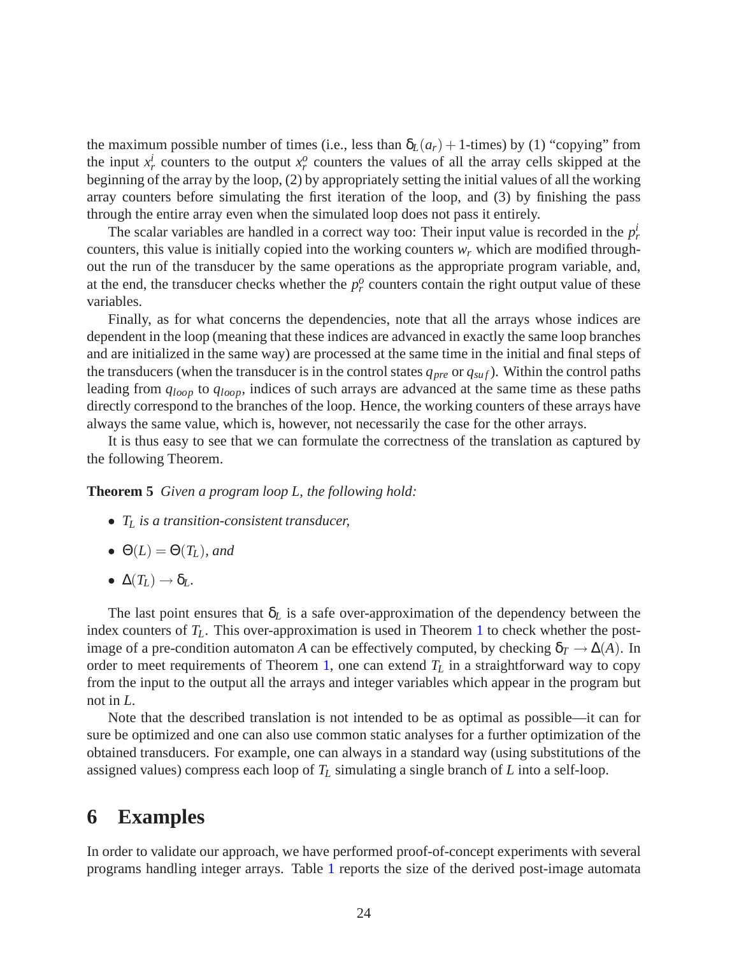the maximum possible number of times (i.e., less than  $\delta_L(a_r) + 1$ -times) by (1) "copying" from the input  $x_r^i$  counters to the output  $x_r^o$  counters the values of all the array cells skipped at the beginning of the array by the loop, (2) by appropriately setting the initial values of all the working array counters before simulating the first iteration of the loop, and (3) by finishing the pass through the entire array even when the simulated loop does not pass it entirely.

The scalar variables are handled in a correct way too: Their input value is recorded in the  $p<sub>r</sub><sup>i</sup>$ counters, this value is initially copied into the working counters *w<sup>r</sup>* which are modified throughout the run of the transducer by the same operations as the appropriate program variable, and, at the end, the transducer checks whether the  $p_r^o$  counters contain the right output value of these variables.

Finally, as for what concerns the dependencies, note that all the arrays whose indices are dependent in the loop (meaning that these indices are advanced in exactly the same loop branches and are initialized in the same way) are processed at the same time in the initial and final steps of the transducers (when the transducer is in the control states  $q_{pre}$  or  $q_{suf}$ ). Within the control paths leading from *qloop* to *qloop*, indices of such arrays are advanced at the same time as these paths directly correspond to the branches of the loop. Hence, the working counters of these arrays have always the same value, which is, however, not necessarily the case for the other arrays.

<span id="page-25-0"></span>It is thus easy to see that we can formulate the correctness of the translation as captured by the following Theorem.

**Theorem 5** *Given a program loop L, the following hold:*

- *T<sup>L</sup> is a transition-consistent transducer,*
- $\Theta(L) = \Theta(T_L)$ *, and*
- $\bullet \Delta(T_L) \rightarrow \delta_L$ .

The last point ensures that  $\delta_L$  is a safe over-approximation of the dependency between the index counters of  $T_L$ . This over-approximation is used in Theorem [1](#page-11-2) to check whether the postimage of a pre-condition automaton *A* can be effectively computed, by checking  $\delta_T \to \Delta(A)$ . In order to meet requirements of Theorem [1,](#page-11-2) one can extend  $T_L$  in a straightforward way to copy from the input to the output all the arrays and integer variables which appear in the program but not in *L*.

Note that the described translation is not intended to be as optimal as possible—it can for sure be optimized and one can also use common static analyses for a further optimization of the obtained transducers. For example, one can always in a standard way (using substitutions of the assigned values) compress each loop of *T<sup>L</sup>* simulating a single branch of *L* into a self-loop.

# **6 Examples**

In order to validate our approach, we have performed proof-of-concept experiments with several programs handling integer arrays. Table [1](#page-26-0) reports the size of the derived post-image automata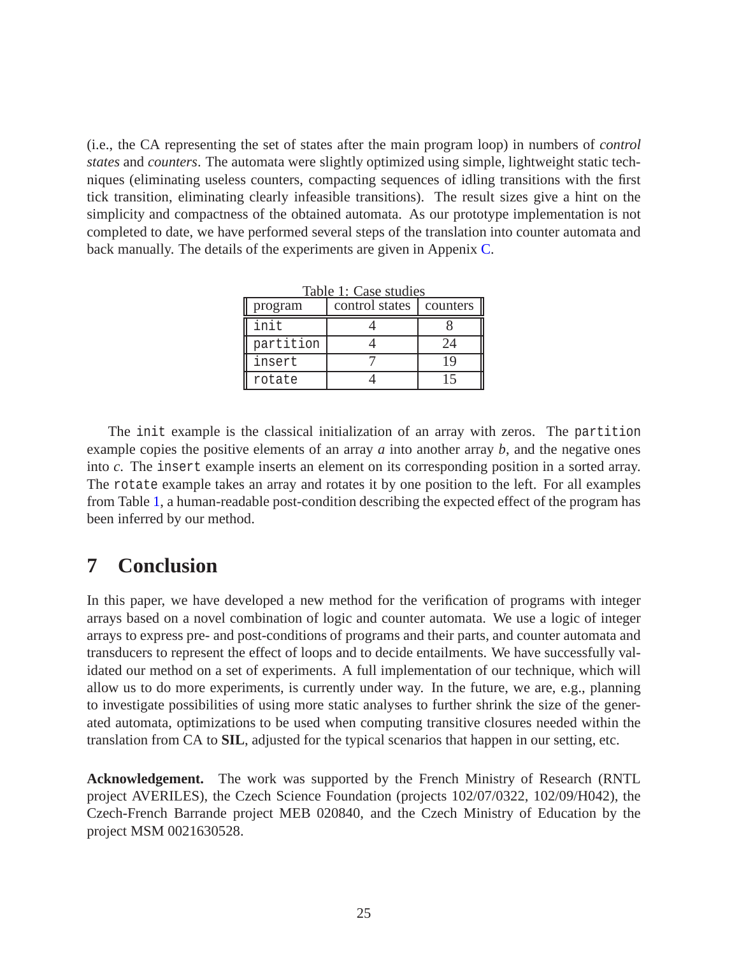(i.e., the CA representing the set of states after the main program loop) in numbers of *control states* and *counters*. The automata were slightly optimized using simple, lightweight static techniques (eliminating useless counters, compacting sequences of idling transitions with the first tick transition, eliminating clearly infeasible transitions). The result sizes give a hint on the simplicity and compactness of the obtained automata. As our prototype implementation is not completed to date, we have performed several steps of the translation into counter automata and back manually. The details of the experiments are given in Appenix [C.](#page-33-0)

<span id="page-26-0"></span>

| Table 1: Case studies |                           |          |  |  |  |  |  |
|-----------------------|---------------------------|----------|--|--|--|--|--|
| program               | control states   counters |          |  |  |  |  |  |
| init                  |                           |          |  |  |  |  |  |
| partition             |                           |          |  |  |  |  |  |
| insert                |                           | <b>C</b> |  |  |  |  |  |
| rotate                |                           |          |  |  |  |  |  |

The init example is the classical initialization of an array with zeros. The partition example copies the positive elements of an array *a* into another array *b*, and the negative ones into *c*. The insert example inserts an element on its corresponding position in a sorted array. The rotate example takes an array and rotates it by one position to the left. For all examples from Table [1,](#page-26-0) a human-readable post-condition describing the expected effect of the program has been inferred by our method.

# **7 Conclusion**

In this paper, we have developed a new method for the verification of programs with integer arrays based on a novel combination of logic and counter automata. We use a logic of integer arrays to express pre- and post-conditions of programs and their parts, and counter automata and transducers to represent the effect of loops and to decide entailments. We have successfully validated our method on a set of experiments. A full implementation of our technique, which will allow us to do more experiments, is currently under way. In the future, we are, e.g., planning to investigate possibilities of using more static analyses to further shrink the size of the generated automata, optimizations to be used when computing transitive closures needed within the translation from CA to **SIL**, adjusted for the typical scenarios that happen in our setting, etc.

**Acknowledgement.** The work was supported by the French Ministry of Research (RNTL project AVERILES), the Czech Science Foundation (projects 102/07/0322, 102/09/H042), the Czech-French Barrande project MEB 020840, and the Czech Ministry of Education by the project MSM 0021630528.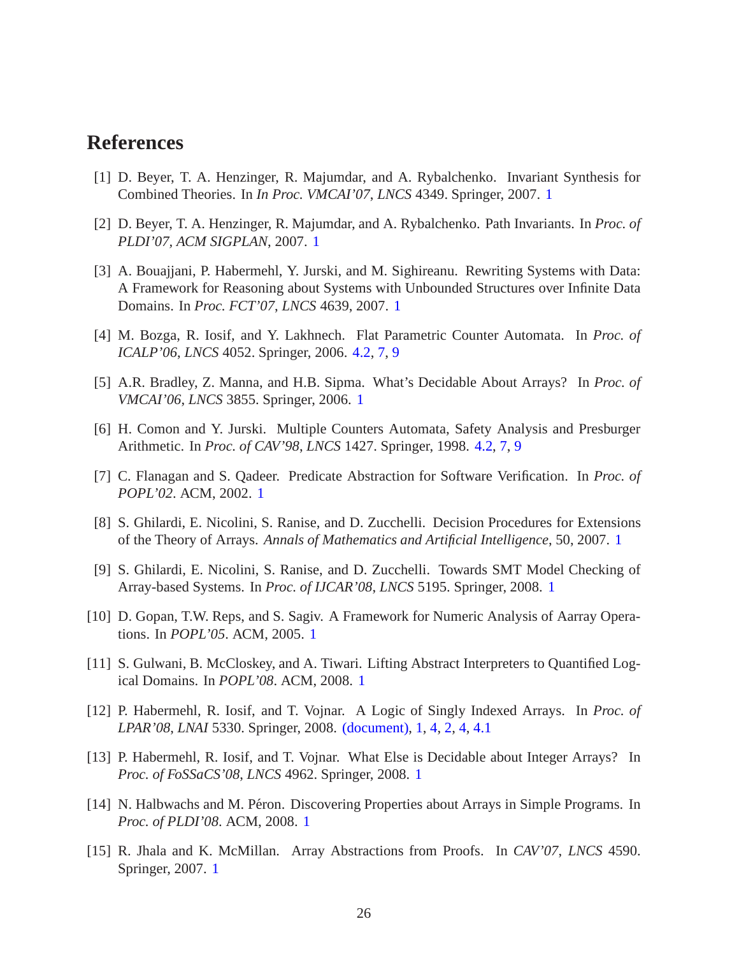# <span id="page-27-2"></span>**References**

- <span id="page-27-3"></span>[1] D. Beyer, T. A. Henzinger, R. Majumdar, and A. Rybalchenko. Invariant Synthesis for Combined Theories. In *In Proc. VMCAI'07*, *LNCS* 4349. Springer, 2007. [1](#page-2-0)
- <span id="page-27-10"></span>[2] D. Beyer, T. A. Henzinger, R. Majumdar, and A. Rybalchenko. Path Invariants. In *Proc. of PLDI'07, ACM SIGPLAN*, 2007. [1](#page-2-0)
- [3] A. Bouajjani, P. Habermehl, Y. Jurski, and M. Sighireanu. Rewriting Systems with Data: A Framework for Reasoning about Systems with Unbounded Structures over Infinite Data Domains. In *Proc. FCT'07*, *LNCS* 4639, 2007. [1](#page-2-0)
- <span id="page-27-14"></span><span id="page-27-8"></span>[4] M. Bozga, R. Iosif, and Y. Lakhnech. Flat Parametric Counter Automata. In *Proc. of ICALP'06*, *LNCS* 4052. Springer, 2006. [4.2,](#page-18-3) [7,](#page-19-1) [9](#page-20-1)
- <span id="page-27-13"></span>[5] A.R. Bradley, Z. Manna, and H.B. Sipma. What's Decidable About Arrays? In *Proc. of VMCAI'06*, *LNCS* 3855. Springer, 2006. [1](#page-2-0)
- <span id="page-27-1"></span>[6] H. Comon and Y. Jurski. Multiple Counters Automata, Safety Analysis and Presburger Arithmetic. In *Proc. of CAV'98*, *LNCS* 1427. Springer, 1998. [4.2,](#page-18-3) [7,](#page-19-1) [9](#page-20-1)
- <span id="page-27-9"></span>[7] C. Flanagan and S. Qadeer. Predicate Abstraction for Software Verification. In *Proc. of POPL'02*. ACM, 2002. [1](#page-2-0)
- [8] S. Ghilardi, E. Nicolini, S. Ranise, and D. Zucchelli. Decision Procedures for Extensions of the Theory of Arrays. *Annals of Mathematics and Artificial Intelligence*, 50, 2007. [1](#page-2-0)
- <span id="page-27-11"></span>[9] S. Ghilardi, E. Nicolini, S. Ranise, and D. Zucchelli. Towards SMT Model Checking of Array-based Systems. In *Proc. of IJCAR'08*, *LNCS* 5195. Springer, 2008. [1](#page-2-0)
- <span id="page-27-6"></span><span id="page-27-5"></span>[10] D. Gopan, T.W. Reps, and S. Sagiv. A Framework for Numeric Analysis of Aarray Operations. In *POPL'05*. ACM, 2005. [1](#page-2-0)
- <span id="page-27-0"></span>[11] S. Gulwani, B. McCloskey, and A. Tiwari. Lifting Abstract Interpreters to Quantified Logical Domains. In *POPL'08*. ACM, 2008. [1](#page-2-0)
- [12] P. Habermehl, R. Iosif, and T. Vojnar. A Logic of Singly Indexed Arrays. In *Proc. of LPAR'08*, *LNAI* 5330. Springer, 2008. [\(document\),](#page-0-0) [1,](#page-2-0) [4,](#page-12-0) [2,](#page-13-0) [4,](#page-13-0) [4.1](#page-13-2)
- <span id="page-27-12"></span>[13] P. Habermehl, R. Iosif, and T. Vojnar. What Else is Decidable about Integer Arrays? In *Proc. of FoSSaCS'08*, *LNCS* 4962. Springer, 2008. [1](#page-2-0)
- <span id="page-27-7"></span>[14] N. Halbwachs and M. Péron. Discovering Properties about Arrays in Simple Programs. In *Proc. of PLDI'08*. ACM, 2008. [1](#page-2-0)
- <span id="page-27-4"></span>[15] R. Jhala and K. McMillan. Array Abstractions from Proofs. In *CAV'07*, *LNCS* 4590. Springer, 2007. [1](#page-2-0)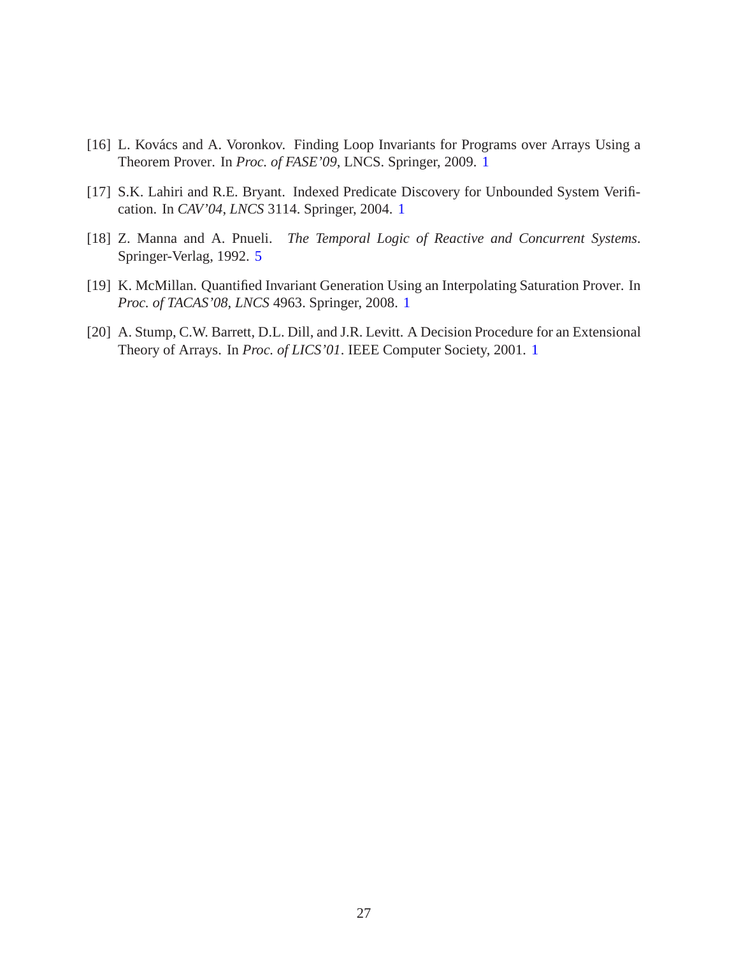- <span id="page-28-2"></span><span id="page-28-0"></span>[16] L. Kovács and A. Voronkov. Finding Loop Invariants for Programs over Arrays Using a Theorem Prover. In *Proc. of FASE'09*, LNCS. Springer, 2009. [1](#page-2-0)
- <span id="page-28-4"></span>[17] S.K. Lahiri and R.E. Bryant. Indexed Predicate Discovery for Unbounded System Verification. In *CAV'04*, *LNCS* 3114. Springer, 2004. [1](#page-2-0)
- [18] Z. Manna and A. Pnueli. *The Temporal Logic of Reactive and Concurrent Systems*. Springer-Verlag, 1992. [5](#page-22-0)
- <span id="page-28-1"></span>[19] K. McMillan. Quantified Invariant Generation Using an Interpolating Saturation Prover. In *Proc. of TACAS'08*, *LNCS* 4963. Springer, 2008. [1](#page-2-0)
- <span id="page-28-3"></span>[20] A. Stump, C.W. Barrett, D.L. Dill, and J.R. Levitt. A Decision Procedure for an Extensional Theory of Arrays. In *Proc. of LICS'01*. IEEE Computer Society, 2001. [1](#page-2-0)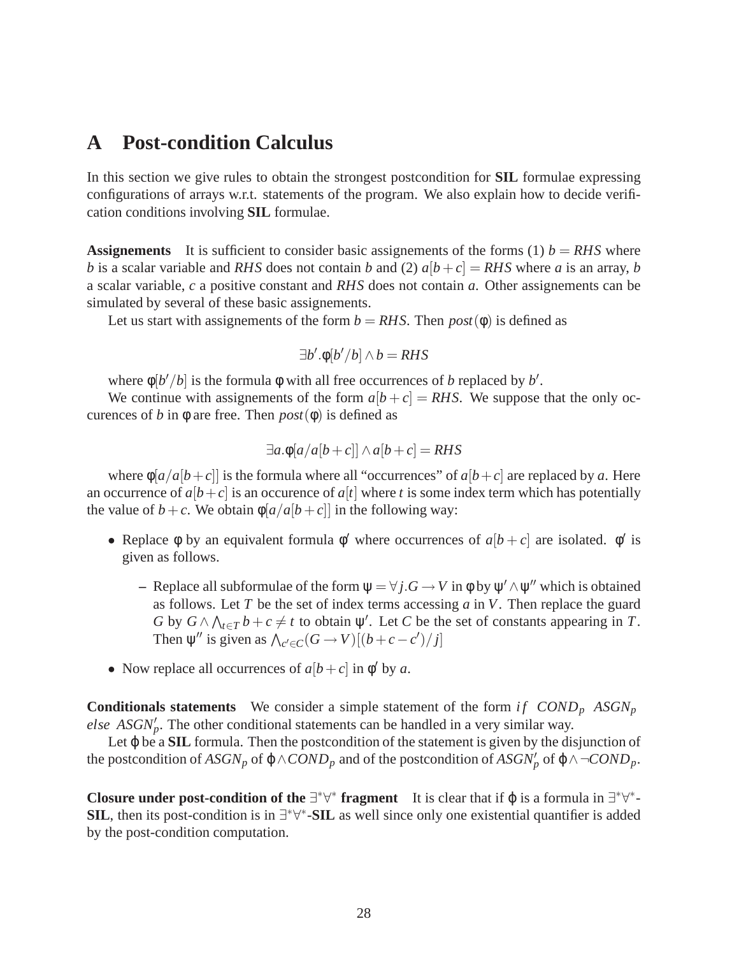# <span id="page-29-0"></span>**A Post-condition Calculus**

In this section we give rules to obtain the strongest postcondition for **SIL** formulae expressing configurations of arrays w.r.t. statements of the program. We also explain how to decide verification conditions involving **SIL** formulae.

**Assignements** It is sufficient to consider basic assignements of the forms (1)  $b = RHS$  where *b* is a scalar variable and *RHS* does not contain *b* and (2)  $a[b+c] = RHS$  where *a* is an array, *b* a scalar variable, *c* a positive constant and *RHS* does not contain *a*. Other assignements can be simulated by several of these basic assignements.

Let us start with assignements of the form  $b = RHS$ . Then  $post(\phi)$  is defined as

$$
\exists b'. \phi[b'/b] \land b = RHS
$$

where  $\phi[b'/b]$  is the formula  $\phi$  with all free occurrences of *b* replaced by *b'*.

We continue with assignements of the form  $a[b+c] = RHS$ . We suppose that the only occurences of *b* in  $\phi$  are free. Then *post*( $\phi$ ) is defined as

$$
\exists a.\Phi[a/a[b+c]] \wedge a[b+c] = RHS
$$

where  $\phi[a/a[b+c]]$  is the formula where all "occurrences" of  $a[b+c]$  are replaced by *a*. Here an occurrence of  $a[b+c]$  is an occurence of  $a[t]$  where *t* is some index term which has potentially the value of  $b + c$ . We obtain  $\phi[a/a[b+c]]$  in the following way:

- Replace  $\phi$  by an equivalent formula  $\phi'$  where occurrences of  $a[b+c]$  are isolated.  $\phi'$  is given as follows.
	- **–** Replace all subformulae of the form  $\psi = \forall j$ .*G* → *V* in φ by  $\psi' \land \psi''$  which is obtained as follows. Let *T* be the set of index terms accessing *a* in *V*. Then replace the guard *G* by  $G \wedge \bigwedge_{t \in T} b + c \neq t$  to obtain  $\psi'$ . Let *C* be the set of constants appearing in *T*. Then  $\psi''$  is given as  $\bigwedge_{c' \in C} (G \to V) [(b + c - c') / j]$
- Now replace all occurrences of  $a[b+c]$  in  $\phi'$  by *a*.

**Conditionals statements** We consider a simple statement of the form *if COND<sub>p</sub>*  $ASGN_p$ *else ASGN'<sub>p</sub>*. The other conditional statements can be handled in a very similar way.

Let φ be a **SIL** formula. Then the postcondition of the statement is given by the disjunction of the postcondition of  $ASGN_p$  of  $\phi \land COND_p$  and of the postcondition of  $ASGN'_p$  of  $\phi \land \neg COND_p$ .

**Closure under post-condition of the**  $\exists^* \forall^*$  **fragment** It is clear that if  $\varphi$  is a formula in  $\exists^* \forall^*$ -**SIL**, then its post-condition is in ∃<sup>\*</sup>∀<sup>\*</sup>-SIL as well since only one existential quantifier is added by the post-condition computation.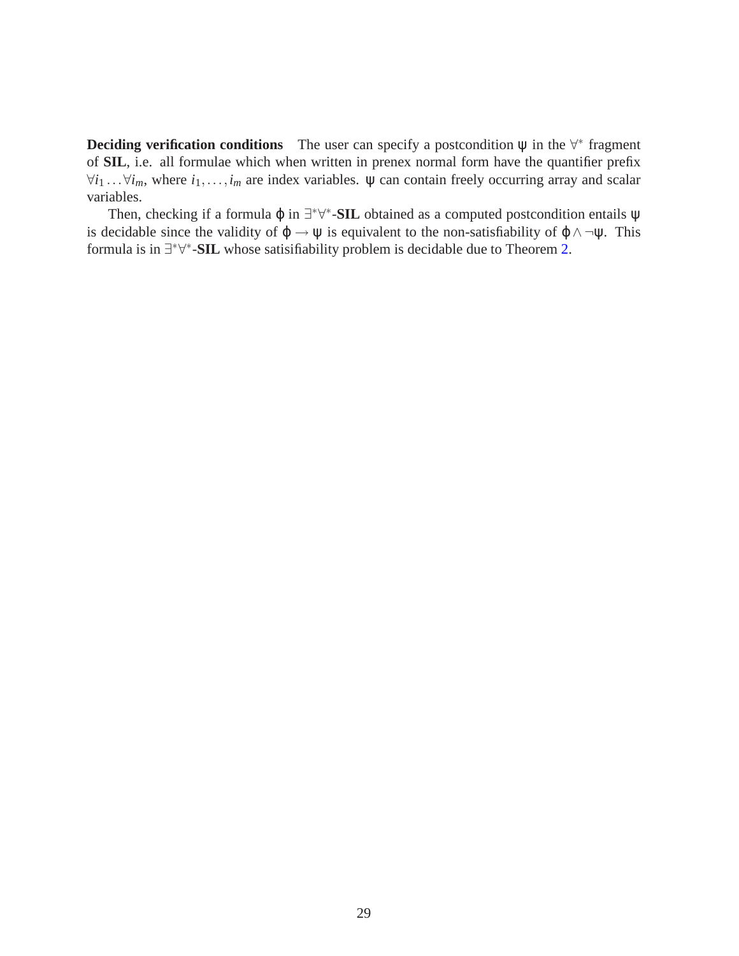**Deciding verification conditions** The user can specify a postcondition  $\psi$  in the  $\forall^*$  fragment of **SIL**, i.e. all formulae which when written in prenex normal form have the quantifier prefix  $\forall i_1 \dots \forall i_m$ , where  $i_1, \dots, i_m$  are index variables.  $\psi$  can contain freely occurring array and scalar variables.

Then, checking if a formula  $\varphi$  in  $\exists^* \forall^*$ -SIL obtained as a computed postcondition entails  $\psi$ is decidable since the validity of  $\varphi \to \psi$  is equivalent to the non-satisfiability of  $\varphi \land \neg \psi$ . This formula is in <sup>∃\*∀\*</sup>-SIL whose satisifiability problem is decidable due to Theorem [2.](#page-13-0)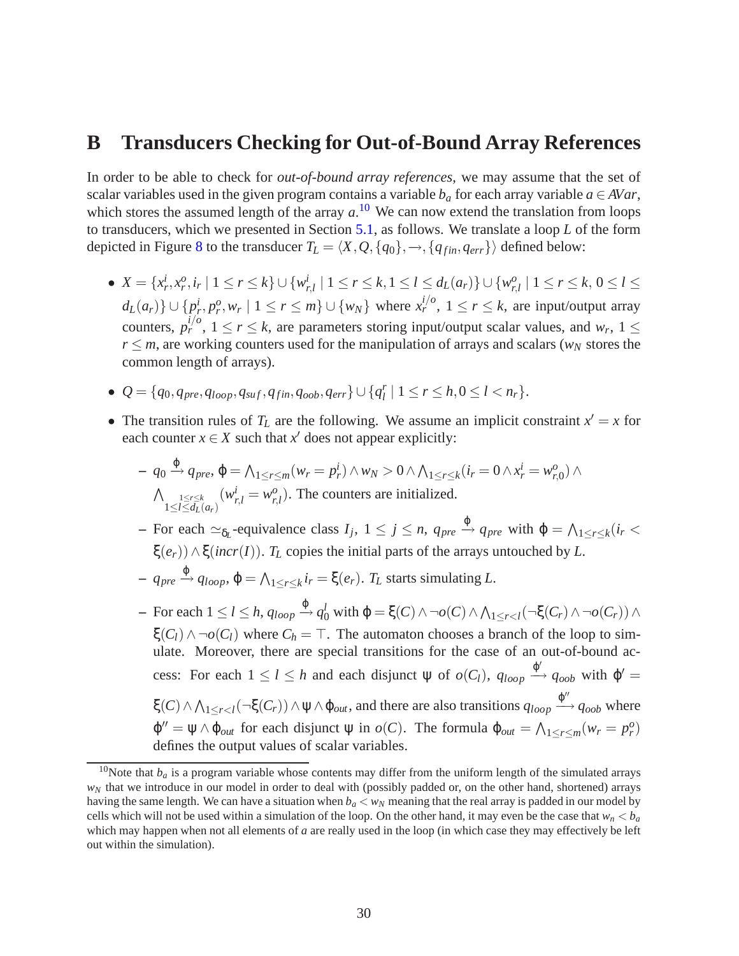# <span id="page-31-0"></span>**B Transducers Checking for Out-of-Bound Array References**

In order to be able to check for *out-of-bound array references*, we may assume that the set of scalar variables used in the given program contains a variable  $b_a$  for each array variable  $a \in AVar$ , which stores the assumed length of the array  $a$ .<sup>[10](#page-31-1)</sup> We can now extend the translation from loops to transducers, which we presented in Section [5.1,](#page-21-0) as follows. We translate a loop *L* of the form depicted in Figure [8](#page-23-0) to the transducer  $T_L = \langle X, Q, \{q_0\}, \rightarrow, \{q_{fin}, q_{err}\}\rangle$  defined below:

- $X = \{x_r^i, x_r^o, i_r \mid 1 \le r \le k\} \cup \{w_i^i\}$  $r_{r,l}$  |  $1 \leq r \leq k, 1 \leq l \leq d_L(a_r)$ } ∪ { $w_{r,s}^o$  $\sum_{r,l}^{o}$  | 1  $\leq r \leq k$ ,  $0 \leq l \leq$  $d_L(a_r)\}\cup\{p_r^i, p_r^o, w_r \mid 1 \leq r \leq m\}\cup\{w_N\}$  where  $x_r^{i/o}$ ,  $1 \leq r \leq k$ , are input/output array counters,  $p_r^{i/o}$ ,  $1 \le r \le k$ , are parameters storing input/output scalar values, and  $w_r$ ,  $1 \le$  $r \leq m$ , are working counters used for the manipulation of arrays and scalars ( $w_N$  stores the common length of arrays).
- $\Phi \var Q = \{q_0, q_{pre}, q_{loop}, q_{suf}, q_{fin}, q_{oob}, q_{err}\} \cup \{q_l^r\}$  $\binom{r}{l}$  | 1  $\leq r \leq h, 0 \leq l < n_r$  }.
- The transition rules of  $T_L$  are the following. We assume an implicit constraint  $x' = x$  for each counter  $x \in X$  such that  $x'$  does not appear explicitly:

$$
- q_0 \xrightarrow{\varphi} q_{pre}, \varphi = \bigwedge_{1 \leq r \leq m} (w_r = p_r^i) \wedge w_N > 0 \wedge \bigwedge_{1 \leq r \leq k} (i_r = 0 \wedge x_r^i = w_{r,0}^o) \wedge \bigwedge_{1 \leq l \leq d_L(a_r)} (w_{r,l}^i = w_{r,l}^o).
$$
 The counters are initialized.

 $-$  For each  $\approx_{\delta_L}$ -equivalence class  $I_j$ ,  $1 \leq j \leq n$ ,  $q_{pre} \stackrel{\varphi}{\rightarrow} q_{pre}$  with  $\varphi = \bigwedge_{1 \leq r \leq k} (i_r < j_r \bigwedge_{j \leq r \leq k} (i_r < j_r \bigwedge_{j \leq r \leq k} (i_r < j_r \bigwedge_{j \leq r \leq k} (i_r < j_r \bigwedge_{j \leq r \leq k} (i_r < j_r \bigwedge_{j \leq r \leq k} (i_r < j_r \bigwedge$ ξ $(e_r)$ )  $\wedge$  ξ(*incr*(*I*)). *T<sub>L</sub>* copies the initial parts of the arrays untouched by *L*.

- $-$  *q<sub>pre</sub>*  $\stackrel{\varphi}{\rightarrow}$  *q*<sub>*loop*</sub>,  $\varphi$  =  $\bigwedge_{1 \leq r \leq k} i_r$  = ξ $(e_r)$ . *T*<sub>*L*</sub> starts simulating *L*.
- $-$  For each  $1 \leq l \leq h$ ,  $q_{loop} \stackrel{\varphi}{\rightarrow} q_0^l$  with  $\varphi = \xi(C) \wedge \neg o(C) \wedge \bigwedge_{1 \leq r < l} (\neg \xi(C_r) \wedge \neg o(C_r)) \wedge \neg o(C_r)$  $\xi(C_l) \wedge \neg o(C_l)$  where  $C_h = \top$ . The automaton chooses a branch of the loop to simulate. Moreover, there are special transitions for the case of an out-of-bound access: For each  $1 \leq l \leq h$  and each disjunct  $\psi$  of  $o(C_l)$ ,  $q_{loop} \xrightarrow{\phi'} q_{oob}$  with  $\phi' =$  $\xi(C) \wedge \bigwedge_{1 \leq r < l} (\neg \xi(C_r)) \wedge \psi \wedge \varphi_{out}$ , and there are also transitions  $q_{loop} \xrightarrow{\varphi''} q_{oob}$  where  $\varphi'' = \psi \wedge \varphi_{out}$  for each disjunct  $\psi$  in  $o(C)$ . The formula  $\varphi_{out} = \bigwedge_{1 \leq r \leq m} (w_r = p_r^o)$ defines the output values of scalar variables.

<span id="page-31-1"></span><sup>&</sup>lt;sup>10</sup>Note that  $b_a$  is a program variable whose contents may differ from the uniform length of the simulated arrays *w<sub>N</sub>* that we introduce in our model in order to deal with (possibly padded or, on the other hand, shortened) arrays having the same length. We can have a situation when  $b<sub>a</sub> < w<sub>N</sub>$  meaning that the real array is padded in our model by cells which will not be used within a simulation of the loop. On the other hand, it may even be the case that  $w_n < b_a$ which may happen when not all elements of *a* are really used in the loop (in which case they may effectively be left out within the simulation).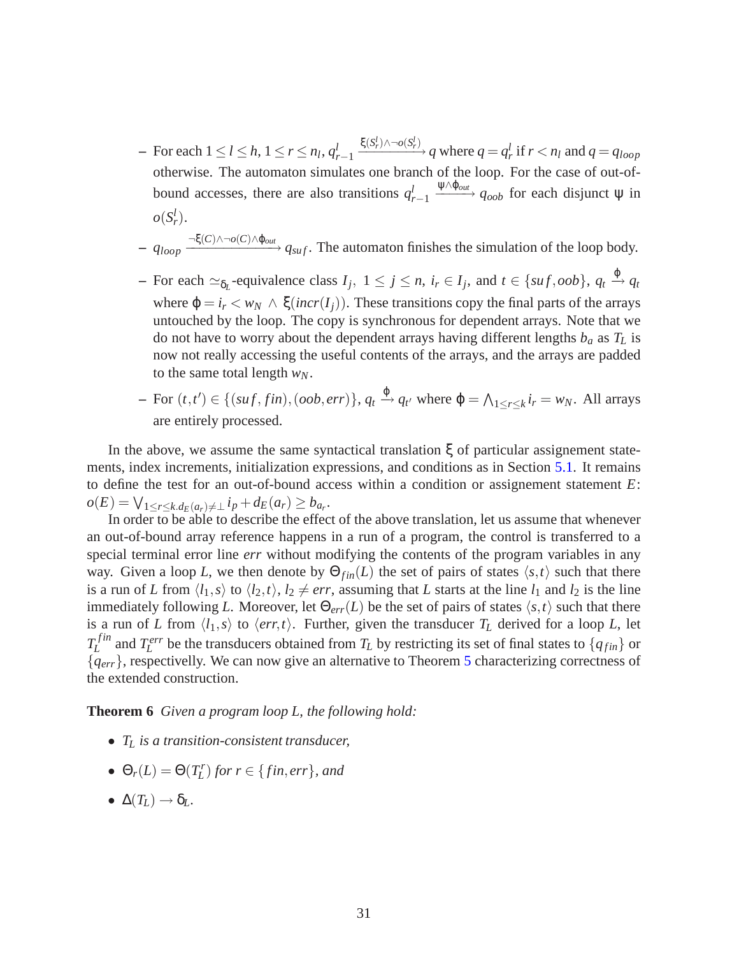- $-$  For each  $1 \leq l \leq h, 1 \leq r \leq n_l, q_l^l$ *r*−1  $\frac{\xi(S_r^l) \wedge \neg o(S_r^l)}{q}$  where  $q = q_r^l$  if  $r < n_l$  and  $q = q_{loop}$ otherwise. The automaton simulates one branch of the loop. For the case of out-ofbound accesses, there are also transitions  $q_i^l$  $\frac{d}{dr}$ <sub>r−1</sub>  $\frac{\psi \wedge \phi_{out}}{\phi_{out}}$  *q<sub>oob</sub>* for each disjunct  $\psi$  in  $o(S_r^l)$ .
- $-$  *q*<sub>loop</sub>  $\frac{\neg \xi(C) \land \neg o(C) \land \varphi_{out}}{\neg g_{suf}}$ . The automaton finishes the simulation of the loop body.
- $-$  For each  $\approx_{\delta_L}$ -equivalence class  $I_j$ ,  $1 \le j \le n$ ,  $i_r \in I_j$ , and  $t \in \{suf, oob\}$ ,  $q_t \stackrel{\varphi}{\rightarrow} q_t$ where  $\varphi = i_r \langle w_N \wedge \xi(incr(I_i))$ . These transitions copy the final parts of the arrays untouched by the loop. The copy is synchronous for dependent arrays. Note that we do not have to worry about the dependent arrays having different lengths *b<sup>a</sup>* as *T<sup>L</sup>* is now not really accessing the useful contents of the arrays, and the arrays are padded to the same total length *wN*.
- $\Phi = \text{For } (t, t') \in \{(suf, fin), (oob, err)\}, q_t \stackrel{\phi}{\to} q_{t'} \text{ where } \phi = \bigwedge_{1 \leq r \leq k} i_r = w_N. \text{ All arrays}$ are entirely processed.

In the above, we assume the same syntactical translation ξ of particular assignement statements, index increments, initialization expressions, and conditions as in Section [5.1.](#page-21-0) It remains to define the test for an out-of-bound access within a condition or assignement statement *E*:  $o(E) = \bigvee_{1 \leq r \leq k}. d_E(a_r) \neq \bot \, i_P + d_E(a_r) \geq b_{a_r}.$ 

In order to be able to describe the effect of the above translation, let us assume that whenever an out-of-bound array reference happens in a run of a program, the control is transferred to a special terminal error line *err* without modifying the contents of the program variables in any way. Given a loop *L*, we then denote by  $\Theta_{fin}(L)$  the set of pairs of states  $\langle s,t \rangle$  such that there is a run of *L* from  $\langle l_1, s \rangle$  to  $\langle l_2, t \rangle$ ,  $l_2 \neq err$ , assuming that *L* starts at the line  $l_1$  and  $l_2$  is the line immediately following *L*. Moreover, let  $\Theta_{err}(L)$  be the set of pairs of states  $\langle s, t \rangle$  such that there is a run of *L* from  $\langle l_1, s \rangle$  to  $\langle err, t \rangle$ . Further, given the transducer  $T_L$  derived for a loop *L*, let  $T_L^{fin}$  $L^{fin}$  and  $T^{err}_L$  be the transducers obtained from  $T_L$  by restricting its set of final states to  $\{q_{fin}\}$  or {*qerr*}, respectivelly. We can now give an alternative to Theorem [5](#page-25-0) characterizing correctness of the extended construction.

**Theorem 6** *Given a program loop L, the following hold:*

- *T<sup>L</sup> is a transition-consistent transducer,*
- $\Theta_r(L) = \Theta(T_L^r)$  for  $r \in \{fin, err\}$ *, and*
- $\bullet \Delta(T_L) \rightarrow \delta_L$ .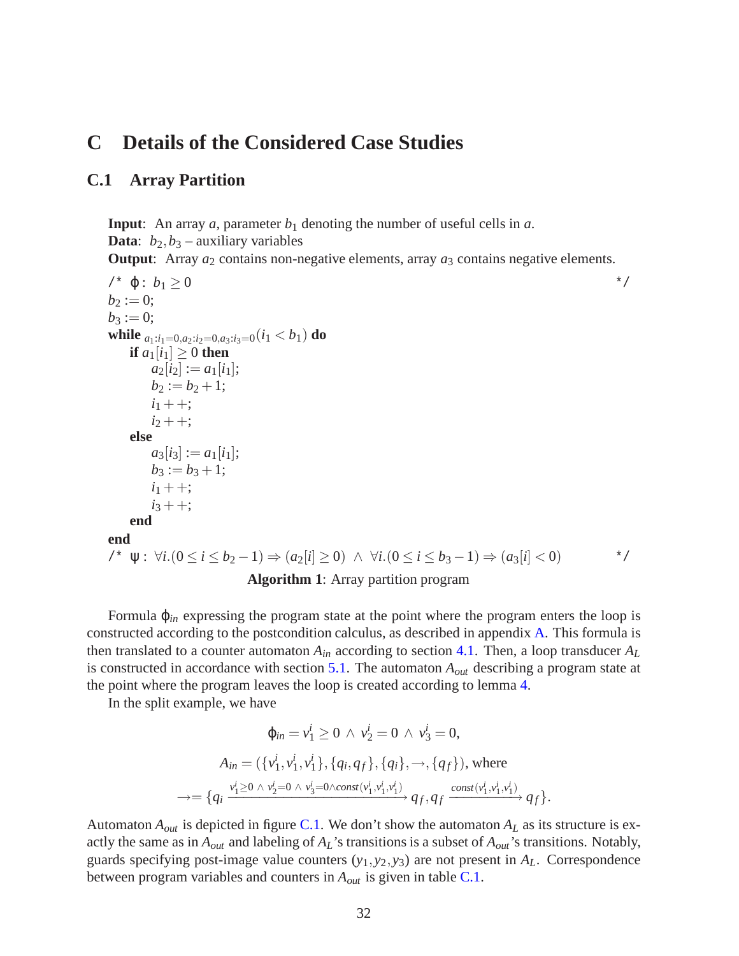# <span id="page-33-0"></span>**C Details of the Considered Case Studies**

### <span id="page-33-1"></span>**C.1 Array Partition**

**Input**: An array  $a$ , parameter  $b_1$  denoting the number of useful cells in  $a$ . **Data**:  $b_2$ , $b_3$  – auxiliary variables

**Output:** Array  $a_2$  contains non-negative elements, array  $a_3$  contains negative elements.

```
\forall^* \varphi : b_1 > 0 */
b_2 := 0;b_3 := 0;while a_1: i_1=0, a_2: i_2=0, a_3: i_3=0 (i<sub>1</sub> < b<sub>1</sub>) do
   if a_1[i_1] > 0 then
       a_2[i_2] := a_1[i_1];b_2 := b_2 + 1;i_1 + +;
       i_2 + +;
   else
       a_3[i_3] := a_1[i_1];b_3 := b_3 + 1;i_1 + +;i_3 + +;
   end
end
/* ψ : ∀i.(0 ≤ i ≤ b2 −1) ⇒ (a2[i] ≥ 0) ∧ ∀i.(0 ≤ i ≤ b3 −1) ⇒ (a3[i] < 0) */
                       Algorithm 1: Array partition program
```
Formula ϕ*in* expressing the program state at the point where the program enters the loop is constructed according to the postcondition calculus, as described in appendix [A.](#page-29-0) This formula is then translated to a counter automaton  $A_{in}$  according to section [4.1.](#page-13-2) Then, a loop transducer  $A_L$ is constructed in accordance with section [5.1.](#page-21-0) The automaton *Aout* describing a program state at the point where the program leaves the loop is created according to lemma [4.](#page-10-0)

In the split example, we have

$$
\varphi_{in} = v_1^i \ge 0 \ \land \ v_2^i = 0 \ \land \ v_3^i = 0,
$$
\n
$$
A_{in} = (\{v_1^i, v_1^i, v_1^i\}, \{q_i, q_f\}, \{q_i\}, \rightarrow, \{q_f\}), \text{ where}
$$
\n
$$
\rightarrow = \{q_i \xrightarrow{v_1^i \ge 0 \ \land \ v_2^i = 0 \ \land \ v_3^i = 0 \land const(v_1^i, v_1^i, v_1^i)} \ q_f, q_f \xrightarrow{const(v_1^i, v_1^i, v_1^i)} \ q_f\}.
$$

Automaton  $A_{out}$  is depicted in figure [C.1.](#page-34-0) We don't show the automaton  $A_L$  as its structure is exactly the same as in *Aout* and labeling of *AL*'s transitions is a subset of *Aout*'s transitions. Notably, guards specifying post-image value counters  $(y_1, y_2, y_3)$  are not present in  $A_L$ . Correspondence between program variables and counters in *Aout* is given in table [C.1.](#page-33-1)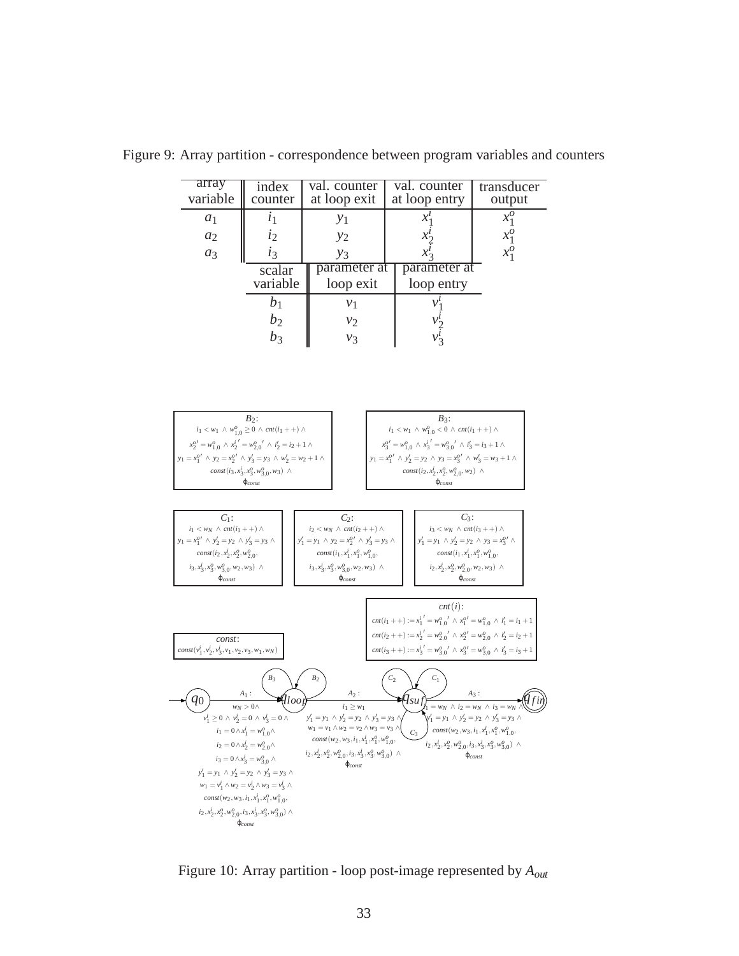

<span id="page-34-0"></span>Figure 9: Array partition - correspondence between program variables and counters

Figure 10: Array partition - loop post-image represented by *Aout*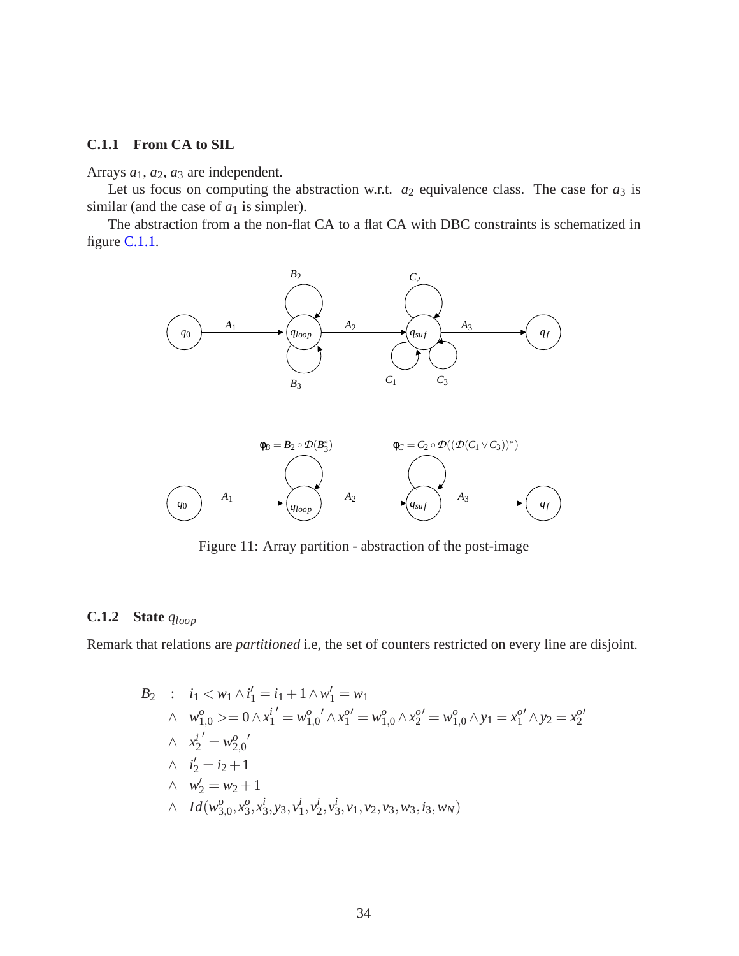#### <span id="page-35-0"></span>**C.1.1 From CA to SIL**

Arrays *a*1, *a*2, *a*<sup>3</sup> are independent.

Let us focus on computing the abstraction w.r.t.  $a_2$  equivalence class. The case for  $a_3$  is similar (and the case of  $a_1$  is simpler).

The abstraction from a the non-flat CA to a flat CA with DBC constraints is schematized in figure [C.1.1.](#page-35-0)





Figure 11: Array partition - abstraction of the post-image

### **C.1.2 State** *qloop*

Remark that relations are *partitioned* i.e, the set of counters restricted on every line are disjoint.

B<sub>2</sub> : 
$$
i_1 < w_1 \wedge i'_1 = i_1 + 1 \wedge w'_1 = w_1
$$
  
\n $\wedge w_{1,0}^o > = 0 \wedge x_1^{i'} = w_{1,0}^o / \wedge x_1^{o'} = w_{1,0}^o \wedge x_2^{o'} = w_{1,0}^o \wedge y_1 = x_1^{o'} \wedge y_2 = x_2^{o'}$   
\n $\wedge x_2^{i'} = w_{2,0}^{o'}$   
\n $\wedge i'_2 = i_2 + 1$   
\n $\wedge w_2' = w_2 + 1$   
\n $\wedge Id(w_{3,0}^o, x_3^o, x_3^i, y_3, v_1^i, v_2^i, v_3^i, v_1, v_2, v_3, w_3, i_3, w_N)$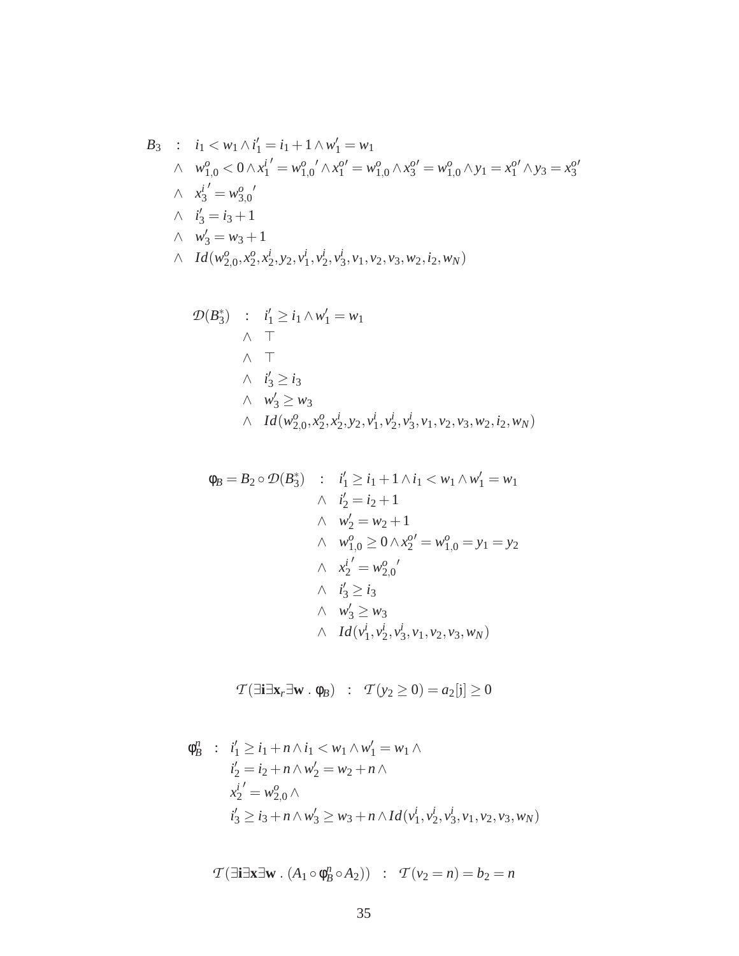$$
B_3 : i_1 < w_1 \wedge i_1' = i_1 + 1 \wedge w_1' = w_1
$$
  
\n
$$
\wedge w_{1,0}^o < 0 \wedge x_1^{i'} = w_{1,0}^o \wedge x_1^{o'} = w_{1,0}^o \wedge x_3^{o'} = w_{1,0}^o \wedge y_1 = x_1^{o'} \wedge y_3 = x_3^{o'}
$$
  
\n
$$
\wedge x_3^{i'} = w_{3,0}^{o'}
$$
  
\n
$$
\wedge i_3' = i_3 + 1
$$
  
\n
$$
\wedge u_3' = w_3 + 1
$$
  
\n
$$
\wedge Id(w_{2,0}^o, x_2^o, x_2^i, y_2, v_1^i, v_2^i, v_3^i, v_1, v_2, v_3, w_2, i_2, w_N)
$$

$$
\mathcal{D}(B_3^*) : i'_1 \geq i_1 \wedge w'_1 = w_1
$$
\n
$$
\wedge \top
$$
\n
$$
\wedge i'_3 \geq i_3
$$
\n
$$
\wedge w'_3 \geq w_3
$$
\n
$$
\wedge Id(w_{2,0}^o, x_2^o, x_2^i, y_2, v_1^i, v_2^i, v_3, v_1, v_2, v_3, w_2, i_2, w_N)
$$

$$
\begin{aligned}\n\phi_B &= B_2 \circ \mathcal{D}(B_3^*) & \quad : \quad i'_1 \ge i_1 + 1 \land i_1 < w_1 \land w'_1 = w_1 \\
& \quad \land \quad i'_2 = i_2 + 1 \\
& \quad \land \quad w'_2 = w_2 + 1 \\
& \quad \land \quad w_{1,0}^o \ge 0 \land x_2^{o'} = w_{1,0}^o = y_1 = y_2 \\
& \quad \land \quad x_2^{i'} = w_{2,0}^{o'} \\
& \quad \land \quad i'_3 \ge i_3 \\
& \quad \land \quad w'_3 \ge w_3 \\
& \quad \land \quad Id(v_1^i, v_2^i, v_3^i, v_1, v_2, v_3, w_N)\n\end{aligned}
$$

$$
\mathcal{T}(\exists \mathbf{i} \exists \mathbf{x}_r \exists \mathbf{w} \cdot \phi_B) : \mathcal{T}(y_2 \ge 0) = a_2[j] \ge 0
$$

$$
\phi_B^n : i'_1 \ge i_1 + n \wedge i_1 < w_1 \wedge w'_1 = w_1 \wedge \n i'_2 = i_2 + n \wedge w'_2 = w_2 + n \wedge \n x_2^i' = w_{2,0}^o \wedge \n i'_3 \ge i_3 + n \wedge w'_3 \ge w_3 + n \wedge Id(v_1^i, v_2^i, v_3^i, v_1, v_2, v_3, w_N)
$$

$$
\mathcal{T}(\exists \mathbf{i} \exists \mathbf{x} \exists \mathbf{w} \cdot (A_1 \circ \phi_B^n \circ A_2)) : \mathcal{T}(v_2 = n) = b_2 = n
$$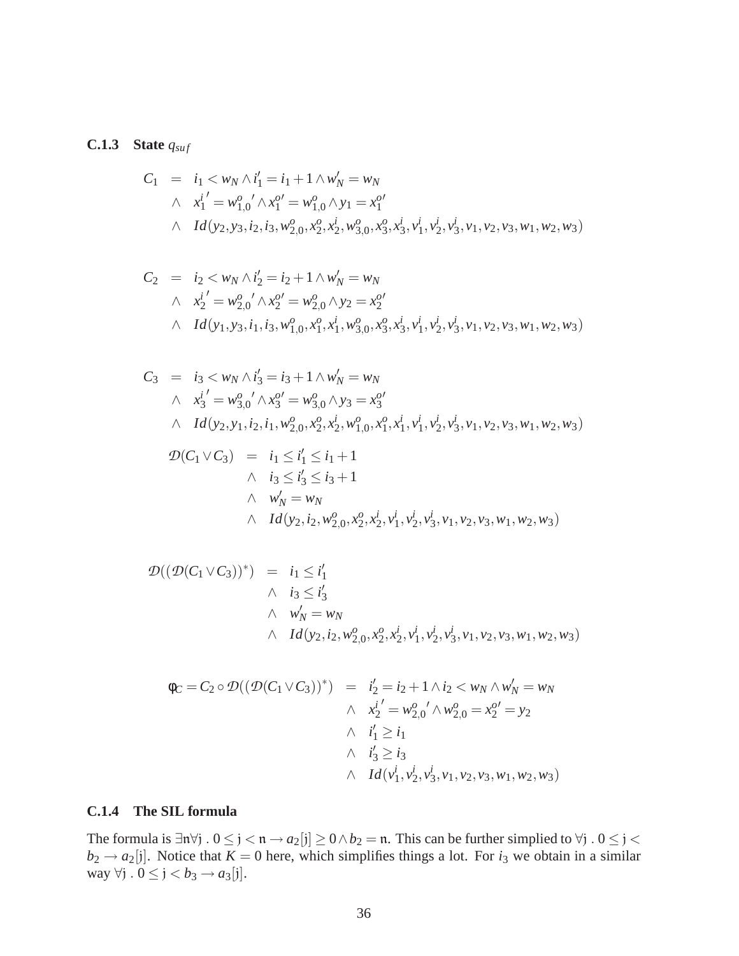### **C.1.3** State  $q_{\text{surf}}$

$$
C_1 = i_1 < w_N \wedge i_1' = i_1 + 1 \wedge w_N' = w_N
$$
  
\n
$$
\wedge i_1' = w_{1,0}^o \wedge x_1^{o'} = w_{1,0}^o \wedge y_1 = x_1^{o'}
$$
  
\n
$$
\wedge Id(y_2, y_3, i_2, i_3, w_{2,0}^o, x_2^o, x_2^i, w_{3,0}^o, x_3^o, x_3^i, v_1^i, v_2^i, v_3^i, v_1, v_2, v_3, w_1, w_2, w_3)
$$

$$
C_2 = i_2 < w_N \wedge i'_2 = i_2 + 1 \wedge w'_N = w_N
$$
  
\n
$$
\wedge i'_2 = w_{2,0}^o / \wedge x_2^{o'} = w_{2,0}^o \wedge y_2 = x_2^{o'}
$$
  
\n
$$
\wedge Id(y_1, y_3, i_1, i_3, w_{1,0}^o, x_1^o, x_1^i, w_{3,0}^o, x_3^o, x_3^i, v_1^i, v_2^i, v_3^i, v_1, v_2, v_3, w_1, w_2, w_3)
$$

$$
C_3 = i_3 < w_N \wedge i'_3 = i_3 + 1 \wedge w'_N = w_N
$$
  
\n
$$
\wedge i'_3' = w_{3,0}^o / \wedge x_3^{o'} = w_{3,0}^o \wedge y_3 = x_3^{o'}
$$
  
\n
$$
\wedge Id(y_2, y_1, i_2, i_1, w_{2,0}^o, x_2^o, x_2^i, w_{1,0}^o, x_1^o, x_1^i, v_1^i, v_2^i, v_3^i, v_1, v_2, v_3, w_1, w_2, w_3)
$$
  
\n
$$
\mathcal{D}(C_1 \vee C_3) = i_1 \leq i'_1 \leq i_1 + 1
$$
  
\n
$$
\wedge i_3 \leq i'_3 \leq i_3 + 1
$$
  
\n
$$
\wedge w'_N = w_N
$$
  
\n
$$
\wedge Id(y_2, i_2, w_{2,0}^o, x_2^o, x_2^i, v_1^i, v_2^i, v_3^i, v_1, v_2, v_3, w_1, w_2, w_3)
$$

$$
\mathcal{D}((\mathcal{D}(C_1 \vee C_3))^*) = i_1 \leq i'_1 \n\wedge i_3 \leq i'_3 \n\wedge w'_N = w_N \n\wedge Id(y_2, i_2, w^o_{2,0}, x^o_2, x^i_2, v^i_1, v^i_2, v^i_3, v_1, v_2, v_3, w_1, w_2, w_3)
$$

$$
\begin{array}{rcl}\n\phi_C = C_2 \circ \mathcal{D}((\mathcal{D}(C_1 \vee C_3))^*) & = & i_2' = i_2 + 1 \wedge i_2 < w_N \wedge w_N' = w_N \\
& \wedge \quad x_2^{i'} = w_{2,0}^o \wedge w_{2,0}^o = x_2^{o'} = y_2 \\
& \wedge \quad i_1' \ge i_1 \\
& \wedge \quad i_3' \ge i_3 \\
& \wedge \quad Id(v_1^i, v_2^i, v_3^i, v_1, v_2, v_3, w_1, w_2, w_3)\n\end{array}
$$

#### **C.1.4 The SIL formula**

The formula is  $\exists n \forall j$  .  $0 \le j < n \rightarrow a_2[j] \ge 0 \land b_2 = n$ . This can be further simplied to  $\forall j$  .  $0 \le j < n$  $b_2 \rightarrow a_2[j]$ . Notice that  $K = 0$  here, which simplifies things a lot. For  $i_3$  we obtain in a similar way  $\forall j \, . \, 0 \leq j < b_3 \rightarrow a_3[j].$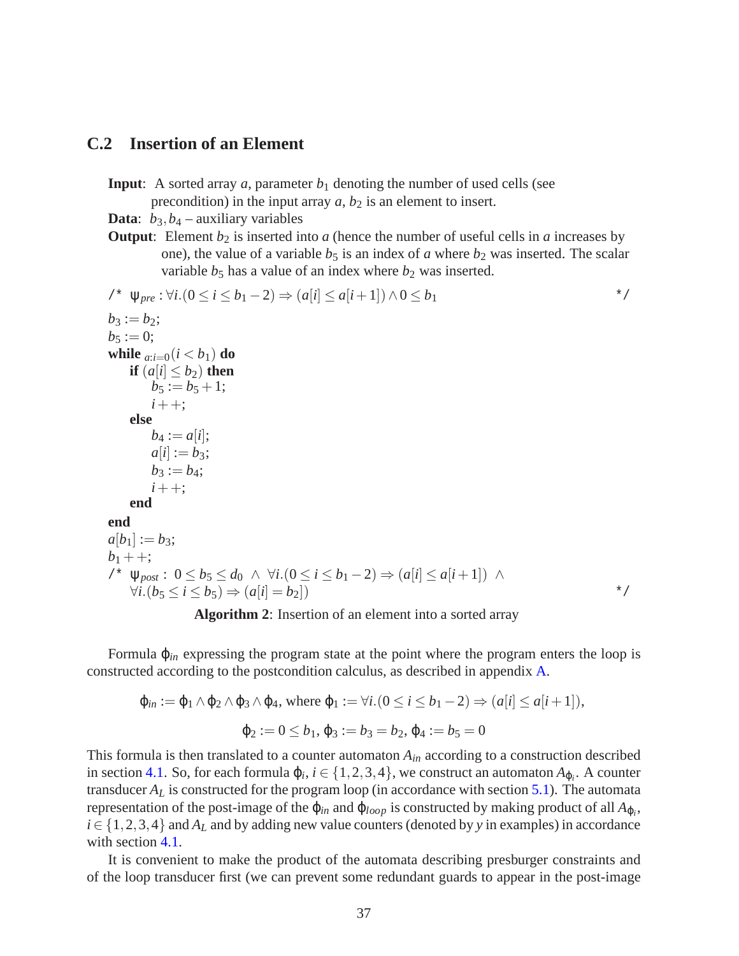#### <span id="page-38-0"></span>**C.2 Insertion of an Element**

**Input**: A sorted array  $a$ , parameter  $b_1$  denoting the number of used cells (see

precondition) in the input array  $a$ ,  $b_2$  is an element to insert.

**Data**:  $b_3$ ,  $b_4$  – auxiliary variables

**Output**: Element  $b_2$  is inserted into *a* (hence the number of useful cells in *a* increases by one), the value of a variable  $b_5$  is an index of *a* where  $b_2$  was inserted. The scalar variable  $b_5$  has a value of an index where  $b_2$  was inserted.

$$
\begin{array}{ll}\n\text{/* } & \forall_{pre} : \forall i. (0 \leq i \leq b_1 - 2) \Rightarrow (a[i] \leq a[i+1]) \land 0 \leq b_1 \\
b_3 := b_2; \\
b_5 := 0; \\
\text{while } a:i = 0 (i < b_1) \text{ do} \\
& \text{if } (a[i] \leq b_2) \text{ then} \\
& b_5 := b_5 + 1; \\
& i + +; \\
\text{else} \\
& b_4 := a[i]; \\
& a[i] := b_3; \\
& b_3 := b_4; \\
& i + +; \\
\text{end} \\
a[b_1] := b_3; \\
b_1 + +; \\
\text{end} \\
a[b_2] := b_3; \\
b_3 + +; \\
\text{end} \\
a[b_3] := b_4; \\
b_4 + +; \\
\text{end} \\
a[b_5] := b_5 \Rightarrow (a[i] \leq b_1 - 2) \Rightarrow (a[i] \leq a[i+1]) \land \\
\forall i. (b_5 \leq i \leq b_5) \Rightarrow (a[i] = b_2]) \\
& \text{if } (b_5 \leq i \leq b_5) \Rightarrow (a[i] = b_2] \Rightarrow \\
& \text{if } (b_5 \leq b_5) \Rightarrow (a[i] = b_2] \Rightarrow \\
& \text{if } (b_5 \leq b_5) \Rightarrow (a[i] = b_2] \Rightarrow \\
& \text{if } (b_5 \leq b_5) \Rightarrow (a[i] = b_2] \Rightarrow \\
& \text{if } (b_5 \leq b_5) \Rightarrow (b_5 \leq b_5) \Rightarrow \\
& \text{if } (b_5 \leq b_5) \Rightarrow (b_5 \leq b_5) \Rightarrow \\
& \text{if } (b_5 \leq b_5) \Rightarrow (b_5 \leq b_5) \Rightarrow \\
& \text{if } (b_5 \leq b_5) \Rightarrow (b_5 \leq b_5) \Rightarrow \\
& \text{if } (b_5 \leq b_5) \Rightarrow (b_5 \leq b_5) \Rightarrow \\
& \text{if } (b_5 \leq b_5) \Rightarrow (b_5 \leq b_5) \Rightarrow \\
& \text{if } (b_5 \leq b_5) \Rightarrow (b_5 \leq b_5) \Rightarrow \\
& \text{if } (b_5 \leq b_5) \Rightarrow (b_5 \leq b_5) \Rightarrow \\
& \text{if
$$

**Algorithm 2**: Insertion of an element into a sorted array

Formula ϕ*in* expressing the program state at the point where the program enters the loop is constructed according to the postcondition calculus, as described in appendix [A.](#page-29-0)

$$
\varphi_{in} := \varphi_1 \wedge \varphi_2 \wedge \varphi_3 \wedge \varphi_4, \text{ where } \varphi_1 := \forall i. (0 \le i \le b_1 - 2) \Rightarrow (a[i] \le a[i+1]),
$$

$$
\varphi_2 := 0 \le b_1, \varphi_3 := b_3 = b_2, \varphi_4 := b_5 = 0
$$

This formula is then translated to a counter automaton *Ain* according to a construction described in section [4.1.](#page-13-2) So, for each formula  $\varphi_i$ ,  $i \in \{1, 2, 3, 4\}$ , we construct an automaton  $A_{\varphi_i}$ . A counter transducer  $A_L$  is constructed for the program loop (in accordance with section [5.1\)](#page-21-0). The automata representation of the post-image of the  $\varphi$ <sub>*in*</sub> and  $\varphi$ <sub>*loop*</sub> is constructed by making product of all  $A_{\varphi_i}$ ,  $i \in \{1,2,3,4\}$  and  $A_L$  and by adding new value counters (denoted by *y* in examples) in accordance with section [4.1.](#page-13-2)

It is convenient to make the product of the automata describing presburger constraints and of the loop transducer first (we can prevent some redundant guards to appear in the post-image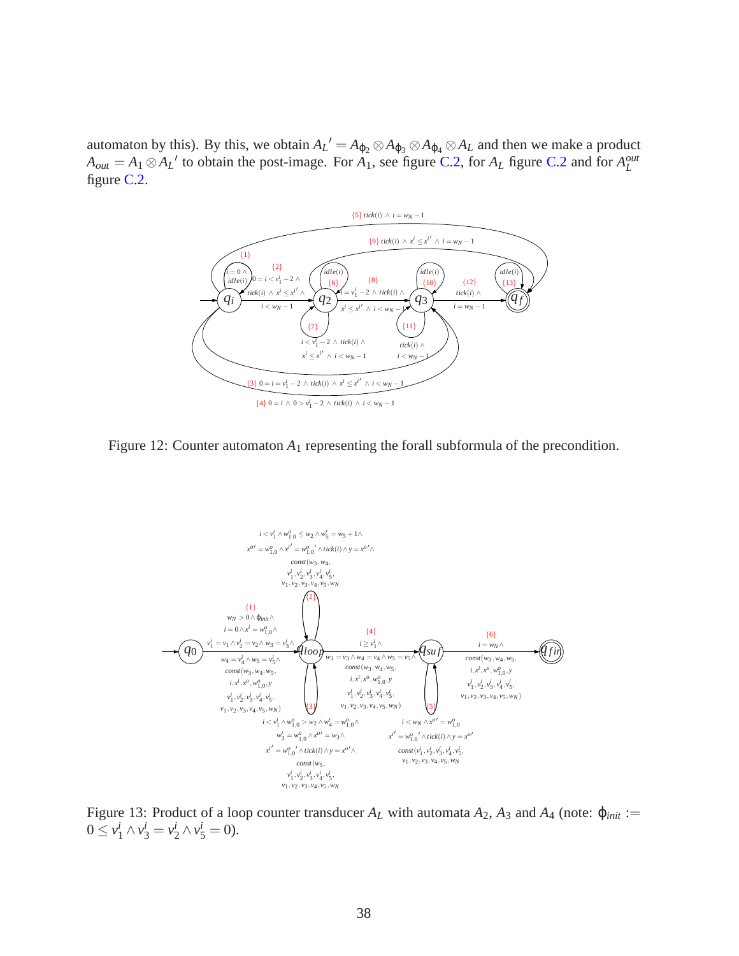automaton by this). By this, we obtain  $A_L' = A_{\phi_2} \otimes A_{\phi_3} \otimes A_{\phi_4} \otimes A_L$  and then we make a product  $A_{out} = A_1 \otimes A_L'$  to obtain the post-image. For  $A_1$ , see figure [C.2,](#page-38-0) for  $A_L$  figure [C.2](#page-39-0) and for  $A_L^{out}$ figure [C.2.](#page-39-1)



<span id="page-39-0"></span>Figure 12: Counter automaton  $A_1$  representing the forall subformula of the precondition.



<span id="page-39-1"></span>Figure 13: Product of a loop counter transducer  $A_L$  with automata  $A_2$ ,  $A_3$  and  $A_4$  (note:  $\varphi_{init}$ :=  $0 \le v_1^i \wedge v_3^i = v_2^i \wedge v_5^i = 0$ .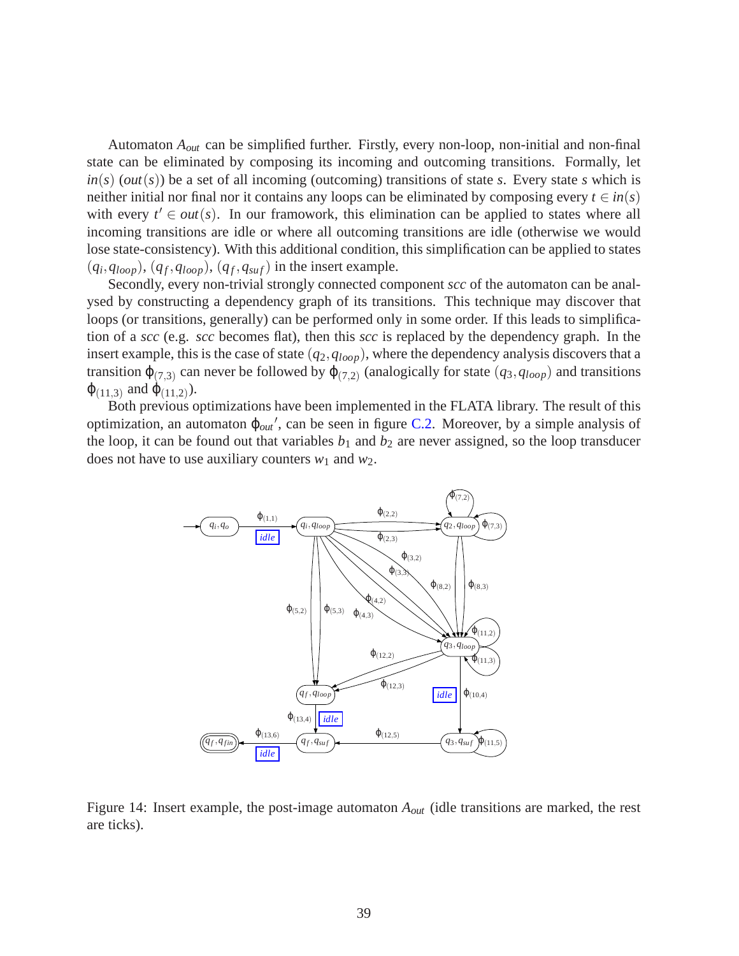Automaton *Aout* can be simplified further. Firstly, every non-loop, non-initial and non-final state can be eliminated by composing its incoming and outcoming transitions. Formally, let  $in(s)$  (*out*(*s*)) be a set of all incoming (outcoming) transitions of state *s*. Every state *s* which is neither initial nor final nor it contains any loops can be eliminated by composing every  $t \in in(s)$ with every  $t' \in out(s)$ . In our framowork, this elimination can be applied to states where all incoming transitions are idle or where all outcoming transitions are idle (otherwise we would lose state-consistency). With this additional condition, this simplification can be applied to states  $(q_i, q_{loop}), (q_f, q_{loop}), (q_f, q_{suf})$  in the insert example.

Secondly, every non-trivial strongly connected component *scc* of the automaton can be analysed by constructing a dependency graph of its transitions. This technique may discover that loops (or transitions, generally) can be performed only in some order. If this leads to simplification of a *scc* (e.g. *scc* becomes flat), then this *scc* is replaced by the dependency graph. In the insert example, this is the case of state  $(q_2, q_{loop})$ , where the dependency analysis discovers that a transition  $\varphi_{(7,3)}$  can never be followed by  $\varphi_{(7,2)}$  (analogically for state  $(q_3, q_{loop})$ ) and transitions  $\varphi_{(11,3)}$  and  $\varphi_{(11,2)}$ ).

Both previous optimizations have been implemented in the FLATA library. The result of this optimization, an automaton ϕ*out* ′ , can be seen in figure [C.2.](#page-40-0) Moreover, by a simple analysis of the loop, it can be found out that variables  $b_1$  and  $b_2$  are never assigned, so the loop transducer does not have to use auxiliary counters *w*<sup>1</sup> and *w*2.



<span id="page-40-0"></span>Figure 14: Insert example, the post-image automaton *Aout* (idle transitions are marked, the rest are ticks).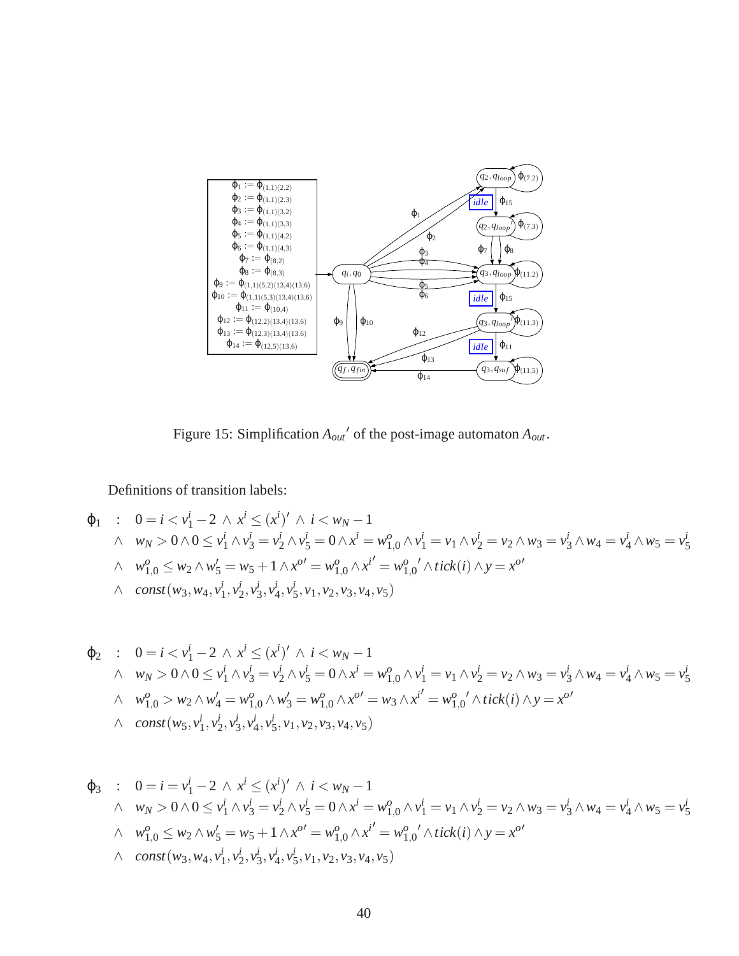

Figure 15: Simplification *Aout* ′ of the post-image automaton *Aout*.

Definitions of transition labels:

$$
\varphi_1 : 0 = i < v_1^i - 2 \land x^i \le (x^i)' \land i < w_N - 1
$$
\n
$$
\land \quad w_N > 0 \land 0 \le v_1^i \land v_3^i = v_2^i \land v_5^i = 0 \land x^i = w_{1,0}^o \land v_1^i = v_1 \land v_2^i = v_2 \land w_3 = v_3^i \land w_4 = v_4^i \land w_5 = v_5^i
$$
\n
$$
\land \quad w_{1,0}^o \le w_2 \land w_5^i = w_5 + 1 \land x^{o'} = w_{1,0}^o \land x^{i'} = w_{1,0}^o \land \text{tick}(i) \land y = x^{o'}
$$
\n
$$
\land \quad \text{const}(w_3, w_4, v_1^i, v_2^i, v_3^i, v_4^i, v_5^i, v_1, v_2, v_3, v_4, v_5)
$$

$$
\varphi_2 : 0 = i < v_1^i - 2 \land x^i \le (x^i)' \land i < w_N - 1
$$
\n
$$
\land \quad w_N > 0 \land 0 \le v_1^i \land v_3^i = v_2^i \land v_5^i = 0 \land x^i = w_{1,0}^o \land v_1^i = v_1 \land v_2^i = v_2 \land w_3 = v_3^i \land w_4 = v_4^i \land w_5 = v_5^i
$$
\n
$$
\land \quad w_{1,0}^o > w_2 \land w_4' = w_{1,0}^o \land w_3' = w_{1,0}^o \land x^{o'} = w_3 \land x^{i'} = w_{1,0}^o \land tick(i) \land y = x^{o'}
$$
\n
$$
\land \quad const(w_5, v_1^i, v_2^i, v_3^i, v_4^i, v_5^i, v_1, v_2, v_3, v_4, v_5)
$$

$$
\varphi_3 : 0 = i = v_1^i - 2 \wedge x^i \le (x^i)' \wedge i < w_N - 1
$$
\n
$$
\wedge w_N > 0 \wedge 0 \le v_1^i \wedge v_3^i = v_2^i \wedge v_5^i = 0 \wedge x^i = w_{1,0}^o \wedge v_1^i = v_1 \wedge v_2^i = v_2 \wedge w_3 = v_3^i \wedge w_4 = v_4^i \wedge w_5 = v_5^i
$$
\n
$$
\wedge w_{1,0}^o \le w_2 \wedge w_5' = w_5 + 1 \wedge x^{o'} = w_{1,0}^o \wedge x^{i'} = w_{1,0}^o \wedge tick(i) \wedge y = x^{o'}
$$
\n
$$
\wedge const(w_3, w_4, v_1^i, v_2^i, v_3^i, v_4^i, v_5^i, v_1, v_2, v_3, v_4, v_5)
$$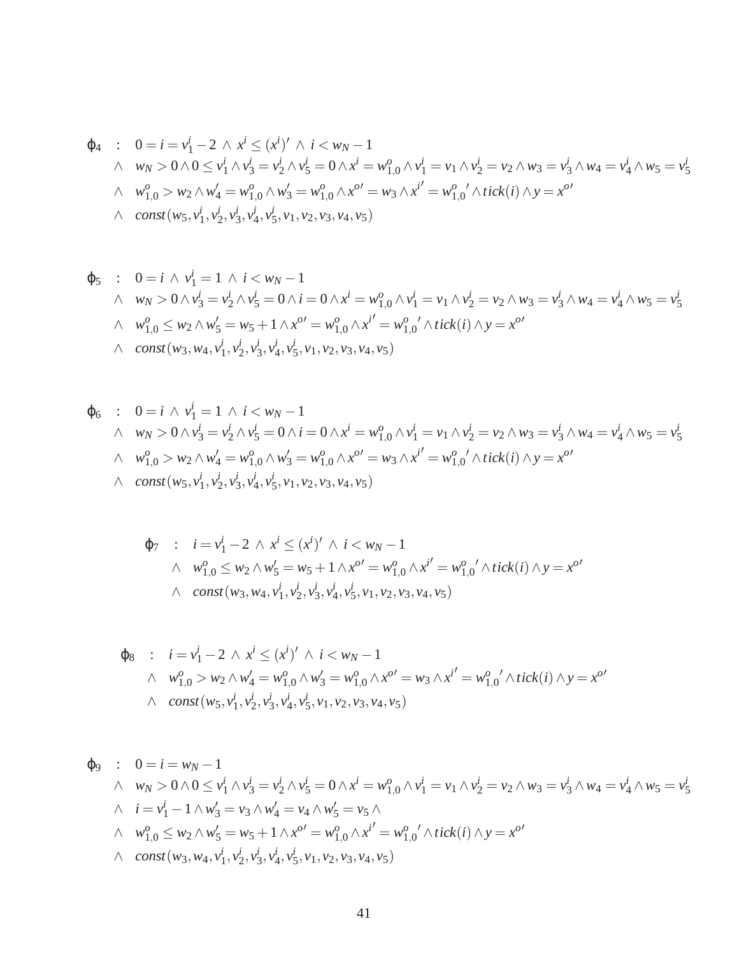$$
\varphi_4 : 0 = i = v_1^i - 2 \wedge x^i \le (x^i)' \wedge i < w_N - 1
$$
\n
$$
\wedge \quad w_N > 0 \wedge 0 \le v_1^i \wedge v_3^i = v_2^i \wedge v_5^i = 0 \wedge x^i = w_{1,0}^o \wedge v_1^i = v_1 \wedge v_2^i = v_2 \wedge w_3 = v_3^i \wedge w_4 = v_4^i \wedge w_5 = v_5^i
$$
\n
$$
\wedge \quad w_{1,0}^o > w_2 \wedge w_4' = w_{1,0}^o \wedge w_3' = w_{1,0}^o \wedge x^{o'} = w_3 \wedge x^{i'} = w_{1,0}^o' \wedge tick(i) \wedge y = x^{o'}
$$
\n
$$
\wedge \quad const(w_5, v_1^i, v_2^i, v_3^i, v_4^i, v_5^i, v_1, v_2, v_3, v_4, v_5)
$$

$$
\varphi_5 : 0 = i \wedge v_1^i = 1 \wedge i < w_N - 1
$$
\n
$$
\wedge w_N > 0 \wedge v_3^i = v_2^i \wedge v_5^i = 0 \wedge i = 0 \wedge x^i = w_{1,0}^o \wedge v_1^i = v_1 \wedge v_2^i = v_2 \wedge w_3 = v_3^i \wedge w_4 = v_4^i \wedge w_5 = v_5^i
$$
\n
$$
\wedge w_{1,0}^o \leq w_2 \wedge w_5' = w_5 + 1 \wedge x^{o'} = w_{1,0}^o \wedge x^{i'} = w_{1,0}^o \wedge tick(i) \wedge y = x^{o'}
$$
\n
$$
\wedge \text{const}(w_3, w_4, v_1^i, v_2^i, v_3^i, v_4^i, v_5^i, v_1, v_2, v_3, v_4, v_5)
$$

$$
\varphi_6 : 0 = i \wedge v_1^i = 1 \wedge i < w_N - 1
$$
\n
$$
\wedge w_N > 0 \wedge v_3^i = v_2^i \wedge v_5^i = 0 \wedge i = 0 \wedge x^i = w_{1,0}^o \wedge v_1^i = v_1 \wedge v_2^i = v_2 \wedge w_3 = v_3^i \wedge w_4 = v_4^i \wedge w_5 = v_5^i
$$
\n
$$
\wedge w_{1,0}^o > w_2 \wedge w_4' = w_{1,0}^o \wedge w_3' = w_{1,0}^o \wedge x^{o} = w_3 \wedge x^{i'} = w_{1,0}^o \wedge tick(i) \wedge y = x^{o'}
$$
\n
$$
\wedge const(w_5, v_1^i, v_2^i, v_3^i, v_4^i, v_5^i, v_1, v_2, v_3, v_4, v_5)
$$

$$
\varphi_7 : i = v_1^i - 2 \wedge x^i \le (x^i)' \wedge i < w_N - 1
$$
\n
$$
\wedge w_{1,0}^o \le w_2 \wedge w_5' = w_5 + 1 \wedge x^{o'} = w_{1,0}^o \wedge x^{i'} = w_{1,0}^o \wedge tick(i) \wedge y = x^{o'}
$$
\n
$$
\wedge \text{const}(w_3, w_4, v_1^i, v_2^i, v_3^i, v_4^i, v_5^i, v_1, v_2, v_3, v_4, v_5)
$$

$$
\varphi_8 : i = v_1^i - 2 \wedge x^i \le (x^i)' \wedge i < w_N - 1
$$
\n
$$
\wedge w_{1,0}^o > w_2 \wedge w_4' = w_{1,0}^o \wedge w_3' = w_{1,0}^o \wedge x^{o'} = w_3 \wedge x^{i'} = w_{1,0}^o \wedge tick(i) \wedge y = x^{o'}
$$
\n
$$
\wedge const(w_5, v_1^i, v_2^i, v_3^i, v_4^i, v_5^i, v_1, v_2, v_3, v_4, v_5)
$$

$$
\varphi_9 : 0 = i = w_N - 1
$$
\n
$$
\wedge \quad w_N > 0 \wedge 0 \le v_1^i \wedge v_3^i = v_2^i \wedge v_5^i = 0 \wedge x^i = w_{1,0}^o \wedge v_1^i = v_1 \wedge v_2^i = v_2 \wedge w_3 = v_3^i \wedge w_4 = v_4^i \wedge w_5 = v_5^i
$$
\n
$$
\wedge \quad i = v_1^i - 1 \wedge w_3^i = v_3 \wedge w_4^i = v_4 \wedge w_5^i = v_5 \wedge
$$
\n
$$
\wedge \quad w_{1,0}^o \le w_2 \wedge w_5^i = w_5 + 1 \wedge x^{o'} = w_{1,0}^o \wedge x^{i'} = w_{1,0}^o \wedge tick(i) \wedge y = x^{o'}
$$
\n
$$
\wedge \quad const(w_3, w_4, v_1^i, v_2^i, v_3^i, v_4^i, v_5^i, v_1, v_2, v_3, v_4, v_5)
$$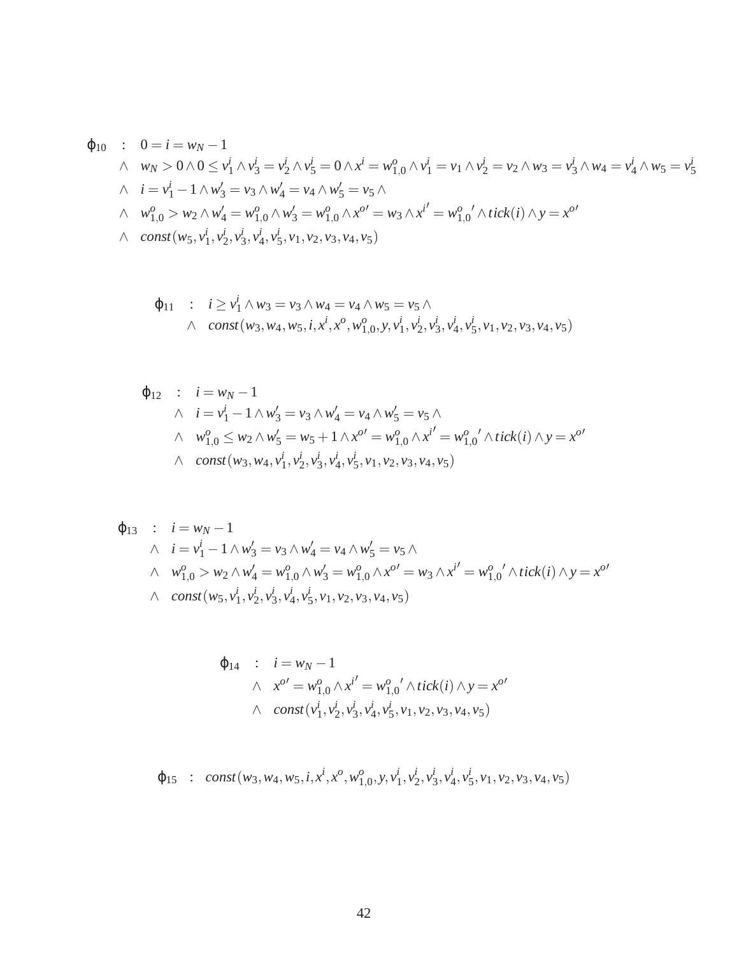$$
\varphi_{10} : 0 = i = w_N - 1
$$
\n
$$
\wedge \quad w_N > 0 \wedge 0 \le v_1^i \wedge v_3^i = v_2^i \wedge v_5^i = 0 \wedge x^i = w_{1,0}^o \wedge v_1^i = v_1 \wedge v_2^i = v_2 \wedge w_3 = v_3^i \wedge w_4 = v_4^i \wedge w_5 = v_5^i
$$
\n
$$
\wedge \quad i = v_1^i - 1 \wedge w_3^i = v_3 \wedge w_4^i = v_4 \wedge w_5^i = v_5 \wedge
$$
\n
$$
\wedge \quad w_{1,0}^o > w_2 \wedge w_4^i = w_{1,0}^o \wedge w_3^i = w_{1,0}^o \wedge x^{o'} = w_3 \wedge x^{i'} = w_{1,0}^o \wedge tick(i) \wedge y = x^{o'}
$$
\n
$$
\wedge \quad const(w_5, v_1^i, v_2^i, v_3^i, v_4^i, v_5^i, v_1, v_2, v_3, v_4, v_5)
$$

$$
\varphi_{11} : i \geq v_1^i \wedge w_3 = v_3 \wedge w_4 = v_4 \wedge w_5 = v_5 \wedge \wedge const(w_3, w_4, w_5, i, x^i, x^o, w_{1,0}^o, y, v_1^i, v_2^i, v_3^i, v_4^i, v_5^i, v_1, v_2, v_3, v_4, v_5)
$$

$$
\varphi_{12} : i = w_N - 1
$$
  
\n
$$
\wedge i = v_1^i - 1 \wedge w_3' = v_3 \wedge w_4' = v_4 \wedge w_5' = v_5 \wedge
$$
  
\n
$$
\wedge w_{1,0}^o \le w_2 \wedge w_5' = w_5 + 1 \wedge x^{o'} = w_{1,0}^o \wedge x^{i'} = w_{1,0}^o \wedge tick(i) \wedge y = x^{o'}
$$
  
\n
$$
\wedge const(w_3, w_4, v_1^i, v_2^i, v_3^i, v_4^i, v_5^i, v_1, v_2, v_3, v_4, v_5)
$$

$$
\varphi_{13} : i = w_N - 1
$$
\n
$$
\wedge i = v_1^i - 1 \wedge w_3' = v_3 \wedge w_4' = v_4 \wedge w_5' = v_5 \wedge
$$
\n
$$
\wedge w_{1,0}^o > w_2 \wedge w_4' = w_{1,0}^o \wedge w_3' = w_{1,0}^o \wedge x^{o'} = w_3 \wedge x^{i'} = w_{1,0}^o \wedge tick(i) \wedge y = x^{o'}
$$
\n
$$
\wedge const(w_5, v_1^i, v_2^i, v_3^i, v_4^i, v_5^i, v_1, v_2, v_3, v_4, v_5)
$$

$$
\varphi_{14} : i = w_N - 1
$$
  
\n
$$
\wedge x^{o'} = w_{1,0}^o \wedge x^{i'} = w_{1,0}^o \wedge tick(i) \wedge y = x^{o'}
$$
  
\n
$$
\wedge const(v_1^i, v_2^i, v_3^i, v_4^i, v_5^i, v_1, v_2, v_3, v_4, v_5)
$$

 $\varphi_{15}$  : *const*(*w*<sub>3</sub>, *w*<sub>4</sub>, *w*<sub>5</sub>, *i*, *x*<sup>*i*</sup>, *x*<sup>*o*</sup>, *w*<sub>1</sub><sup>*o*</sup>  $_{1,0}^{0}$ , y,  $v_{1}^{i}$  $i_1^i, v_2^i$  $i_2^i, v^i_3$  $i_3^i, v_\lambda^i$  $i_4, v_5^i$  $\frac{i}{5}, v_1, v_2, v_3, v_4, v_5$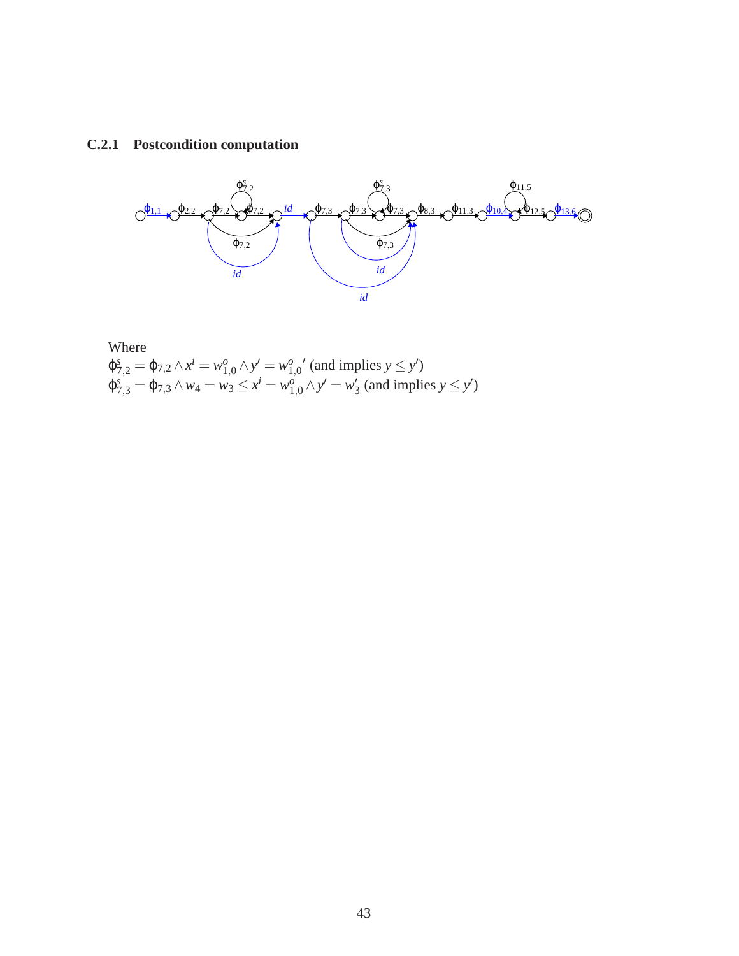#### **C.2.1 Postcondition computation**



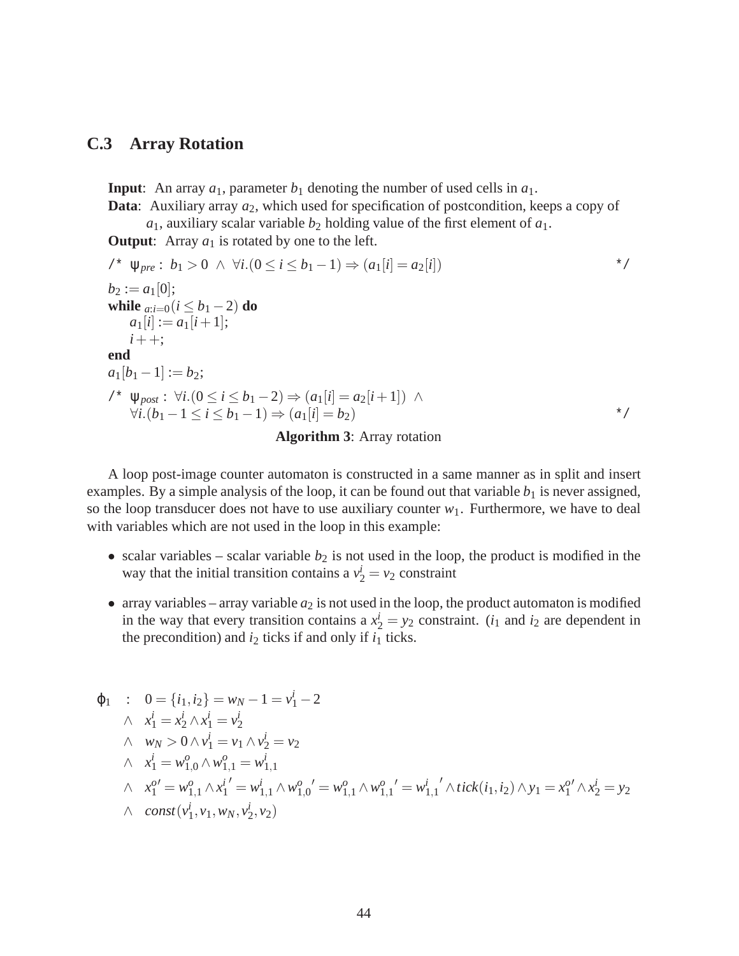#### **C.3 Array Rotation**

**Input**: An array  $a_1$ , parameter  $b_1$  denoting the number of used cells in  $a_1$ .

**Data:** Auxiliary array  $a_2$ , which used for specification of postcondition, keeps a copy of  $a_1$ , auxiliary scalar variable  $b_2$  holding value of the first element of  $a_1$ .

**Output:** Array  $a_1$  is rotated by one to the left.

$$
\begin{array}{ll}\n\text{/* } & \psi_{pre}: b_1 > 0 \ \land \ \forall i. (0 \leq i \leq b_1 - 1) \Rightarrow (a_1[i] = a_2[i]) \\
& b_2 := a_1[0]; \\
\text{while } & a_{i=0} (i \leq b_1 - 2) \text{ do} \\
& a_1[i] := a_1[i+1]; \\
& i++; \\
\text{end} \\
\text{and} \\
\text{/* } & \psi_{post}: \ \forall i. (0 \leq i \leq b_1 - 2) \Rightarrow (a_1[i] = a_2[i+1]) \ \land \\
& \forall i. (b_1 - 1 \leq i \leq b_1 - 1) \Rightarrow (a_1[i] = b_2) \\
& \text{Algorithm 3: Array rotation}\n\end{array}
$$

A loop post-image counter automaton is constructed in a same manner as in split and insert examples. By a simple analysis of the loop, it can be found out that variable  $b_1$  is never assigned, so the loop transducer does not have to use auxiliary counter  $w_1$ . Furthermore, we have to deal with variables which are not used in the loop in this example:

- scalar variables scalar variable  $b_2$  is not used in the loop, the product is modified in the way that the initial transition contains a  $v_2^i = v_2$  constraint
- array variables array variable  $a_2$  is not used in the loop, the product automaton is modified in the way that every transition contains a  $x_2^i = y_2$  constraint. (*i*<sub>1</sub> and *i*<sub>2</sub> are dependent in the precondition) and  $i_2$  ticks if and only if  $i_1$  ticks.

$$
\varphi_1 : 0 = \{i_1, i_2\} = w_N - 1 = v_1^i - 2
$$
\n
$$
\begin{aligned}\n\wedge \quad x_1^i &= x_2^i \wedge x_1^i = v_2^i \\
\wedge \quad w_N &> 0 \wedge v_1^i = v_1 \wedge v_2^i = v_2 \\
\wedge \quad x_1^i &= w_{1,0}^o \wedge w_{1,1}^o = w_{1,1}^i \\
\wedge \quad x_1^{o'} &= w_{1,1}^o \wedge x_1^{i'} = w_{1,1}^i \wedge w_{1,0}^o = w_{1,1}^o \wedge w_{1,1}^o = w_{1,1}^i \wedge tick(i_1, i_2) \wedge y_1 = x_1^{o'} \wedge x_2^i = y_2 \\
\wedge \quad const(v_1^i, v_1, w_N, v_2^i, v_2)\n\end{aligned}
$$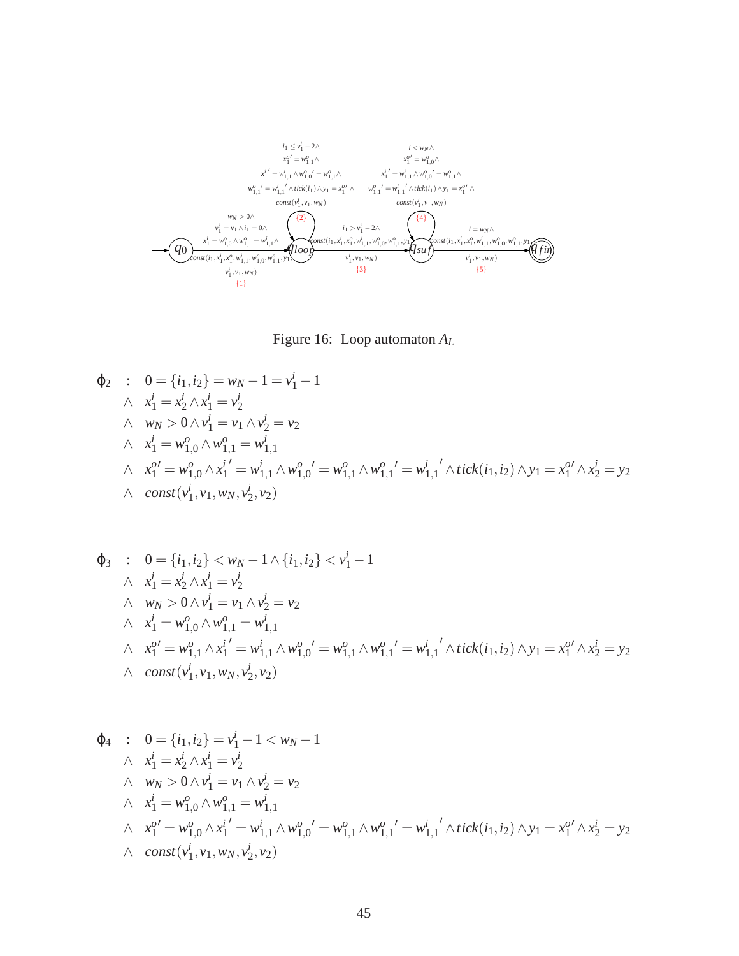

Figure 16: Loop automaton *A<sup>L</sup>*

$$
\varphi_2 : 0 = \{i_1, i_2\} = w_N - 1 = v_1^i - 1
$$
\n
$$
\wedge \quad x_1^i = x_2^i \wedge x_1^i = v_2^i
$$
\n
$$
\wedge \quad w_N > 0 \wedge v_1^i = v_1 \wedge v_2^i = v_2
$$
\n
$$
\wedge \quad x_1^i = w_{1,0}^o \wedge w_{1,1}^o = w_{1,1}^i
$$
\n
$$
\wedge \quad x_1^{o'} = w_{1,0}^o \wedge x_1^{i'} = w_{1,1}^i \wedge w_{1,0}^o = w_{1,1}^o \wedge w_{1,1}^o = w_{1,1}^i \wedge tick(i_1, i_2) \wedge y_1 = x_1^{o'} \wedge x_2^i = y_2
$$
\n
$$
\wedge \quad const(v_1^i, v_1, w_N, v_2^i, v_2)
$$

$$
\varphi_3 : 0 = \{i_1, i_2\} < w_N - 1 \land \{i_1, i_2\} < v_1^i - 1
$$
\n
$$
\land \quad x_1^i = x_2^i \land x_1^i = v_2^i
$$
\n
$$
\land \quad w_N > 0 \land v_1^i = v_1 \land v_2^i = v_2
$$
\n
$$
\land \quad x_1^i = w_{1,0}^o \land w_{1,1}^o = w_{1,1}^i
$$
\n
$$
\land \quad x_1^{o'} = w_{1,1}^o \land x_1^{i'} = w_{1,1}^i \land w_{1,0}^o = w_{1,1}^o \land w_{1,1}^o = w_{1,1}^i \land tick(i_1, i_2) \land y_1 = x_1^{o'} \land x_2^i = y_2
$$
\n
$$
\land \quad const(v_1^i, v_1, w_N, v_2^i, v_2)
$$

$$
\varphi_4 : 0 = \{i_1, i_2\} = v_1^i - 1 < w_N - 1
$$
\n
$$
\wedge \quad x_1^i = x_2^i \wedge x_1^i = v_2^i
$$
\n
$$
\wedge \quad w_N > 0 \wedge v_1^i = v_1 \wedge v_2^i = v_2
$$
\n
$$
\wedge \quad x_1^i = w_{1,0}^o \wedge w_{1,1}^o = w_{1,1}^i
$$
\n
$$
\wedge \quad x_1^{o'} = w_{1,0}^o \wedge x_1^{i'} = w_{1,1}^i \wedge w_{1,0}^o' = w_{1,1}^o \wedge w_{1,1}^o' = w_{1,1}^i \wedge tick(i_1, i_2) \wedge y_1 = x_1^{o'} \wedge x_2^i = y_2
$$
\n
$$
\wedge \quad const(v_1^i, v_1, w_N, v_2^i, v_2)
$$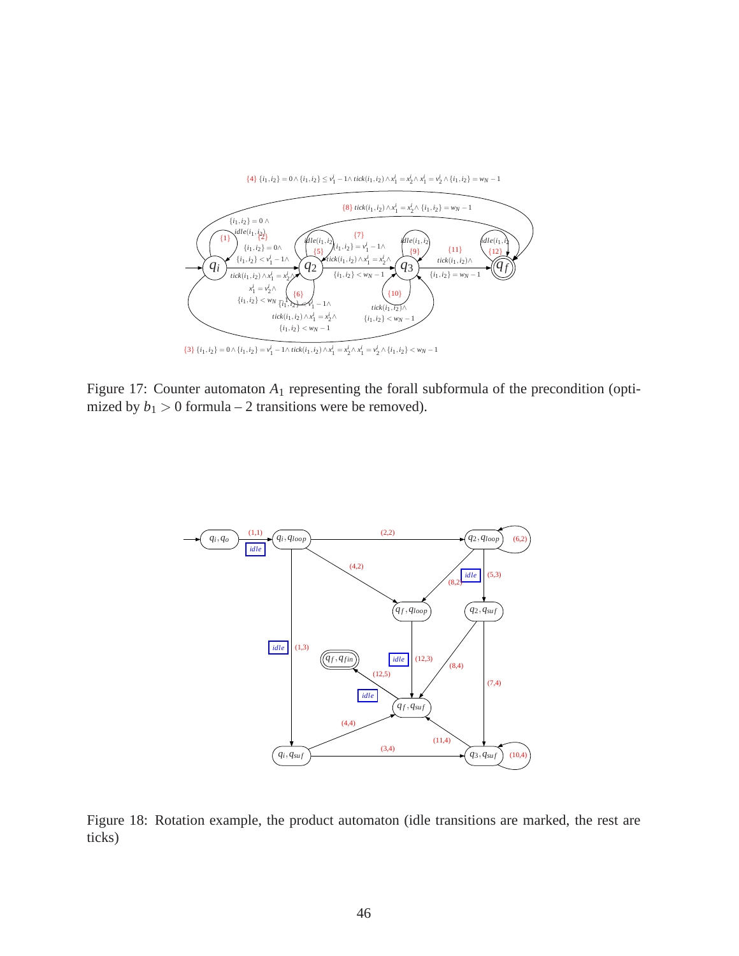

Figure 17: Counter automaton  $A_1$  representing the forall subformula of the precondition (optimized by  $b_1 > 0$  formula – 2 transitions were be removed).



Figure 18: Rotation example, the product automaton (idle transitions are marked, the rest are ticks)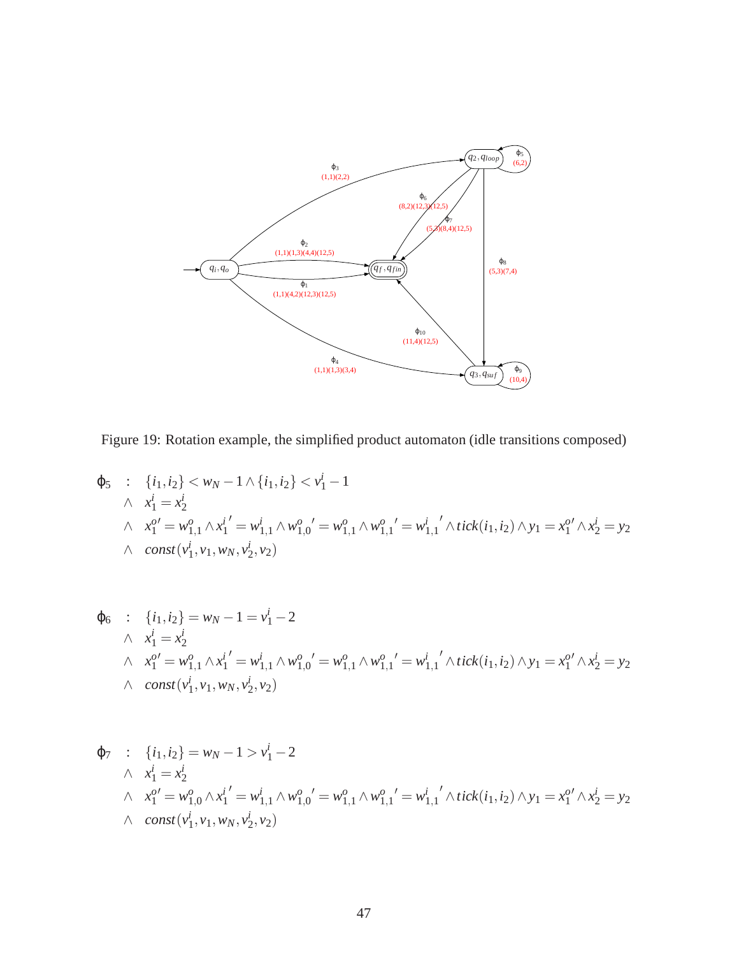

Figure 19: Rotation example, the simplified product automaton (idle transitions composed)

$$
\varphi_5 : \{i_1, i_2\} < w_N - 1 \land \{i_1, i_2\} < v_1^i - 1
$$
\n
$$
\land \quad x_1^i = x_2^i
$$
\n
$$
\land \quad x_1^{o'} = w_{1,1}^o \land x_1^{i'} = w_{1,1}^i \land w_{1,0}^{o'} = w_{1,1}^o \land w_{1,1}^{o'} = w_{1,1}^i \land tick(i_1, i_2) \land y_1 = x_1^{o'} \land x_2^i = y_2
$$
\n
$$
\land \quad const(v_1^i, v_1, w_N, v_2^i, v_2)
$$

$$
\varphi_6 : \{i_1, i_2\} = w_N - 1 = v_1^i - 2
$$
\n
$$
\wedge \ x_1^i = x_2^i
$$
\n
$$
\wedge \ x_1^{o'} = w_{1,1}^o \wedge x_1^{i'} = w_{1,1}^i \wedge w_{1,0}^{o'} = w_{1,1}^o \wedge w_{1,1}^{o'} = w_{1,1}^i \wedge tick(i_1, i_2) \wedge y_1 = x_1^{o'} \wedge x_2^i = y_2
$$
\n
$$
\wedge \ const(v_1^i, v_1, w_N, v_2^i, v_2)
$$

$$
\varphi_7 : \{i_1, i_2\} = w_N - 1 > v_1^i - 2
$$
\n
$$
\wedge x_1^i = x_2^i
$$
\n
$$
\wedge x_1^{o'} = w_{1,0}^o \wedge x_1^{i'} = w_{1,1}^i \wedge w_{1,0}^o = w_{1,1}^o \wedge w_{1,1}^{o'} = w_{1,1}^i \wedge tick(i_1, i_2) \wedge y_1 = x_1^{o'} \wedge x_2^i = y_2
$$
\n
$$
\wedge const(v_1^i, v_1, w_N, v_2^i, v_2)
$$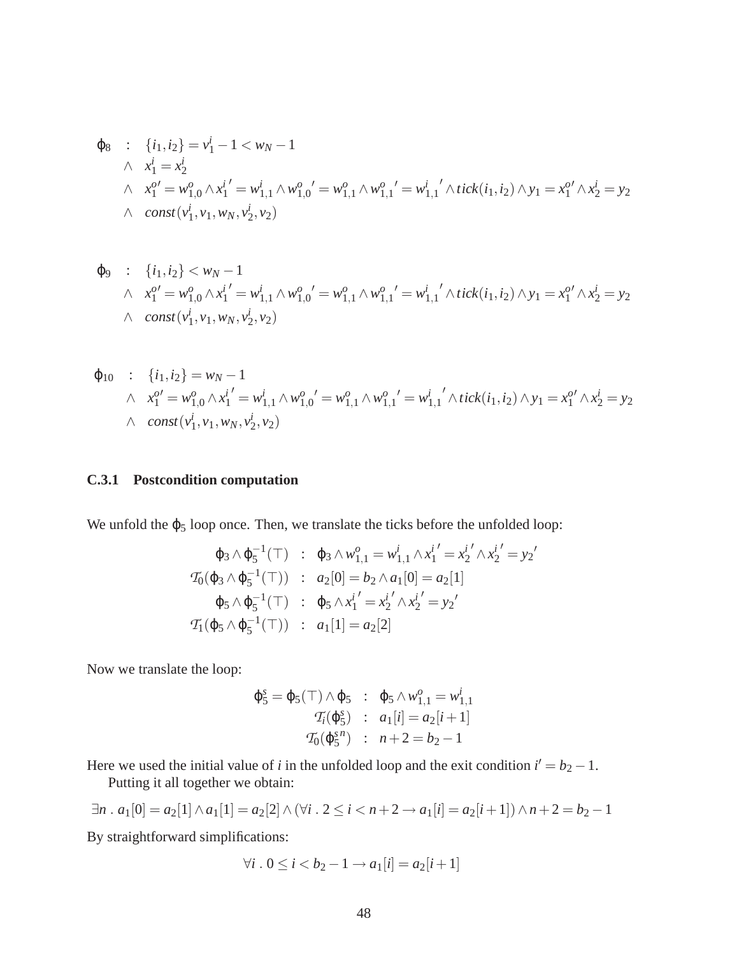$$
\varphi_8 : \{i_1, i_2\} = v_1^i - 1 < w_N - 1
$$
\n
$$
\wedge \quad x_1^i = x_2^i
$$
\n
$$
\wedge \quad x_1^{o'} = w_{1,0}^o \wedge x_1^{i'} = w_{1,1}^i \wedge w_{1,0}^{o'} = w_{1,1}^o \wedge w_{1,1}^{o'} = w_{1,1}^i \wedge tick(i_1, i_2) \wedge y_1 = x_1^{o'} \wedge x_2^i = y_2
$$
\n
$$
\wedge \quad const(v_1^i, v_1, w_N, v_2^i, v_2)
$$

$$
\varphi_9 : \{i_1, i_2\} < w_N - 1
$$
\n
$$
\wedge x_1^{o'} = w_{1,0}^o \wedge x_1^{i'} = w_{1,1}^i \wedge w_{1,0}^{o'} = w_{1,1}^o \wedge w_{1,1}^{o'} = w_{1,1}^{i'} \wedge tick(i_1, i_2) \wedge y_1 = x_1^{o'} \wedge x_2^{i} = y_2
$$
\n
$$
\wedge \text{ const}(v_1^i, v_1, w_N, v_2^i, v_2)
$$

$$
\varphi_{10} : \{i_1, i_2\} = w_N - 1
$$
\n
$$
\wedge x_1^{o'} = w_{1,0}^o \wedge x_1^{i'} = w_{1,1}^i \wedge w_{1,0}^{o'} = w_{1,1}^o \wedge w_{1,1}^{o'} = w_{1,1}^{i'} \wedge tick(i_1, i_2) \wedge y_1 = x_1^{o'} \wedge x_2^{i} = y_2
$$
\n
$$
\wedge \text{const}(v_1^i, v_1, w_N, v_2^i, v_2)
$$

#### **C.3.1 Postcondition computation**

We unfold the  $\varphi_5$  loop once. Then, we translate the ticks before the unfolded loop:

$$
\varphi_3 \wedge \varphi_5^{-1}(\top) : \varphi_3 \wedge w_{1,1}^o = w_{1,1}^i \wedge x_1^{i'} = x_2^{i'} \wedge x_2^{i'} = y_2'
$$
  

$$
\mathcal{T}_0(\varphi_3 \wedge \varphi_5^{-1}(\top)) : a_2[0] = b_2 \wedge a_1[0] = a_2[1]
$$
  

$$
\varphi_5 \wedge \varphi_5^{-1}(\top) : \varphi_5 \wedge x_1^{i'} = x_2^{i'} \wedge x_2^{i'} = y_2'
$$
  

$$
\mathcal{T}_1(\varphi_5 \wedge \varphi_5^{-1}(\top)) : a_1[1] = a_2[2]
$$

Now we translate the loop:

$$
\varphi_5^s = \varphi_5(\top) \wedge \varphi_5 : \varphi_5 \wedge w_{1,1}^o = w_{1,1}^i
$$
  

$$
\mathcal{T}_i(\varphi_5^s) : a_1[i] = a_2[i+1]
$$
  

$$
\mathcal{T}_0(\varphi_5^{s,n}) : n+2 = b_2 - 1
$$

Here we used the initial value of *i* in the unfolded loop and the exit condition  $i' = b_2 - 1$ .

Putting it all together we obtain:

$$
\exists n \, . \, a_1[0] = a_2[1] \land a_1[1] = a_2[2] \land (\forall i \, . \, 2 \leq i < n+2 \rightarrow a_1[i] = a_2[i+1]) \land n+2 = b_2-1
$$

By straightforward simplifications:

$$
\forall i \, . \, 0 \le i < b_2 - 1 \to a_1[i] = a_2[i+1]
$$